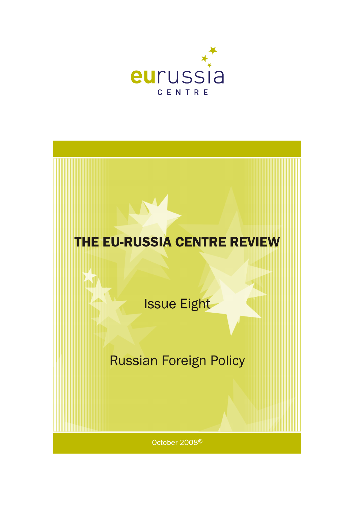

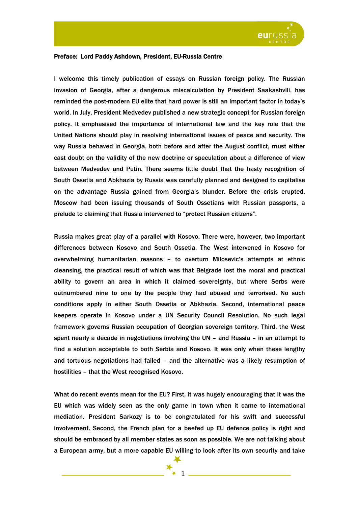

## Preface: Lord Paddy Ashdown, President, EU-Russia Centre

I welcome this timely publication of essays on Russian foreign policy. The Russian invasion of Georgia, after a dangerous miscalculation by President Saakashvili, has reminded the post-modern EU elite that hard power is still an important factor in today's world. In July, President Medvedev published a new strategic concept for Russian foreign policy. It emphasised the importance of international law and the key role that the United Nations should play in resolving international issues of peace and security. The way Russia behaved in Georgia, both before and after the August conflict, must either cast doubt on the validity of the new doctrine or speculation about a difference of view between Medvedev and Putin. There seems little doubt that the hasty recognition of South Ossetia and Abkhazia by Russia was carefully planned and designed to capitalise on the advantage Russia gained from Georgia's blunder. Before the crisis erupted, Moscow had been issuing thousands of South Ossetians with Russian passports, a prelude to claiming that Russia intervened to "protect Russian citizens".

Russia makes great play of a parallel with Kosovo. There were, however, two important differences between Kosovo and South Ossetia. The West intervened in Kosovo for overwhelming humanitarian reasons – to overturn Milosevic's attempts at ethnic cleansing, the practical result of which was that Belgrade lost the moral and practical ability to govern an area in which it claimed sovereignty, but where Serbs were outnumbered nine to one by the people they had abused and terrorised. No such conditions apply in either South Ossetia or Abkhazia. Second, international peace keepers operate in Kosovo under a UN Security Council Resolution. No such legal framework governs Russian occupation of Georgian sovereign territory. Third, the West spent nearly a decade in negotiations involving the UN – and Russia – in an attempt to find a solution acceptable to both Serbia and Kosovo. It was only when these lengthy and tortuous negotiations had failed – and the alternative was a likely resumption of hostilities – that the West recognised Kosovo.

What do recent events mean for the EU? First, it was hugely encouraging that it was the EU which was widely seen as the only game in town when it came to international mediation. President Sarkozy is to be congratulated for his swift and successful involvement. Second, the French plan for a beefed up EU defence policy is right and should be embraced by all member states as soon as possible. We are not talking about a European army, but a more capable EU willing to look after its own security and take

1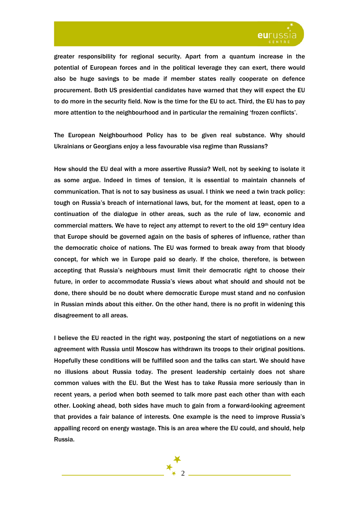

greater responsibility for regional security. Apart from a quantum increase in the potential of European forces and in the political leverage they can exert, there would also be huge savings to be made if member states really cooperate on defence procurement. Both US presidential candidates have warned that they will expect the EU to do more in the security field. Now is the time for the EU to act. Third, the EU has to pay more attention to the neighbourhood and in particular the remaining 'frozen conflicts'.

The European Neighbourhood Policy has to be given real substance. Why should Ukrainians or Georgians enjoy a less favourable visa regime than Russians?

How should the EU deal with a more assertive Russia? Well, not by seeking to isolate it as some argue. Indeed in times of tension, it is essential to maintain channels of communication. That is not to say business as usual. I think we need a twin track policy: tough on Russia's breach of international laws, but, for the moment at least, open to a continuation of the dialogue in other areas, such as the rule of law, economic and commercial matters. We have to reject any attempt to revert to the old 19th century idea that Europe should be governed again on the basis of spheres of influence, rather than the democratic choice of nations. The EU was formed to break away from that bloody concept, for which we in Europe paid so dearly. If the choice, therefore, is between accepting that Russia's neighbours must limit their democratic right to choose their future, in order to accommodate Russia's views about what should and should not be done, there should be no doubt where democratic Europe must stand and no confusion in Russian minds about this either. On the other hand, there is no profit in widening this disagreement to all areas.

I believe the EU reacted in the right way, postponing the start of negotiations on a new agreement with Russia until Moscow has withdrawn its troops to their original positions. Hopefully these conditions will be fulfilled soon and the talks can start. We should have no illusions about Russia today. The present leadership certainly does not share common values with the EU. But the West has to take Russia more seriously than in recent years, a period when both seemed to talk more past each other than with each other. Looking ahead, both sides have much to gain from a forward-looking agreement that provides a fair balance of interests. One example is the need to improve Russia's appalling record on energy wastage. This is an area where the EU could, and should, help Russia.

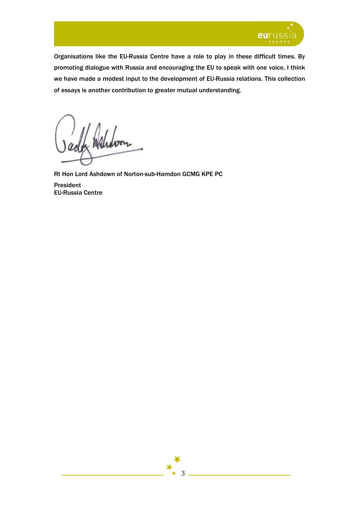

Organisations like the EU-Russia Centre have a role to play in these difficult times. By promoting dialogue with Russia and encouraging the EU to speak with one voice, I think we have made a modest input to the development of EU-Russia relations. This collection of essays is another contribution to greater mutual understanding.

Waldon

Rt Hon Lord Ashdown of Norton-sub-Hamdon GCMG KPE PC President EU-Russia Centre

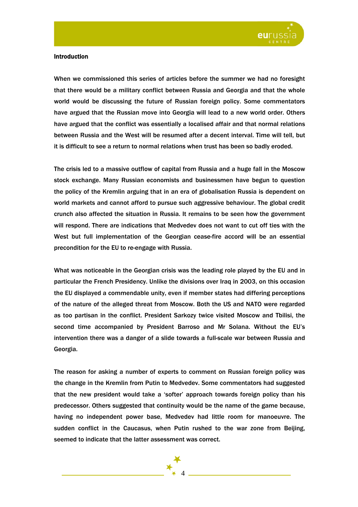

## **Introduction**

When we commissioned this series of articles before the summer we had no foresight that there would be a military conflict between Russia and Georgia and that the whole world would be discussing the future of Russian foreign policy. Some commentators have argued that the Russian move into Georgia will lead to a new world order. Others have argued that the conflict was essentially a localised affair and that normal relations between Russia and the West will be resumed after a decent interval. Time will tell, but it is difficult to see a return to normal relations when trust has been so badly eroded.

The crisis led to a massive outflow of capital from Russia and a huge fall in the Moscow stock exchange. Many Russian economists and businessmen have begun to question the policy of the Kremlin arguing that in an era of globalisation Russia is dependent on world markets and cannot afford to pursue such aggressive behaviour. The global credit crunch also affected the situation in Russia. It remains to be seen how the government will respond. There are indications that Medvedev does not want to cut off ties with the West but full implementation of the Georgian cease-fire accord will be an essential precondition for the EU to re-engage with Russia.

What was noticeable in the Georgian crisis was the leading role played by the EU and in particular the French Presidency. Unlike the divisions over Iraq in 2003, on this occasion the EU displayed a commendable unity, even if member states had differing perceptions of the nature of the alleged threat from Moscow. Both the US and NATO were regarded as too partisan in the conflict. President Sarkozy twice visited Moscow and Tbilisi, the second time accompanied by President Barroso and Mr Solana. Without the EU's intervention there was a danger of a slide towards a full-scale war between Russia and Georgia.

The reason for asking a number of experts to comment on Russian foreign policy was the change in the Kremlin from Putin to Medvedev. Some commentators had suggested that the new president would take a 'softer' approach towards foreign policy than his predecessor. Others suggested that continuity would be the name of the game because, having no independent power base, Medvedev had little room for manoeuvre. The sudden conflict in the Caucasus, when Putin rushed to the war zone from Beijing, seemed to indicate that the latter assessment was correct.

4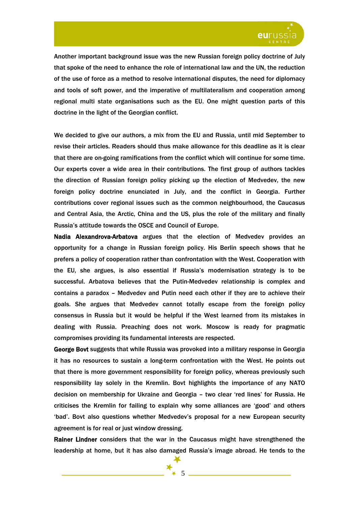

Another important background issue was the new Russian foreign policy doctrine of July that spoke of the need to enhance the role of international law and the UN, the reduction of the use of force as a method to resolve international disputes, the need for diplomacy and tools of soft power, and the imperative of multilateralism and cooperation among regional multi state organisations such as the EU. One might question parts of this doctrine in the light of the Georgian conflict.

We decided to give our authors, a mix from the EU and Russia, until mid September to revise their articles. Readers should thus make allowance for this deadline as it is clear that there are on-going ramifications from the conflict which will continue for some time. Our experts cover a wide area in their contributions. The first group of authors tackles the direction of Russian foreign policy picking up the election of Medvedev, the new foreign policy doctrine enunciated in July, and the conflict in Georgia. Further contributions cover regional issues such as the common neighbourhood, the Caucasus and Central Asia, the Arctic, China and the US, plus the role of the military and finally Russia's attitude towards the OSCE and Council of Europe.

Nadia Аlexandrova-Arbatova argues that the election of Medvedev provides an opportunity for a change in Russian foreign policy. His Berlin speech shows that he prefers a policy of cooperation rather than confrontation with the West. Cooperation with the EU, she argues, is also essential if Russia's modernisation strategy is to be successful. Arbatova believes that the Putin-Medvedev relationship is complex and contains a paradox – Medvedev and Putin need each other if they are to achieve their goals. She argues that Medvedev cannot totally escape from the foreign policy consensus in Russia but it would be helpful if the West learned from its mistakes in dealing with Russia. Preaching does not work. Moscow is ready for pragmatic compromises providing its fundamental interests are respected.

George Bovt suggests that while Russia was provoked into a military response in Georgia it has no resources to sustain a long-term confrontation with the West. He points out that there is more government responsibility for foreign policy, whereas previously such responsibility lay solely in the Kremlin. Bovt highlights the importance of any NATO decision on membership for Ukraine and Georgia – two clear 'red lines' for Russia. He criticises the Kremlin for failing to explain why some alliances are 'good' and others 'bad'. Bovt also questions whether Medvedev's proposal for a new European security agreement is for real or just window dressing.

Rainer Lindner considers that the war in the Caucasus might have strengthened the leadership at home, but it has also damaged Russia's image abroad. He tends to the

5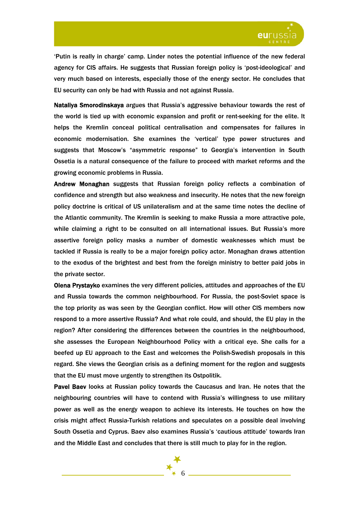

'Putin is really in charge' camp. Linder notes the potential influence of the new federal agency for CIS affairs. He suggests that Russian foreign policy is 'post-ideological' and very much based on interests, especially those of the energy sector. He concludes that EU security can only be had with Russia and not against Russia.

Nataliya Smorodinskaya argues that Russia's aggressive behaviour towards the rest of the world is tied up with economic expansion and profit or rent-seeking for the elite. It helps the Kremlin conceal political centralisation and compensates for failures in economic modernisation. She examines the 'vertical' type power structures and suggests that Moscow's "asymmetric response" to Georgia's intervention in South Ossetia is a natural consequence of the failure to proceed with market reforms and the growing economic problems in Russia.

Andrew Monaghan suggests that Russian foreign policy reflects a combination of confidence and strength but also weakness and insecurity. He notes that the new foreign policy doctrine is critical of US unilateralism and at the same time notes the decline of the Atlantic community. The Kremlin is seeking to make Russia a more attractive pole, while claiming a right to be consulted on all international issues. But Russia's more assertive foreign policy masks a number of domestic weaknesses which must be tackled if Russia is really to be a major foreign policy actor. Monaghan draws attention to the exodus of the brightest and best from the foreign ministry to better paid jobs in the private sector.

Olena Prystayko examines the very different policies, attitudes and approaches of the EU and Russia towards the common neighbourhood. For Russia, the post-Soviet space is the top priority as was seen by the Georgian conflict. How will other CIS members now respond to a more assertive Russia? And what role could, and should, the EU play in the region? After considering the differences between the countries in the neighbourhood, she assesses the European Neighbourhood Policy with a critical eye. She calls for a beefed up EU approach to the East and welcomes the Polish-Swedish proposals in this regard. She views the Georgian crisis as a defining moment for the region and suggests that the EU must move urgently to strengthen its Ostpolitik.

Pavel Baev looks at Russian policy towards the Caucasus and Iran. He notes that the neighbouring countries will have to contend with Russia's willingness to use military power as well as the energy weapon to achieve its interests. He touches on how the crisis might affect Russia-Turkish relations and speculates on a possible deal involving South Ossetia and Cyprus. Baev also examines Russia's 'cautious attitude' towards Iran and the Middle East and concludes that there is still much to play for in the region.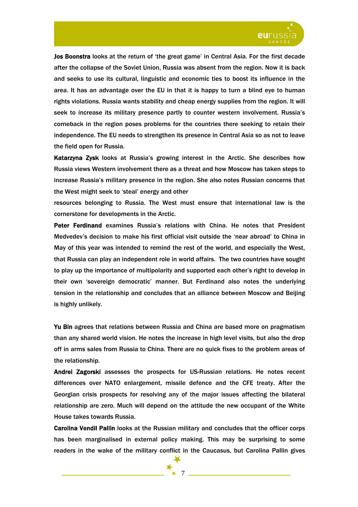

Jos Boonstra looks at the return of 'the great game' in Central Asia. For the first decade after the collapse of the Soviet Union, Russia was absent from the region. Now it is back and seeks to use its cultural, linguistic and economic ties to boost its influence in the area. It has an advantage over the EU in that it is happy to turn a blind eye to human rights violations. Russia wants stability and cheap energy supplies from the region. It will seek to increase its military presence partly to counter western involvement. Russia's comeback in the region poses problems for the countries there seeking to retain their independence. The EU needs to strengthen its presence in Central Asia so as not to leave the field open for Russia.

Katarzyna Zysk looks at Russia's growing interest in the Arctic. She describes how Russia views Western involvement there as a threat and how Moscow has taken steps to increase Russia's military presence in the region. She also notes Russian concerns that the West might seek to 'steal' energy and other

resources belonging to Russia. The West must ensure that international law is the cornerstone for developments in the Arctic.

Peter Ferdinand examines Russia's relations with China. He notes that President Medvedev's decision to make his first official visit outside the 'near abroad' to China in May of this year was intended to remind the rest of the world, and especially the West, that Russia can play an independent role in world affairs. The two countries have sought to play up the importance of multipolarity and supported each other's right to develop in their own 'sovereign democratic' manner. But Ferdinand also notes the underlying tension in the relationship and concludes that an alliance between Moscow and Beijing is highly unlikely.

Yu Bin agrees that relations between Russia and China are based more on pragmatism than any shared world vision. He notes the increase in high level visits, but also the drop off in arms sales from Russia to China. There are no quick fixes to the problem areas of the relationship.

Andrei Zagorski assesses the prospects for US-Russian relations. He notes recent differences over NATO enlargement, missile defence and the CFE treaty. After the Georgian crisis prospects for resolving any of the major issues affecting the bilateral relationship are zero. Much will depend on the attitude the new occupant of the White House takes towards Russia.

Carolina Vendil Pallin looks at the Russian military and concludes that the officer corps has been marginalised in external policy making. This may be surprising to some readers in the wake of the military conflict in the Caucasus, but Carolina Pallin gives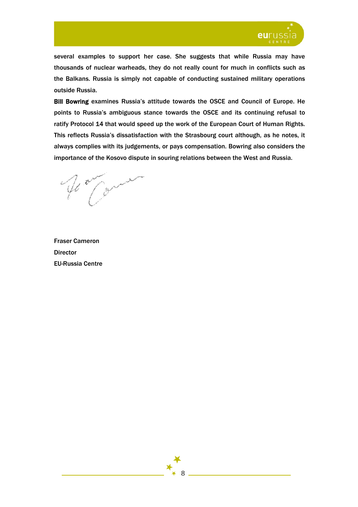

several examples to support her case. She suggests that while Russia may have thousands of nuclear warheads, they do not really count for much in conflicts such as the Balkans. Russia is simply not capable of conducting sustained military operations outside Russia.

Bill Bowring examines Russia's attitude towards the OSCE and Council of Europe. He points to Russia's ambiguous stance towards the OSCE and its continuing refusal to ratify Protocol 14 that would speed up the work of the European Court of Human Rights. This reflects Russia's dissatisfaction with the Strasbourg court although, as he notes, it always complies with its judgements, or pays compensation. Bowring also considers the importance of the Kosovo dispute in souring relations between the West and Russia.

Wo Com

Fraser Cameron **Director** EU-Russia Centre

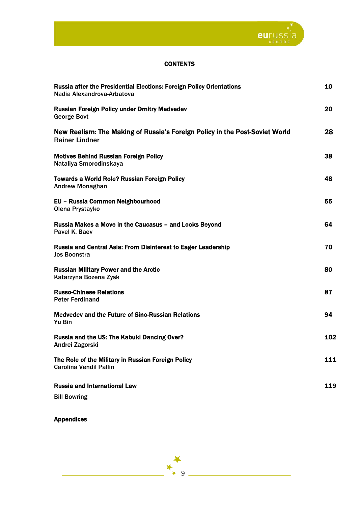

## **CONTENTS**

| <b>Russia after the Presidential Elections: Foreign Policy Orientations</b><br>Nadia Alexandrova-Arbatova | 10  |
|-----------------------------------------------------------------------------------------------------------|-----|
| <b>Russian Foreign Policy under Dmitry Medvedev</b><br><b>George Bovt</b>                                 | 20  |
| New Realism: The Making of Russia's Foreign Policy in the Post-Soviet World<br><b>Rainer Lindner</b>      | 28  |
| <b>Motives Behind Russian Foreign Policy</b><br>Nataliya Smorodinskaya                                    | 38  |
| <b>Towards a World Role? Russian Foreign Policy</b><br><b>Andrew Monaghan</b>                             | 48  |
| EU - Russia Common Neighbourhood<br>Olena Prystayko                                                       | 55  |
| Russia Makes a Move in the Caucasus - and Looks Beyond<br>Pavel K. Baev                                   | 64  |
| Russia and Central Asia: From Disinterest to Eager Leadership<br><b>Jos Boonstra</b>                      | 70  |
| <b>Russian Military Power and the Arctic</b><br>Katarzyna Bozena Zysk                                     | 80  |
| <b>Russo-Chinese Relations</b><br><b>Peter Ferdinand</b>                                                  | 87  |
| <b>Medvedev and the Future of Sino-Russian Relations</b><br>Yu Bin                                        | 94  |
| Russia and the US: The Kabuki Dancing Over?<br>Andrei Zagorski                                            | 102 |
| The Role of the Military in Russian Foreign Policy<br><b>Carolina Vendil Pallin</b>                       | 111 |
| <b>Russia and International Law</b>                                                                       | 119 |
| <b>Bill Bowring</b>                                                                                       |     |

 $\ast$  9

 $\blacktriangleright$ 

Appendices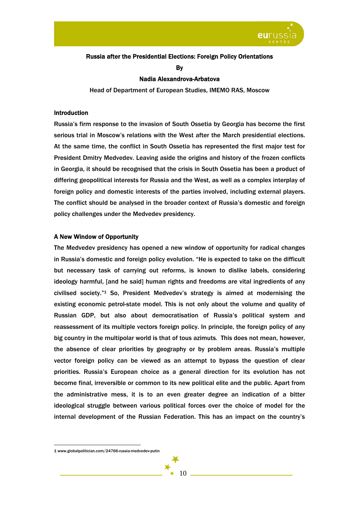

## Russia after the Presidential Elections: Foreign Policy Orientations

By

## Nadia Alexandrova-Arbatova

Head of Department of European Studies, IMEMO RAS, Moscow

#### Introduction

Russia's firm response to the invasion of South Ossetia by Georgia has become the first serious trial in Moscow's relations with the West after the March presidential elections. At the same time, the conflict in South Ossetia has represented the first major test for President Dmitry Medvedev. Leaving aside the origins and history of the frozen conflicts in Georgia, it should be recognised that the crisis in South Ossetia has been a product of differing geopolitical interests for Russia and the West, as well as a complex interplay of foreign policy and domestic interests of the parties involved, including external players. The conflict should be analysed in the broader context of Russia's domestic and foreign policy challenges under the Medvedev presidency.

## A New Window of Opportunity

The Medvedev presidency has opened a new window of opportunity for radical changes in Russia's domestic and foreign policy evolution. "He is expected to take on the difficult but necessary task of carrying out reforms, is known to dislike labels, considering ideology harmful, [and he said] human rights and freedoms are vital ingredients of any civilised society."1 So, President Medvedev's strategy is aimed at modernising the existing economic petrol-state model. This is not only about the volume and quality of Russian GDP, but also about democratisation of Russia's political system and reassessment of its multiple vectors foreign policy. In principle, the foreign policy of any big country in the multipolar world is that of tous azimuts*.* This does not mean, however, the absence of clear priorities by geography or by problem areas. Russia's multiple vector foreign policy can be viewed as an attempt to bypass the question of clear priorities. Russia's European choice as a general direction for its evolution has not become final, irreversible or common to its new political elite and the public. Apart from the administrative mess, it is to an even greater degree an indication of a bitter ideological struggle between various political forces over the choice of model for the internal development of the Russian Federation. This has an impact on the country's

 $\overline{a}$ 

10

<sup>1</sup> www.globalpolitician.com/24766-russia-medvedev-putin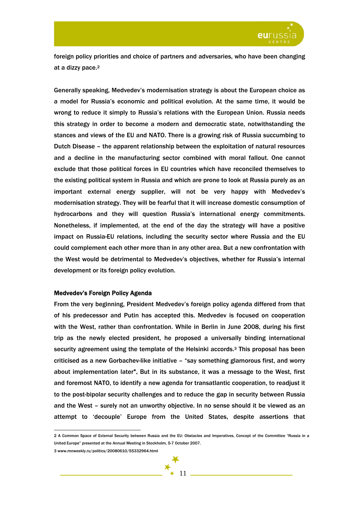

foreign policy priorities and choice of partners and adversaries, who have been changing at a dizzy pace.2

Generally speaking, Medvedev's modernisation strategy is about the European choice as a model for Russia's economic and political evolution. At the same time, it would be wrong to reduce it simply to Russia's relations with the European Union. Russia needs this strategy in order to become a modern and democratic state, notwithstanding the stances and views of the EU and NATO. There is a growing risk of Russia succumbing to Dutch Disease – the apparent relationship between the exploitation of natural resources and a decline in the manufacturing sector combined with moral fallout. One cannot exclude that those political forces in EU countries which have reconciled themselves to the existing political system in Russia and which are prone to look at Russia purely as an important external energy supplier, will not be very happy with Medvedev's modernisation strategy. They will be fearful that it will increase domestic consumption of hydrocarbons and they will question Russia's international energy commitments. Nonetheless, if implemented, at the end of the day the strategy will have a positive impact on Russia-EU relations, including the security sector where Russia and the EU could complement each other more than in any other area. But a new confrontation with the West would be detrimental to Medvedev's objectives, whether for Russia's internal development or its foreign policy evolution.

#### Medvedev's Foreign Policy Agenda

From the very beginning, President Medvedev's foreign policy agenda differed from that of his predecessor and Putin has accepted this. Medvedev is focused on cooperation with the West, rather than confrontation. While in Berlin in June 2008, during his first trip as the newly elected president, he proposed a universally binding international security agreement using the template of the Helsinki accords.3 This proposal has been criticised as a new Gorbachev-like initiative – "say something glamorous first, and worry about implementation later". But in its substance, it was a message to the West, first and foremost NATO, to identify a new agenda for transatlantic cooperation, to readjust it to the post-bipolar security challenges and to reduce the gap in security between Russia and the West – surely not an unworthy objective. In no sense should it be viewed as an attempt to 'decouple' Europe from the United States, despite assertions that

3 www.mnweekly.ru/politics/20080610/55332964.html



<sup>2</sup> A Common Space of External Security between Russia and the EU: Obstacles and Imperatives, Concept of the Committee "Russia in a United Europe" presented at the Annual Meeting in Stockholm, 5-7 October 2007.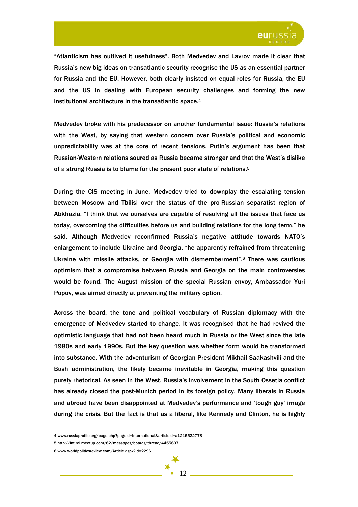

"Atlanticism has outlived it usefulness". Both Medvedev and Lavrov made it clear that Russia's new big ideas on transatlantic security recognise the US as an essential partner for Russia and the EU. However, both clearly insisted on equal roles for Russia, the EU and the US in dealing with European security challenges and forming the new institutional architecture in the transatlantic space.4

Medvedev broke with his predecessor on another fundamental issue: Russia's relations with the West, by saying that western concern over Russia's political and economic unpredictability was at the core of recent tensions. Putin's argument has been that Russian-Western relations soured as Russia became stronger and that the West's dislike of a strong Russia is to blame for the present poor state of relations.5

During the CIS meeting in June, Medvedev tried to downplay the escalating tension between Moscow and Tbilisi over the status of the pro-Russian separatist region of Abkhazia. "I think that we ourselves are capable of resolving all the issues that face us today, overcoming the difficulties before us and building relations for the long term," he said. Although Medvedev reconfirmed Russia's negative attitude towards NATO's enlargement to include Ukraine and Georgia, "he apparently refrained from threatening Ukraine with missile attacks, or Georgia with dismemberment".6 There was cautious optimism that a compromise between Russia and Georgia on the main controversies would be found. The August mission of the special Russian envoy, Ambassador Yuri Popov, was aimed directly at preventing the military option.

Across the board, the tone and political vocabulary of Russian diplomacy with the emergence of Medvedev started to change. It was recognised that he had revived the optimistic language that had not been heard much in Russia or the West since the late 1980s and early 1990s. But the key question was whether form would be transformed into substance. With the adventurism of Georgian President Mikhail Saakashvili and the Bush administration, the likely became inevitable in Georgia, making this question purely rhetorical. As seen in the West, Russia's involvement in the South Ossetia conflict has already closed the post-Munich period in its foreign policy. Many liberals in Russia and abroad have been disappointed at Medvedev's performance and 'tough guy' image during the crisis. But the fact is that as a liberal, like Kennedy and Clinton, he is highly

<sup>4</sup> www.russiaprofile.org/page.php?pageid=International&articleid=a1215522778

<sup>5</sup> http://intlrel.meetup.com/62/messages/boards/thread/4455637

<sup>6</sup> www.worldpoliticsreview.com/Article.aspx?id=2296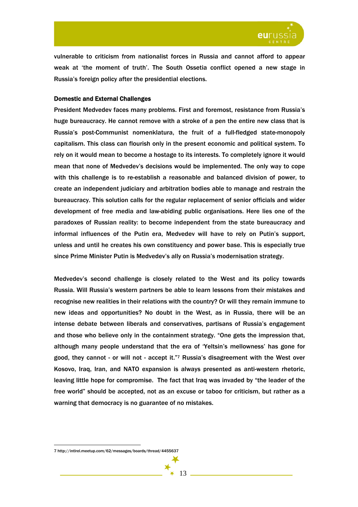

vulnerable to criticism from nationalist forces in Russia and cannot afford to appear weak at 'the moment of truth'. The South Ossetia conflict opened a new stage in Russia's foreign policy after the presidential elections.

## Domestic and External Challenges

President Medvedev faces many problems. First and foremost, resistance from Russia's huge bureaucracy. He cannot remove with a stroke of a pen the entire new class that is Russia's post-Communist nomenklatura, the fruit of a full-fledged state-monopoly capitalism. This class can flourish only in the present economic and political system. To rely on it would mean to become a hostage to its interests. To completely ignore it would mean that none of Medvedev's decisions would be implemented. The only way to cope with this challenge is to re-establish a reasonable and balanced division of power, to create an independent judiciary and arbitration bodies able to manage and restrain the bureaucracy. This solution calls for the regular replacement of senior officials and wider development of free media and law-abiding public organisations. Here lies one of the paradoxes of Russian reality: to become independent from the state bureaucracy and informal influences of the Putin era, Medvedev will have to rely on Putin's support, unless and until he creates his own constituency and power base. This is especially true since Prime Minister Putin is Medvedev's ally on Russia's modernisation strategy.

Medvedev's second challenge is closely related to the West and its policy towards Russia. Will Russia's western partners be able to learn lessons from their mistakes and recognise new realities in their relations with the country? Or will they remain immune to new ideas and opportunities? No doubt in the West, as in Russia, there will be an intense debate between liberals and conservatives, partisans of Russia's engagement and those who believe only in the containment strategy. "One gets the impression that, although many people understand that the era of 'Yeltsin's mellowness' has gone for good, they cannot - or will not - accept it."7 Russia's disagreement with the West over Kosovo, Iraq, Iran, and NATO expansion is always presented as anti-western rhetoric, leaving little hope for compromise. The fact that Iraq was invaded by "the leader of the free world" should be accepted, not as an excuse or taboo for criticism, but rather as a warning that democracy is no guarantee of no mistakes.

<sup>7</sup> http://intlrel.meetup.com/62/messages/boards/thread/4455637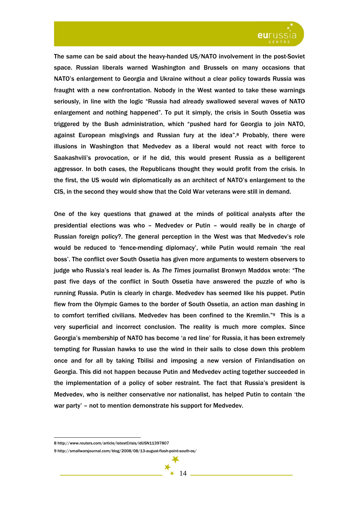

The same can be said about the heavy-handed US/NATO involvement in the post-Soviet space. Russian liberals warned Washington and Brussels on many occasions that NATO's enlargement to Georgia and Ukraine without a clear policy towards Russia was fraught with a new confrontation. Nobody in the West wanted to take these warnings seriously, in line with the logic "Russia had already swallowed several waves of NATO enlargement and nothing happened". To put it simply, the crisis in South Ossetia was triggered by the Bush administration, which "pushed hard for Georgia to join NATO, against European misgivings and Russian fury at the idea".8 Probably, there were illusions in Washington that Medvedev as a liberal would not react with force to Saakashvili's provocation, or if he did, this would present Russia as a belligerent aggressor. In both cases, the Republicans thought they would profit from the crisis. In the first, the US would win diplomatically as an architect of NATO's enlargement to the CIS, in the second they would show that the Cold War veterans were still in demand.

One of the key questions that gnawed at the minds of political analysts after the presidential elections was who – Medvedev or Putin – would really be in charge of Russian foreign policy?. The general perception in the West was that Medvedev's role would be reduced to 'fence-mending diplomacy', while Putin would remain 'the real boss'. The conflict over South Ossetia has given more arguments to western observers to judge who Russia's real leader is. As *The Times* journalist Bronwyn Maddox wrote: "The past five days of the conflict in South Ossetia have answered the puzzle of who is running Russia. Putin is clearly in charge. Medvedev has seemed like his puppet. Putin flew from the Olympic Games to the border of South Ossetia, an action man dashing in to comfort terrified civilians. Medvedev has been confined to the Kremlin."9 This is a very superficial and incorrect conclusion. The reality is much more complex. Since Georgia's membership of NATO has become 'a red line' for Russia, it has been extremely tempting for Russian hawks to use the wind in their sails to close down this problem once and for all by taking Tbilisi and imposing a new version of Finlandisation on Georgia. This did not happen because Putin and Medvedev acting together succeeded in the implementation of a policy of sober restraint. The fact that Russia's president is Medvedev, who is neither conservative nor nationalist, has helped Putin to contain 'the war party' – not to mention demonstrate his support for Medvedev.

<sup>8</sup> http://www.reuters.com/article/latestCrisis/idUSN11397807

<sup>9</sup> http://smallwarsjournal.com/blog/2008/08/13-august-flash-point-south-os/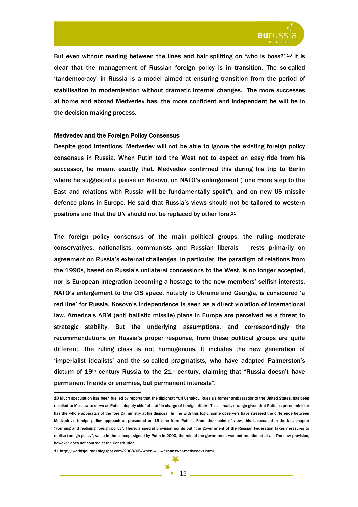

But even without reading between the lines and hair splitting on 'who is boss?',<sup>10</sup> it is clear that the management of Russian foreign policy is in transition. The so-called 'tandemocracy' in Russia is a model aimed at ensuring transition from the period of stabilisation to modernisation without dramatic internal changes. The more successes at home and abroad Medvedev has, the more confident and independent he will be in the decision-making process.

#### Medvedev and the Foreign Policy Consensus

Despite good intentions, Medvedev will not be able to ignore the existing foreign policy consensus in Russia. When Putin told the West not to expect an easy ride from his successor, he meant exactly that. Medvedev confirmed this during his trip to Berlin where he suggested a pause on Kosovo, on NATO's enlargement ("one more step to the East and relations with Russia will be fundamentally spoilt"), and on new US missile defence plans in Europe. He said that Russia's views should not be tailored to western positions and that the UN should not be replaced by other fora.11

The foreign policy consensus of the main political groups: the ruling moderate conservatives, nationalists, communists and Russian liberals – rests primarily on agreement on Russia's external challenges. In particular, the paradigm of relations from the 1990s, based on Russia's unilateral concessions to the West, is no longer accepted, nor is European integration becoming a hostage to the new members' selfish interests. NATO's enlargement to the CIS space, notably to Ukraine and Georgia, is considered 'a red line' for Russia. Kosovo's independence is seen as a direct violation of international law. America's ABM (anti ballistic missile) plans in Europe are perceived as a threat to strategic stability. But the underlying assumptions, and correspondingly the recommendations on Russia's proper response, from these political groups are quite different. The ruling class is not homogenous. It includes the new generation of 'imperialist idealists' and the so-called pragmatists, who have adapted Palmerston's dictum of 19<sup>th</sup> century Russia to the 21<sup>st</sup> century, claiming that "Russia doesn't have permanent friends or enemies, but permanent interests".

<sup>10</sup> Much speculation has been fuelled by reports that the diplomat Yuri Ushakov, Russia's former ambassador to the United States, has been recalled to Moscow to serve as Putin's deputy chief of staff in charge of foreign affairs. This is really strange given that Putin as prime minister has the whole apparatus of the foreign ministry at his disposal. In line with this logic, some observers have stressed the difference between Medvedev's foreign policy approach as presented on 15 June from Putin's. From their point of view, this is revealed in the last chapter "Forming and realising foreign policy". There, a special provision points out "the government of the Russian Federation takes measures to realise foreign policy", while in the concept signed by Putin in 2000, the role of the government was not mentioned at all. The new provision, however does not contradict the Constitution.

<sup>11</sup> http://worldsjournal.blogspot.com/2008/06/when-will-west-answer-medvedevs.html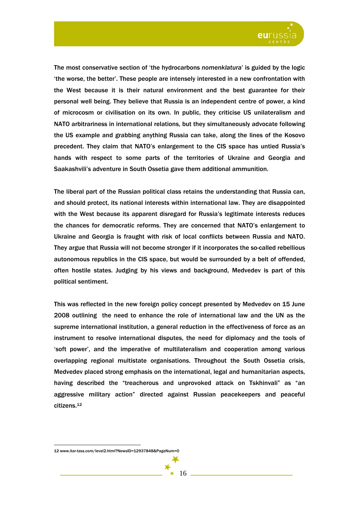

The most conservative section of 'the hydrocarbons *nomenklatura*' is guided by the logic 'the worse, the better'. These people are intensely interested in a new confrontation with the West because it is their natural environment and the best guarantee for their personal well being. They believe that Russia is an independent centre of power, a kind of microcosm or civilisation on its own. In public, they criticise US unilateralism and NATO arbitrariness in international relations, but they simultaneously advocate following the US example and grabbing anything Russia can take, along the lines of the Kosovo precedent. They claim that NATO's enlargement to the CIS space has untied Russia's hands with respect to some parts of the territories of Ukraine and Georgia and Saakashvili's adventure in South Ossetia gave them additional ammunition.

The liberal part of the Russian political class retains the understanding that Russia can, and should protect, its national interests within international law. They are disappointed with the West because its apparent disregard for Russia's legitimate interests reduces the chances for democratic reforms. They are concerned that NATO's enlargement to Ukraine and Georgia is fraught with risk of local conflicts between Russia and NATO. They argue that Russia will not become stronger if it incorporates the so-called rebellious autonomous republics in the CIS space, but would be surrounded by a belt of offended, often hostile states. Judging by his views and background, Medvedev is part of this political sentiment.

This was reflected in the new foreign policy concept presented by Medvedev on 15 June 2008 outlining the need to enhance the role of international law and the UN as the supreme international institution, a general reduction in the effectiveness of force as an instrument to resolve international disputes, the need for diplomacy and the tools of 'soft power', and the imperative of multilateralism and cooperation among various overlapping regional multistate organisations. Throughout the South Ossetia crisis, Medvedev placed strong emphasis on the international, legal and humanitarian aspects, having described the "treacherous and unprovoked attack on Tskhinvali" as "an aggressive military action" directed against Russian peacekeepers and peaceful citizens.12

<sup>12</sup> www.itar-tass.com/level2.html?NewsID=12937848&PageNum=0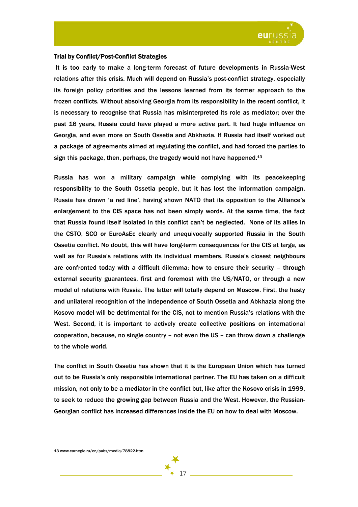

## Trial by Conflict/Post-Conflict Strategies

 It is too early to make a long-term forecast of future developments in Russia-West relations after this crisis. Much will depend on Russia's post-conflict strategy, especially its foreign policy priorities and the lessons learned from its former approach to the frozen conflicts. Without absolving Georgia from its responsibility in the recent conflict, it is necessary to recognise that Russia has misinterpreted its role as mediator; over the past 16 years, Russia could have played a more active part. It had huge influence on Georgia, and even more on South Ossetia and Abkhazia. If Russia had itself worked out a package of agreements aimed at regulating the conflict, and had forced the parties to sign this package, then, perhaps, the tragedy would not have happened.<sup>13</sup>

Russia has won a military campaign while complying with its peacekeeping responsibility to the South Ossetia people, but it has lost the information campaign. Russia has drawn 'a red line', having shown NATO that its opposition to the Alliance's enlargement to the CIS space has not been simply words. At the same time, the fact that Russia found itself isolated in this conflict can't be neglected. None of its allies in the CSTO, SCO or EuroAsEc clearly and unequivocally supported Russia in the South Ossetia conflict. No doubt, this will have long-term consequences for the CIS at large, as well as for Russia's relations with its individual members. Russia's closest neighbours are confronted today with a difficult dilemma: how to ensure their security – through external security guarantees, first and foremost with the US/NATO, or through a new model of relations with Russia. The latter will totally depend on Moscow. First, the hasty and unilateral recognition of the independence of South Ossetia and Abkhazia along the Kosovo model will be detrimental for the CIS, not to mention Russia's relations with the West. Second, it is important to actively create collective positions on international cooperation, because, no single country – not even the US – can throw down a challenge to the whole world.

The conflict in South Ossetia has shown that it is the European Union which has turned out to be Russia's only responsible international partner. The EU has taken on a difficult mission, not only to be a mediator in the conflict but, like after the Kosovo crisis in 1999, to seek to reduce the growing gap between Russia and the West. However, the Russian-Georgian conflict has increased differences inside the EU on how to deal with Moscow.

17

<sup>13</sup> www.carnegie.ru/en/pubs/media/78822.htm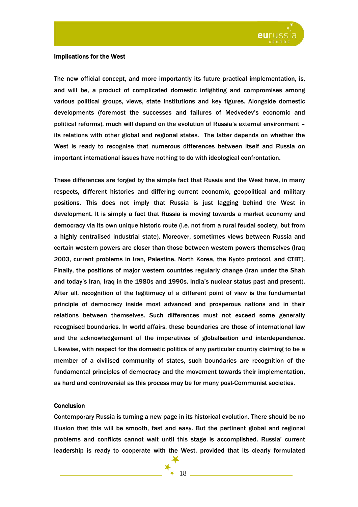

#### Implications for the West

The new official concept, and more importantly its future practical implementation, is, and will be, a product of complicated domestic infighting and compromises among various political groups, views, state institutions and key figures. Alongside domestic developments (foremost the successes and failures of Medvedev's economic and political reforms), much will depend on the evolution of Russia's external environment – its relations with other global and regional states. The latter depends on whether the West is ready to recognise that numerous differences between itself and Russia on important international issues have nothing to do with ideological confrontation.

These differences are forged by the simple fact that Russia and the West have, in many respects, different histories and differing current economic, geopolitical and military positions. This does not imply that Russia is just lagging behind the West in development. It is simply a fact that Russia is moving towards a market economy and democracy via its own unique historic route (i.e. not from a rural feudal society, but from a highly centralised industrial state). Moreover, sometimes views between Russia and certain western powers are closer than those between western powers themselves (Iraq 2003, current problems in Iran, Palestine, North Korea, the Kyoto protocol, and CTBT). Finally, the positions of major western countries regularly change (Iran under the Shah and today's Iran, Iraq in the 1980s and 1990s, India's nuclear status past and present). After all, recognition of the legitimacy of a different point of view is the fundamental principle of democracy inside most advanced and prosperous nations and in their relations between themselves. Such differences must not exceed some generally recognised boundaries. In world affairs, these boundaries are those of international law and the acknowledgement of the imperatives of globalisation and interdependence. Likewise, with respect for the domestic politics of any particular country claiming to be a member of a civilised community of states, such boundaries are recognition of the fundamental principles of democracy and the movement towards their implementation, as hard and controversial as this process may be for many post-Communist societies.

#### **Conclusion**

Contemporary Russia is turning a new page in its historical evolution. There should be no illusion that this will be smooth, fast and easy. But the pertinent global and regional problems and conflicts cannot wait until this stage is accomplished. Russia' current leadership is ready to cooperate with the West, provided that its clearly formulated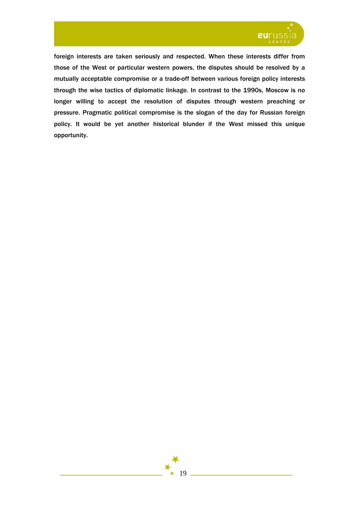

foreign interests are taken seriously and respected. When these interests differ from those of the West or particular western powers, the disputes should be resolved by a mutually acceptable compromise or a trade-off between various foreign policy interests through the wise tactics of diplomatic linkage. In contrast to the 1990s, Moscow is no longer willing to accept the resolution of disputes through western preaching or pressure. Pragmatic political compromise is the slogan of the day for Russian foreign policy. It would be yet another historical blunder if the West missed this unique opportunity.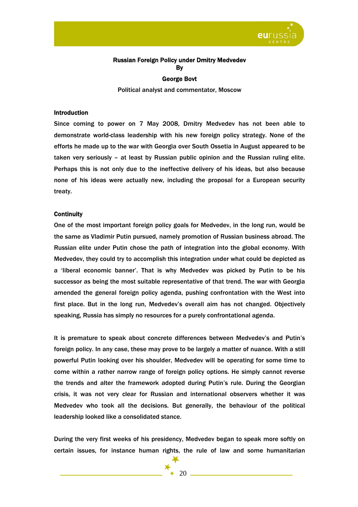

## Russian Foreign Policy under Dmitry Medvedev By

## George Bovt

Political analyst and commentator, Moscow

#### Introduction

Since coming to power on 7 May 2008, Dmitry Medvedev has not been able to demonstrate world-class leadership with his new foreign policy strategy. None of the efforts he made up to the war with Georgia over South Ossetia in August appeared to be taken very seriously – at least by Russian public opinion and the Russian ruling elite. Perhaps this is not only due to the ineffective delivery of his ideas, but also because none of his ideas were actually new, including the proposal for a European security treaty.

#### **Continuity**

One of the most important foreign policy goals for Medvedev, in the long run, would be the same as Vladimir Putin pursued, namely promotion of Russian business abroad. The Russian elite under Putin chose the path of integration into the global economy. With Medvedev, they could try to accomplish this integration under what could be depicted as a 'liberal economic banner'. That is why Medvedev was picked by Putin to be his successor as being the most suitable representative of that trend. The war with Georgia amended the general foreign policy agenda, pushing confrontation with the West into first place. But in the long run, Medvedev's overall aim has not changed. Objectively speaking, Russia has simply no resources for a purely confrontational agenda.

It is premature to speak about concrete differences between Medvedev's and Putin's foreign policy. In any case, these may prove to be largely a matter of nuance. With a still powerful Putin looking over his shoulder, Medvedev will be operating for some time to come within a rather narrow range of foreign policy options. He simply cannot reverse the trends and alter the framework adopted during Putin's rule. During the Georgian crisis, it was not very clear for Russian and international observers whether it was Medvedev who took all the decisions. But generally, the behaviour of the political leadership looked like a consolidated stance.

During the very first weeks of his presidency, Medvedev began to speak more softly on certain issues, for instance human rights, the rule of law and some humanitarian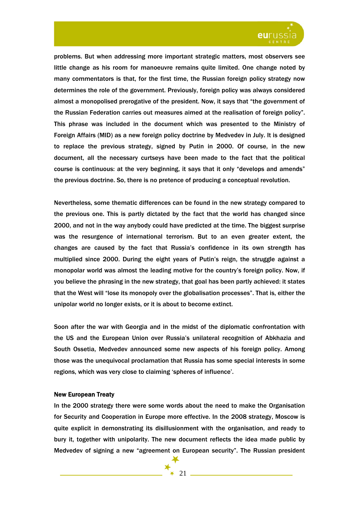

problems. But when addressing more important strategic matters, most observers see little change as his room for manoeuvre remains quite limited. One change noted by many commentators is that, for the first time, the Russian foreign policy strategy now determines the role of the government. Previously, foreign policy was always considered almost a monopolised prerogative of the president. Now, it says that "the government of the Russian Federation carries out measures aimed at the realisation of foreign policy". This phrase was included in the document which was presented to the Ministry of Foreign Affairs (MID) as a new foreign policy doctrine by Medvedev in July. It is designed to replace the previous strategy, signed by Putin in 2000. Of course, in the new document, all the necessary curtseys have been made to the fact that the political course is continuous: at the very beginning, it says that it only "develops and amends" the previous doctrine. So, there is no pretence of producing a conceptual revolution.

Nevertheless, some thematic differences can be found in the new strategy compared to the previous one. This is partly dictated by the fact that the world has changed since 2000, and not in the way anybody could have predicted at the time. The biggest surprise was the resurgence of international terrorism. But to an even greater extent, the changes are caused by the fact that Russia's confidence in its own strength has multiplied since 2000. During the eight years of Putin's reign, the struggle against a monopolar world was almost the leading motive for the country's foreign policy. Now, if you believe the phrasing in the new strategy, that goal has been partly achieved: it states that the West will "lose its monopoly over the globalisation processes". That is, either the unipolar world no longer exists, or it is about to become extinct.

Soon after the war with Georgia and in the midst of the diplomatic confrontation with the US and the European Union over Russia's unilateral recognition of Abkhazia and South Ossetia, Medvedev announced some new aspects of his foreign policy. Among those was the unequivocal proclamation that Russia has some special interests in some regions, which was very close to claiming 'spheres of influence'.

## New European Treaty

In the 2000 strategy there were some words about the need to make the Organisation for Security and Cooperation in Europe more effective. In the 2008 strategy, Moscow is quite explicit in demonstrating its disillusionment with the organisation, and ready to bury it, together with unipolarity. The new document reflects the idea made public by Medvedev of signing a new "agreement on European security". The Russian president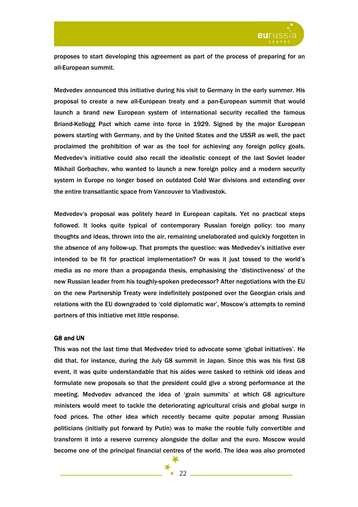

proposes to start developing this agreement as part of the process of preparing for an all-European summit.

Medvedev announced this initiative during his visit to Germany in the early summer. His proposal to create a new all-European treaty and a pan-European summit that would launch a brand new European system of international security recalled the famous Briand-Kellogg Pact which came into force in 1929. Signed by the major European powers starting with Germany, and by the United States and the USSR as well, the pact proclaimed the prohibition of war as the tool for achieving any foreign policy goals. Medvedev's initiative could also recall the idealistic concept of the last Soviet leader Mikhail Gorbachev, who wanted to launch a new foreign policy and a modern security system in Europe no longer based on outdated Cold War divisions and extending over the entire transatlantic space from Vancouver to Vladivostok.

Medvedev's proposal was politely heard in European capitals. Yet no practical steps followed. It looks quite typical of contemporary Russian foreign policy: too many thoughts and ideas, thrown into the air, remaining unelaborated and quickly forgotten in the absence of any follow-up. That prompts the question: was Medvedev's initiative ever intended to be fit for practical implementation? Or was it just tossed to the world's media as no more than a propaganda thesis, emphasising the 'distinctiveness' of the new Russian leader from his toughly-spoken predecessor? After negotiations with the EU on the new Partnership Treaty were indefinitely postponed over the Georgian crisis and relations with the EU downgraded to 'cold diplomatic war', Moscow's attempts to remind partners of this initiative met little response.

## G8 and UN

This was not the last time that Medvedev tried to advocate some 'global initiatives'. He did that, for instance, during the July G8 summit in Japan. Since this was his first G8 event, it was quite understandable that his aides were tasked to rethink old ideas and formulate new proposals so that the president could give a strong performance at the meeting. Medvedev advanced the idea of 'grain summits' at which G8 agriculture ministers would meet to tackle the deteriorating agricultural crisis and global surge in food prices. The other idea which recently became quite popular among Russian politicians (initially put forward by Putin) was to make the rouble fully convertible and transform it into a reserve currency alongside the dollar and the euro. Moscow would become one of the principal financial centres of the world. The idea was also promoted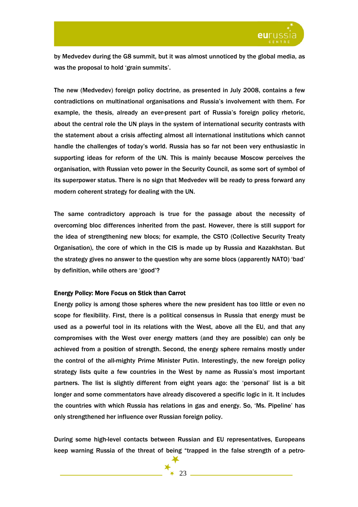

by Medvedev during the G8 summit, but it was almost unnoticed by the global media, as was the proposal to hold 'grain summits'.

The new (Medvedev) foreign policy doctrine, as presented in July 2008, contains a few contradictions on multinational organisations and Russia's involvement with them. For example, the thesis, already an ever-present part of Russia's foreign policy rhetoric, about the central role the UN plays in the system of international security contrasts with the statement about a crisis affecting almost all international institutions which cannot handle the challenges of today's world. Russia has so far not been very enthusiastic in supporting ideas for reform of the UN. This is mainly because Moscow perceives the organisation, with Russian veto power in the Security Council, as some sort of symbol of its superpower status. There is no sign that Medvedev will be ready to press forward any modern coherent strategy for dealing with the UN.

The same contradictory approach is true for the passage about the necessity of overcoming bloc differences inherited from the past. However, there is still support for the idea of strengthening new blocs; for example, the CSTO (Collective Security Treaty Organisation), the core of which in the CIS is made up by Russia and Kazakhstan. But the strategy gives no answer to the question why are some blocs (apparently NATO) 'bad' by definition, while others are 'good'?

#### Energy Policy: More Focus on Stick than Carrot

Energy policy is among those spheres where the new president has too little or even no scope for flexibility. First, there is a political consensus in Russia that energy must be used as a powerful tool in its relations with the West, above all the EU, and that any compromises with the West over energy matters (and they are possible) can only be achieved from a position of strength. Second, the energy sphere remains mostly under the control of the all-mighty Prime Minister Putin. Interestingly, the new foreign policy strategy lists quite a few countries in the West by name as Russia's most important partners. The list is slightly different from eight years ago: the 'personal' list is a bit longer and some commentators have already discovered a specific logic in it. It includes the countries with which Russia has relations in gas and energy. So, 'Ms. Pipeline' has only strengthened her influence over Russian foreign policy.

During some high-level contacts between Russian and EU representatives, Europeans keep warning Russia of the threat of being "trapped in the false strength of a petro-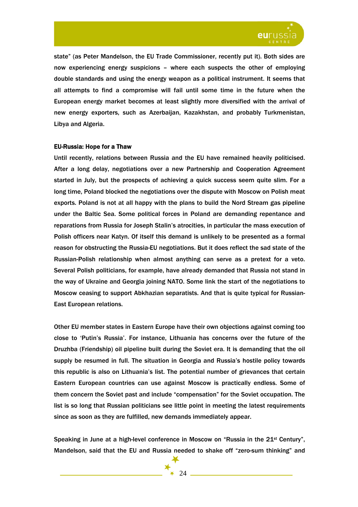

state" (as Peter Mandelson, the EU Trade Commissioner, recently put it). Both sides are now experiencing energy suspicions – where each suspects the other of employing double standards and using the energy weapon as a political instrument. It seems that all attempts to find a compromise will fail until some time in the future when the European energy market becomes at least slightly more diversified with the arrival of new energy exporters, such as Azerbaijan, Kazakhstan, and probably Turkmenistan, Libya and Algeria.

#### EU-Russia: Hope for a Thaw

Until recently, relations between Russia and the EU have remained heavily politicised. After a long delay, negotiations over a new Partnership and Cooperation Agreement started in July, but the prospects of achieving a quick success seem quite slim. For a long time, Poland blocked the negotiations over the dispute with Moscow on Polish meat exports. Poland is not at all happy with the plans to build the Nord Stream gas pipeline under the Baltic Sea. Some political forces in Poland are demanding repentance and reparations from Russia for Joseph Stalin's atrocities, in particular the mass execution of Polish officers near Katyn. Of itself this demand is unlikely to be presented as a formal reason for obstructing the Russia-EU negotiations. But it does reflect the sad state of the Russian-Polish relationship when almost anything can serve as a pretext for a veto. Several Polish politicians, for example, have already demanded that Russia not stand in the way of Ukraine and Georgia joining NATO. Some link the start of the negotiations to Moscow ceasing to support Abkhazian separatists. And that is quite typical for Russian-East European relations.

Other EU member states in Eastern Europe have their own objections against coming too close to 'Putin's Russia'. For instance, Lithuania has concerns over the future of the Druzhba (Friendship) oil pipeline built during the Soviet era. It is demanding that the oil supply be resumed in full. The situation in Georgia and Russia's hostile policy towards this republic is also on Lithuania's list. The potential number of grievances that certain Eastern European countries can use against Moscow is practically endless. Some of them concern the Soviet past and include "compensation" for the Soviet occupation. The list is so long that Russian politicians see little point in meeting the latest requirements since as soon as they are fulfilled, new demands immediately appear.

Speaking in June at a high-level conference in Moscow on "Russia in the  $21^{st}$  Century", Mandelson, said that the EU and Russia needed to shake off "zero-sum thinking" and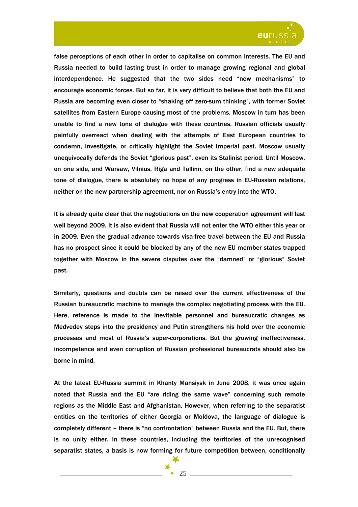

false perceptions of each other in order to capitalise on common interests. The EU and Russia needed to build lasting trust in order to manage growing regional and global interdependence. He suggested that the two sides need "new mechanisms" to encourage economic forces. But so far, it is very difficult to believe that both the EU and Russia are becoming even closer to "shaking off zero-sum thinking", with former Soviet satellites from Eastern Europe causing most of the problems. Moscow in turn has been unable to find a new tone of dialogue with these countries. Russian officials usually painfully overreact when dealing with the attempts of East European countries to condemn, investigate, or critically highlight the Soviet imperial past. Moscow usually unequivocally defends the Soviet "glorious past", even its Stalinist period. Until Moscow, on one side, and Warsaw, Vilnius, Riga and Tallinn, on the other, find a new adequate tone of dialogue, there is absolutely no hope of any progress in EU-Russian relations, neither on the new partnership agreement, nor on Russia's entry into the WTO.

It is already quite clear that the negotiations on the new cooperation agreement will last well beyond 2009. It is also evident that Russia will not enter the WTO either this year or in 2009. Even the gradual advance towards visa-free travel between the EU and Russia has no prospect since it could be blocked by any of the new EU member states trapped together with Moscow in the severe disputes over the "damned" or "glorious" Soviet past.

Similarly, questions and doubts can be raised over the current effectiveness of the Russian bureaucratic machine to manage the complex negotiating process with the EU. Here, reference is made to the inevitable personnel and bureaucratic changes as Medvedev steps into the presidency and Putin strengthens his hold over the economic processes and most of Russia's super-corporations. But the growing ineffectiveness, incompetence and even corruption of Russian professional bureaucrats should also be borne in mind.

At the latest EU-Russia summit in Khanty Mansiysk in June 2008, it was once again noted that Russia and the EU "are riding the same wave" concerning such remote regions as the Middle East and Afghanistan. However, when referring to the separatist entities on the territories of either Georgia or Moldova, the language of dialogue is completely different – there is "no confrontation" between Russia and the EU. But, there is no unity either. In these countries, including the territories of the unrecognised separatist states, a basis is now forming for future competition between, conditionally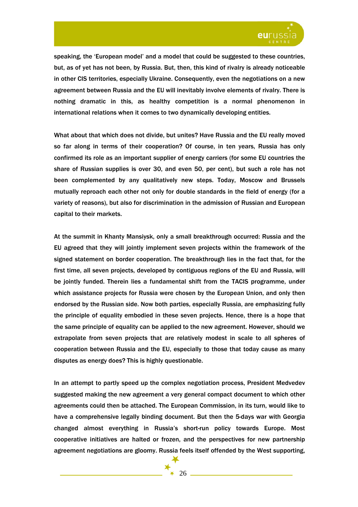

speaking, the 'European model' and a model that could be suggested to these countries, but, as of yet has not been, by Russia. But, then, this kind of rivalry is already noticeable in other CIS territories, especially Ukraine. Consequently, even the negotiations on a new agreement between Russia and the EU will inevitably involve elements of rivalry. There is nothing dramatic in this, as healthy competition is a normal phenomenon in international relations when it comes to two dynamically developing entities.

What about that which does not divide, but unites? Have Russia and the EU really moved so far along in terms of their cooperation? Of course, in ten years, Russia has only confirmed its role as an important supplier of energy carriers (for some EU countries the share of Russian supplies is over 30, and even 50, per cent), but such a role has not been complemented by any qualitatively new steps. Today, Moscow and Brussels mutually reproach each other not only for double standards in the field of energy (for a variety of reasons), but also for discrimination in the admission of Russian and European capital to their markets.

At the summit in Khanty Mansiysk, only a small breakthrough occurred: Russia and the EU agreed that they will jointly implement seven projects within the framework of the signed statement on border cooperation. The breakthrough lies in the fact that, for the first time, all seven projects, developed by contiguous regions of the EU and Russia, will be jointly funded. Therein lies a fundamental shift from the TACIS programme, under which assistance projects for Russia were chosen by the European Union, and only then endorsed by the Russian side. Now both parties, especially Russia, are emphasizing fully the principle of equality embodied in these seven projects. Hence, there is a hope that the same principle of equality can be applied to the new agreement. However, should we extrapolate from seven projects that are relatively modest in scale to all spheres of cooperation between Russia and the EU, especially to those that today cause as many disputes as energy does? This is highly questionable.

In an attempt to partly speed up the complex negotiation process, President Medvedev suggested making the new agreement a very general compact document to which other agreements could then be attached. The European Commission, in its turn, would like to have a comprehensive legally binding document. But then the 5-days war with Georgia changed almost everything in Russia's short-run policy towards Europe. Most cooperative initiatives are halted or frozen, and the perspectives for new partnership agreement negotiations are gloomy. Russia feels itself offended by the West supporting,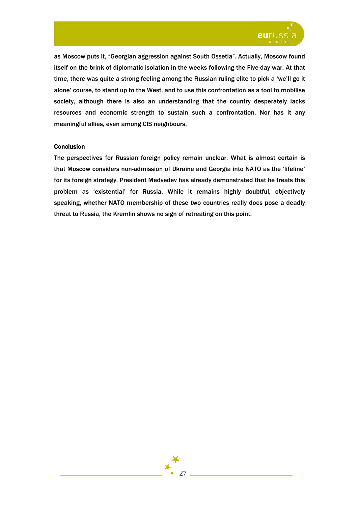

as Moscow puts it, "Georgian aggression against South Ossetia". Actually, Moscow found itself on the brink of diplomatic isolation in the weeks following the Five-day war. At that time, there was quite a strong feeling among the Russian ruling elite to pick a 'we'll go it alone' course, to stand up to the West, and to use this confrontation as a tool to mobilise society, although there is also an understanding that the country desperately lacks resources and economic strength to sustain such a confrontation. Nor has it any meaningful allies, even among CIS neighbours.

## Conclusion

The perspectives for Russian foreign policy remain unclear. What is almost certain is that Moscow considers non-admission of Ukraine and Georgia into NATO as the 'lifeline' for its foreign strategy. President Medvedev has already demonstrated that he treats this problem as 'existential' for Russia. While it remains highly doubtful, objectively speaking, whether NATO membership of these two countries really does pose a deadly threat to Russia, the Kremlin shows no sign of retreating on this point.

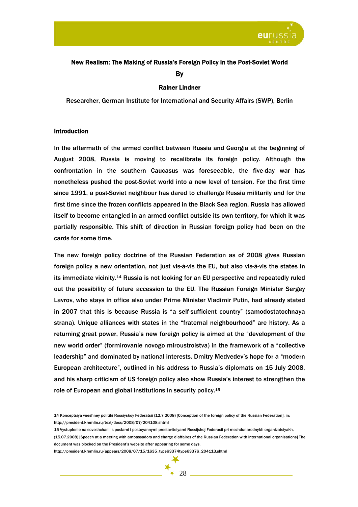

# New Realism: The Making of Russia's Foreign Policy in the Post-Soviet World By

## Rainer Lindner

Researcher, German Institute for International and Security Affairs (SWP), Berlin

#### Introduction

 $\overline{a}$ 

In the aftermath of the armed conflict between Russia and Georgia at the beginning of August 2008, Russia is moving to recalibrate its foreign policy. Although the confrontation in the southern Caucasus was foreseeable, the five-day war has nonetheless pushed the post-Soviet world into a new level of tension. For the first time since 1991, a post-Soviet neighbour has dared to challenge Russia militarily and for the first time since the frozen conflicts appeared in the Black Sea region, Russia has allowed itself to become entangled in an armed conflict outside its own territory, for which it was partially responsible. This shift of direction in Russian foreign policy had been on the cards for some time.

The new foreign policy doctrine of the Russian Federation as of 2008 gives Russian foreign policy a new orientation, not just vis-à-vis the EU, but also vis-à-vis the states in its immediate vicinity.14 Russia is not looking for an EU perspective and repeatedly ruled out the possibility of future accession to the EU. The Russian Foreign Minister Sergey Lavrov, who stays in office also under Prime Minister Vladimir Putin, had already stated in 2007 that this is because Russia is "a self-sufficient country" (samodostatochnaya strana). Unique alliances with states in the "fraternal neighbourhood" are history. As a returning great power, Russia's new foreign policy is aimed at the "development of the new world order" (formirovanie novogo miroustroistva) in the framework of a "collective leadership" and dominated by national interests. Dmitry Medvedev's hope for a "modern European architecture", outlined in his address to Russia's diplomats on 15 July 2008, and his sharp criticism of US foreign policy also show Russia's interest to strengthen the role of European and global institutions in security policy.15

<sup>14</sup> Konceptsiya vneshney politiki Rossiyskoy Federatsii (12.7.2008) [Conception of the foreign policy of the Russian Federation], in: http://president.kremlin.ru/text/docs/2008/07/204108.shtml

<sup>15</sup> Vystuplenie na soveshchanii s poslami i postoyannymi prestavitelyami Rossijskoj Federacii pri mezhdunarodnykh organizatsiyakh,

<sup>(15.07.2008) [</sup>Speech at a meeting with ambassadors and charge d'affaires of the Russian Federation with international organisations] The document was blocked on the President's website after appearing for some days.

http://president.kremlin.ru/appears/2008/07/15/1635\_type63374type63376\_204113.shtml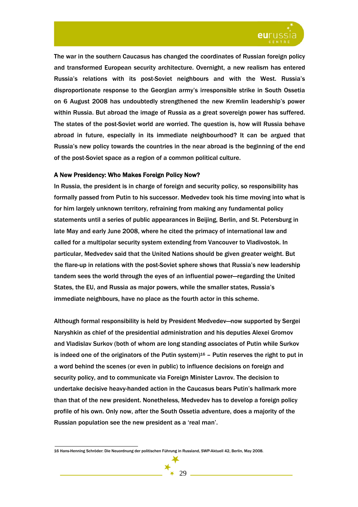

The war in the southern Caucasus has changed the coordinates of Russian foreign policy and transformed European security architecture. Overnight, a new realism has entered Russia's relations with its post-Soviet neighbours and with the West. Russia's disproportionate response to the Georgian army's irresponsible strike in South Ossetia on 6 August 2008 has undoubtedly strengthened the new Kremlin leadership's power within Russia. But abroad the image of Russia as a great sovereign power has suffered. The states of the post-Soviet world are worried. The question is, how will Russia behave abroad in future, especially in its immediate neighbourhood? It can be argued that Russia's new policy towards the countries in the near abroad is the beginning of the end of the post-Soviet space as a region of a common political culture.

## A New Presidency: Who Makes Foreign Policy Now?

In Russia, the president is in charge of foreign and security policy, so responsibility has formally passed from Putin to his successor. Medvedev took his time moving into what is for him largely unknown territory, refraining from making any fundamental policy statements until a series of public appearances in Beijing, Berlin, and St. Petersburg in late May and early June 2008, where he cited the primacy of international law and called for a multipolar security system extending from Vancouver to Vladivostok. In particular, Medvedev said that the United Nations should be given greater weight. But the flare-up in relations with the post-Soviet sphere shows that Russia's new leadership tandem sees the world through the eyes of an influential power—regarding the United States, the EU, and Russia as major powers, while the smaller states, Russia's immediate neighbours, have no place as the fourth actor in this scheme.

Although formal responsibility is held by President Medvedev—now supported by Sergei Naryshkin as chief of the presidential administration and his deputies Alexei Gromov and Vladislav Surkov (both of whom are long standing associates of Putin while Surkov is indeed one of the originators of the Putin system)<sup>16</sup> – Putin reserves the right to put in a word behind the scenes (or even in public) to influence decisions on foreign and security policy, and to communicate via Foreign Minister Lavrov. The decision to undertake decisive heavy-handed action in the Caucasus bears Putin's hallmark more than that of the new president. Nonetheless, Medvedev has to develop a foreign policy profile of his own. Only now, after the South Ossetia adventure, does a majority of the Russian population see the new president as a 'real man'.

16 Hans-Henning Schröder: Die Neuordnung der politischen Führung in Russland, SWP-Aktuell 42, Berlin, May 2008.

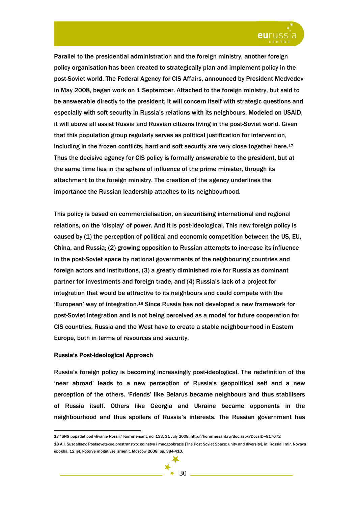

Parallel to the presidential administration and the foreign ministry, another foreign policy organisation has been created to strategically plan and implement policy in the post-Soviet world. The Federal Agency for CIS Affairs, announced by President Medvedev in May 2008, began work on 1 September. Attached to the foreign ministry, but said to be answerable directly to the president, it will concern itself with strategic questions and especially with soft security in Russia's relations with its neighbours. Modeled on USAID, it will above all assist Russia and Russian citizens living in the post-Soviet world. Given that this population group regularly serves as political justification for intervention, including in the frozen conflicts, hard and soft security are very close together here.17 Thus the decisive agency for CIS policy is formally answerable to the president, but at the same time lies in the sphere of influence of the prime minister, through its attachment to the foreign ministry. The creation of the agency underlines the importance the Russian leadership attaches to its neighbourhood.

This policy is based on commercialisation, on securitising international and regional relations, on the 'display' of power. And it is post-ideological. This new foreign policy is caused by (1) the perception of political and economic competition between the US, EU, China, and Russia; (2) growing opposition to Russian attempts to increase its influence in the post-Soviet space by national governments of the neighbouring countries and foreign actors and institutions, (3) a greatly diminished role for Russia as dominant partner for investments and foreign trade, and (4) Russia's lack of a project for integration that would be attractive to its neighbours and could compete with the 'European' way of integration.18 Since Russia has not developed a new framework for post-Soviet integration and is not being perceived as a model for future cooperation for CIS countries, Russia and the West have to create a stable neighbourhood in Eastern Europe, both in terms of resources and security.

#### Russia's Post-Ideological Approach

 $\overline{a}$ 

Russia's foreign policy is becoming increasingly post-ideological. The redefinition of the 'near abroad' leads to a new perception of Russia's geopolitical self and a new perception of the others. 'Friends' like Belarus became neighbours and thus stabilisers of Russia itself. Others like Georgia and Ukraine became opponents in the neighbourhood and thus spoilers of Russia's interests. The Russian government has

<sup>17 &</sup>quot;SNG popadet pod vlivanie Rossii," Kommersant, no. 133, 31 July 2008, http://kommersant.ru/doc.aspx?DocsID=917672

<sup>18</sup> A.I. Suzdaltsev: Postsovetskoe prostranstvo: edinstvo i mnogoobrazie [The Post Soviet Space: unity and diversity], in: Rossia i mir. Novaya epokha. 12 let, kotorye mogut vse izmenit. Moscow 2008, pp. 384-410.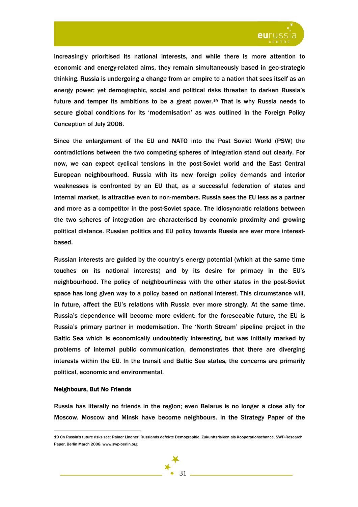

increasingly prioritised its national interests, and while there is more attention to economic and energy-related aims, they remain simultaneously based in geo-strategic thinking. Russia is undergoing a change from an empire to a nation that sees itself as an energy power; yet demographic, social and political risks threaten to darken Russia's future and temper its ambitions to be a great power.<sup>19</sup> That is why Russia needs to secure global conditions for its 'modernisation' as was outlined in the Foreign Policy Conception of July 2008.

Since the enlargement of the EU and NATO into the Post Soviet World (PSW) the contradictions between the two competing spheres of integration stand out clearly. For now, we can expect cyclical tensions in the post-Soviet world and the East Central European neighbourhood. Russia with its new foreign policy demands and interior weaknesses is confronted by an EU that, as a successful federation of states and internal market, is attractive even to non-members. Russia sees the EU less as a partner and more as a competitor in the post-Soviet space. The idiosyncratic relations between the two spheres of integration are characterised by economic proximity and growing political distance. Russian politics and EU policy towards Russia are ever more interestbased.

Russian interests are guided by the country's energy potential (which at the same time touches on its national interests) and by its desire for primacy in the EU's neighbourhood. The policy of neighbourliness with the other states in the post-Soviet space has long given way to a policy based on national interest. This circumstance will, in future, affect the EU's relations with Russia ever more strongly. At the same time, Russia's dependence will become more evident: for the foreseeable future, the EU is Russia's primary partner in modernisation. The 'North Stream' pipeline project in the Baltic Sea which is economically undoubtedly interesting, but was initially marked by problems of internal public communication, demonstrates that there are diverging interests within the EU. In the transit and Baltic Sea states, the concerns are primarily political, economic and environmental.

#### Neighbours, But No Friends

 $\overline{a}$ 

Russia has literally no friends in the region; even Belarus is no longer a close ally for Moscow. Moscow and Minsk have become neighbours. In the Strategy Paper of the

<sup>19</sup> On Russia's future risks see: Rainer Lindner: Russlands defekte Demographie. Zukunftsrisiken als Kooperationschance, SWP-Research Paper, Berlin March 2008. www.swp-berlin.org

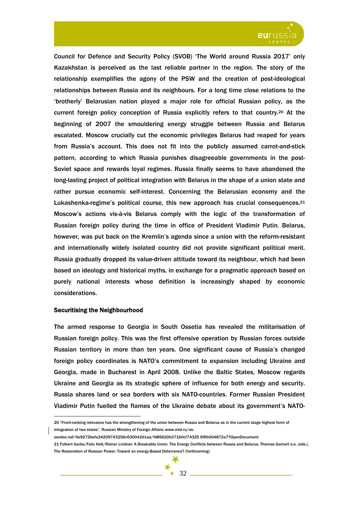

Council for Defence and Security Policy (SVOB) 'The World around Russia 2017' only Kazakhstan is perceived as the last reliable partner in the region. The story of the relationship exemplifies the agony of the PSW and the creation of post-ideological relationships between Russia and its neighbours. For a long time close relations to the 'brotherly' Belarusian nation played a major role for official Russian policy, as the current foreign policy conception of Russia explicitly refers to that country.20 At the beginning of 2007 the smouldering energy struggle between Russia and Belarus escalated. Moscow crucially cut the economic privileges Belarus had reaped for years from Russia's account. This does not fit into the publicly assumed carrot-and-stick pattern, according to which Russia punishes disagreeable governments in the post-Soviet space and rewards loyal regimes. Russia finally seems to have abandoned the long-lasting project of political integration with Belarus in the shape of a union state and rather pursue economic self-interest. Concerning the Belarusian economy and the Lukashenka-regime's political course, this new approach has crucial consequences.21 Moscow's actions vis-à-vis Belarus comply with the logic of the transformation of Russian foreign policy during the time in office of President Vladimir Putin. Belarus, however, was put back on the Kremlin's agenda since a union with the reform-resistant and internationally widely isolated country did not provide significant political merit. Russia gradually dropped its value-driven attitude toward its neighbour, which had been based on ideology and historical myths, in exchange for a pragmatic approach based on purely national interests whose definition is increasingly shaped by economic considerations.

## Securitising the Neighbourhood

The armed response to Georgia in South Ossetia has revealed the militarisation of Russian foreign policy. This was the first offensive operation by Russian forces outside Russian territory in more than ten years. One significant cause of Russia's changed foreign policy coordinates is NATO's commitment to expansion including Ukraine and Georgia, made in Bucharest in April 2008. Unlike the Baltic States, Moscow regards Ukraine and Georgia as its strategic sphere of influence for both energy and security. Russia shares land or sea borders with six NATO-countries. Former Russian President Vladimir Putin fuelled the flames of the Ukraine debate about its government's NATO-

 $\overline{a}$ 20 "Front-ranking relevance has the strengthening of the union between Russia and Belarus as in the current stage highest form of integration of two states", Russian Ministry of Foreign Affairs: www.mid.ru/ns-

osndoc.nsf/0e9272befa34209743256c630042d1aa/fd86620b371b0cf74325 69fb004872a7?OpenDocument

<sup>21</sup> Folkert Garbe/Felix Hett/Rainer Lindner: A Breakable Union. The Energy Conflicts between Russia and Belarus, Thomas Gomart a.o. (eds.), The Restoration of Russian Power: Toward an energy-Based Deterrence? (forthcoming)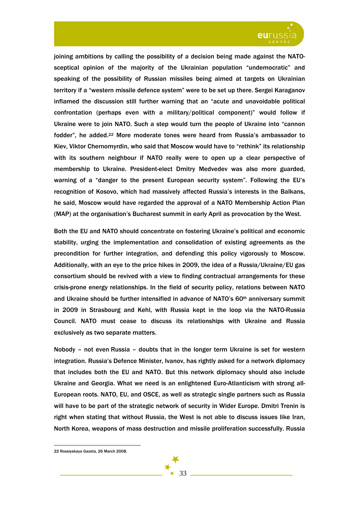

joining ambitions by calling the possibility of a decision being made against the NATOsceptical opinion of the majority of the Ukrainian population "undemocratic" and speaking of the possibility of Russian missiles being aimed at targets on Ukrainian territory if a "western missile defence system" were to be set up there. Sergei Karaganov inflamed the discussion still further warning that an "acute and unavoidable political confrontation (perhaps even with a military/political component)" would follow if Ukraine were to join NATO. Such a step would turn the people of Ukraine into "cannon fodder", he added.<sup>22</sup> More moderate tones were heard from Russia's ambassador to Kiev, Viktor Chernomyrdin, who said that Moscow would have to "rethink" its relationship with its southern neighbour if NATO really were to open up a clear perspective of membership to Ukraine. President-elect Dmitry Medvedev was also more guarded, warning of a "danger to the present European security system". Following the EU's recognition of Kosovo, which had massively affected Russia's interests in the Balkans, he said, Moscow would have regarded the approval of a NATO Membership Action Plan (MAP) at the organisation's Bucharest summit in early April as provocation by the West.

Both the EU and NATO should concentrate on fostering Ukraine's political and economic stability, urging the implementation and consolidation of existing agreements as the precondition for further integration, and defending this policy vigorously to Moscow. Additionally, with an eye to the price hikes in 2009, the idea of a Russia/Ukraine/EU gas consortium should be revived with a view to finding contractual arrangements for these crisis-prone energy relationships. In the field of security policy, relations between NATO and Ukraine should be further intensified in advance of NATO's 60<sup>th</sup> anniversary summit in 2009 in Strasbourg and Kehl, with Russia kept in the loop via the NATO-Russia Council. NATO must cease to discuss its relationships with Ukraine and Russia exclusively as two separate matters.

Nobody – not even Russia – doubts that in the longer term Ukraine is set for western integration. Russia's Defence Minister, Ivanov, has rightly asked for a network diplomacy that includes both the EU and NATO. But this network diplomacy should also include Ukraine and Georgia. What we need is an enlightened Euro-Atlanticism with strong all-European roots. NATO, EU, and OSCE, as well as strategic single partners such as Russia will have to be part of the strategic network of security in Wider Europe. Dmitri Trenin is right when stating that without Russia, the West is not able to discuss issues like Iran, North Korea, weapons of mass destruction and missile proliferation successfully. Russia

<sup>22</sup> Rossiyskaya Gazeta, 26 March 2008.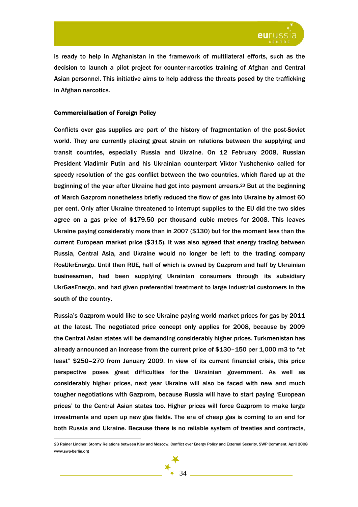

is ready to help in Afghanistan in the framework of multilateral efforts, such as the decision to launch a pilot project for counter-narcotics training of Afghan and Central Asian personnel. This initiative aims to help address the threats posed by the trafficking in Afghan narcotics.

## Commercialisation of Foreign Policy

 $\overline{a}$ 

Conflicts over gas supplies are part of the history of fragmentation of the post-Soviet world. They are currently placing great strain on relations between the supplying and transit countries, especially Russia and Ukraine. On 12 February 2008, Russian President Vladimir Putin and his Ukrainian counterpart Viktor Yushchenko called for speedy resolution of the gas conflict between the two countries, which flared up at the beginning of the year after Ukraine had got into payment arrears.<sup>23</sup> But at the beginning of March Gazprom nonetheless briefly reduced the flow of gas into Ukraine by almost 60 per cent. Only after Ukraine threatened to interrupt supplies to the EU did the two sides agree on a gas price of \$179.50 per thousand cubic metres for 2008. This leaves Ukraine paying considerably more than in 2007 (\$130) but for the moment less than the current European market price (\$315). It was also agreed that energy trading between Russia, Central Asia, and Ukraine would no longer be left to the trading company RosUkrEnergo. Until then RUE, half of which is owned by Gazprom and half by Ukrainian businessmen, had been supplying Ukrainian consumers through its subsidiary UkrGasEnergo, and had given preferential treatment to large industrial customers in the south of the country.

Russia's Gazprom would like to see Ukraine paying world market prices for gas by 2011 at the latest. The negotiated price concept only applies for 2008, because by 2009 the Central Asian states will be demanding considerably higher prices. Turkmenistan has already announced an increase from the current price of \$130–150 per 1,000 m3 to "at least" \$250–270 from January 2009. In view of its current financial crisis, this price perspective poses great difficulties for the Ukrainian government. As well as considerably higher prices, next year Ukraine will also be faced with new and much tougher negotiations with Gazprom, because Russia will have to start paying 'European prices' to the Central Asian states too. Higher prices will force Gazprom to make large investments and open up new gas fields. The era of cheap gas is coming to an end for both Russia and Ukraine. Because there is no reliable system of treaties and contracts,

<sup>23</sup> Rainer Lindner: Stormy Relations between Kiev and Moscow. Conflict over Energy Policy and External Security, SWP Comment, April 2008 www.swp-berlin.org

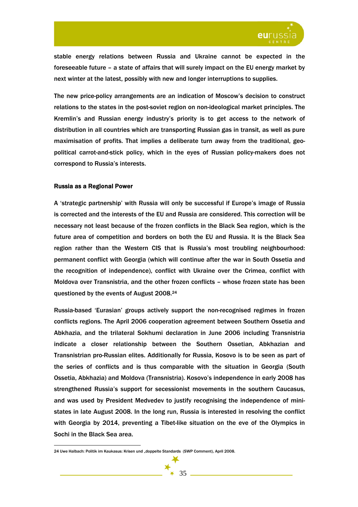

stable energy relations between Russia and Ukraine cannot be expected in the foreseeable future – a state of affairs that will surely impact on the EU energy market by next winter at the latest, possibly with new and longer interruptions to supplies.

The new price-policy arrangements are an indication of Moscow's decision to construct relations to the states in the post-soviet region on non-ideological market principles. The Kremlin's and Russian energy industry's priority is to get access to the network of distribution in all countries which are transporting Russian gas in transit, as well as pure maximisation of profits. That implies a deliberate turn away from the traditional, geopolitical carrot-and-stick policy, which in the eyes of Russian policy-makers does not correspond to Russia's interests.

## Russia as a Regional Power

 $\overline{a}$ 

A 'strategic partnership' with Russia will only be successful if Europe's image of Russia is corrected and the interests of the EU and Russia are considered. This correction will be necessary not least because of the frozen conflicts in the Black Sea region, which is the future area of competition and borders on both the EU and Russia. It is the Black Sea region rather than the Western CIS that is Russia's most troubling neighbourhood: permanent conflict with Georgia (which will continue after the war in South Ossetia and the recognition of independence), conflict with Ukraine over the Crimea, conflict with Moldova over Transnistria, and the other frozen conflicts – whose frozen state has been questioned by the events of August 2008.24

Russia-based 'Eurasian' groups actively support the non-recognised regimes in frozen conflicts regions. The April 2006 cooperation agreement between Southern Ossetia and Abkhazia, and the trilateral Sokhumi declaration in June 2006 including Transnistria indicate a closer relationship between the Southern Ossetian, Abkhazian and Transnistrian pro-Russian elites. Additionally for Russia, Kosovo is to be seen as part of the series of conflicts and is thus comparable with the situation in Georgia (South Ossetia, Abkhazia) and Moldova (Transnistria). Kosovo's independence in early 2008 has strengthened Russia's support for secessionist movements in the southern Caucasus, and was used by President Medvedev to justify recognising the independence of ministates in late August 2008. In the long run, Russia is interested in resolving the conflict with Georgia by 2014, preventing a Tibet-like situation on the eve of the Olympics in Sochi in the Black Sea area.

<sup>24</sup> Uwe Halbach: Politik im Kaukasus: Krisen und "doppelte Standards (SWP Comment), April 2008.

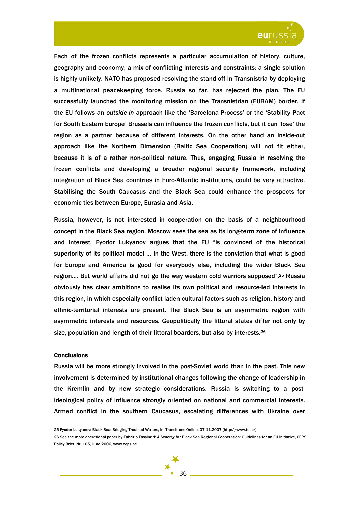

Each of the frozen conflicts represents a particular accumulation of history, culture, geography and economy; a mix of conflicting interests and constraints: a single solution is highly unlikely. NATO has proposed resolving the stand-off in Transnistria by deploying a multinational peacekeeping force. Russia so far, has rejected the plan. The EU successfully launched the monitoring mission on the Transnistrian (EUBAM) border. If the EU follows an *outside-in* approach like the 'Barcelona-Process' or the 'Stability Pact for South Eastern Europe' Brussels can influence the frozen conflicts, but it can 'lose' the region as a partner because of different interests. On the other hand an inside-out approach like the Northern Dimension (Baltic Sea Cooperation) will not fit either, because it is of a rather non-political nature. Thus, engaging Russia in resolving the frozen conflicts and developing a broader regional security framework, including integration of Black Sea countries in Euro-Atlantic institutions, could be very attractive. Stabilising the South Caucasus and the Black Sea could enhance the prospects for economic ties between Europe, Eurasia and Asia.

Russia, however, is not interested in cooperation on the basis of a neighbourhood concept in the Black Sea region. Moscow sees the sea as its long-term zone of influence and interest. Fyodor Lukyanov argues that the EU "is convinced of the historical superiority of its political model … In the West, there is the conviction that what is good for Europe and America is good for everybody else, including the wider Black Sea region…. But world affairs did not go the way western cold warriors supposed".25 Russia obviously has clear ambitions to realise its own political and resource-led interests in this region, in which especially conflict-laden cultural factors such as religion, history and ethnic-territorial interests are present. The Black Sea is an asymmetric region with asymmetric interests and resources. Geopolitically the littoral states differ not only by size, population and length of their littoral boarders, but also by interests.<sup>26</sup>

### **Conclusions**

 $\overline{a}$ 

Russia will be more strongly involved in the post-Soviet world than in the past. This new involvement is determined by institutional changes following the change of leadership in the Kremlin and by new strategic considerations. Russia is switching to a postideological policy of influence strongly oriented on national and commercial interests. Armed conflict in the southern Caucasus, escalating differences with Ukraine over

<sup>26</sup> See the more operational paper by Fabrizio Tassinari: A Synergy for Black Sea Regional Cooperation: Guidelines for an EU Initiative, CEPS Policy Brief, Nr. 105, June 2006, www.ceps.be



<sup>25</sup> Fyodor Lukyanov: Black Sea: Bridging Troubled Waters, in: Transitions Online, 07.11.2007 (http://www.tol.cz)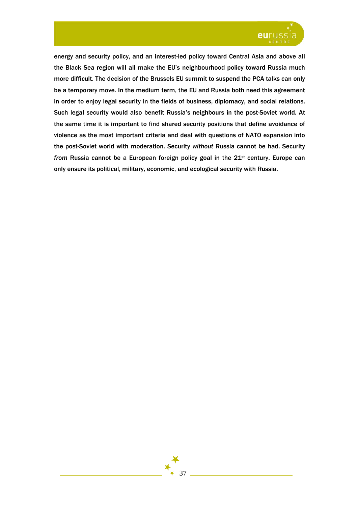

energy and security policy, and an interest-led policy toward Central Asia and above all the Black Sea region will all make the EU's neighbourhood policy toward Russia much more difficult. The decision of the Brussels EU summit to suspend the PCA talks can only be a temporary move. In the medium term, the EU and Russia both need this agreement in order to enjoy legal security in the fields of business, diplomacy, and social relations. Such legal security would also benefit Russia's neighbours in the post-Soviet world. At the same time it is important to find shared security positions that define avoidance of violence as the most important criteria and deal with questions of NATO expansion into the post-Soviet world with moderation. Security *without* Russia cannot be had. Security *from* Russia cannot be a European foreign policy goal in the 21st century. Europe can only ensure its political, military, economic, and ecological security with Russia.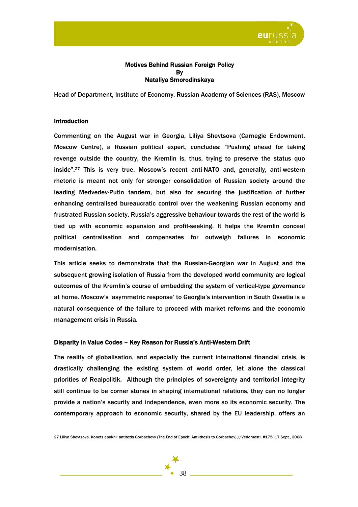

## Motives Behind Russian Foreign Policy By Nataliya Smorodinskaya

Head of Department, Institute of Economy, Russian Academy of Sciences (RAS), Moscow

## Introduction

 $\overline{a}$ 

Commenting on the August war in Georgia, Liliya Shevtsova (Carnegie Endowment, Moscow Centre), a Russian political expert, concludes: "Pushing ahead for taking revenge outside the country, the Kremlin is, thus, trying to preserve the status quo inside".27 This is very true. Moscow's recent anti-NATO and, generally, anti-western rhetoric is meant not only for stronger consolidation of Russian society around the leading Medvedev-Putin tandem, but also for securing the justification of further enhancing centralised bureaucratic control over the weakening Russian economy and frustrated Russian society. Russia's aggressive behaviour towards the rest of the world is tied up with economic expansion and profit-seeking. It helps the Kremlin conceal political centralisation and compensates for outweigh failures in economic modernisation.

This article seeks to demonstrate that the Russian-Georgian war in August and the subsequent growing isolation of Russia from the developed world community are logical outcomes of the Kremlin's course of embedding the system of vertical-type governance at home. Moscow's 'asymmetric response' to Georgia's intervention in South Ossetia is a natural consequence of the failure to proceed with market reforms and the economic management crisis in Russia.

## Disparity in Value Codes – Key Reason for Russia's Anti-Western Drift

The reality of globalisation, and especially the current international financial crisis, is drastically challenging the existing system of world order, let alone the classical priorities of Realpolitik. Although the principles of sovereignty and territorial integrity still continue to be corner stones in shaping international relations, they can no longer provide a nation's security and independence, even more so its economic security. The contemporary approach to economic security, shared by the EU leadership, offers an

<sup>27</sup> Liliya Shevtsova. Konets epokhi: antitezis Gorbachevy (The End of Epoch: Anti-thesis to Gorbachev) //Vedomosti, #175, 17 Sept., 2008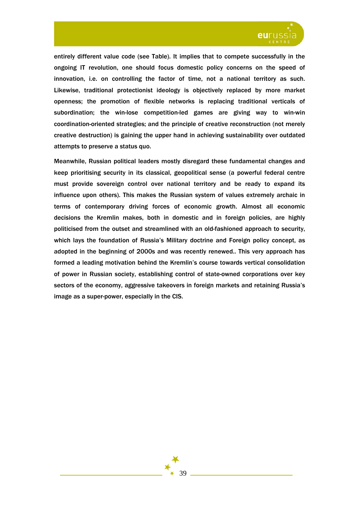

entirely different value code (see Table). It implies that to compete successfully in the ongoing IT revolution, one should focus domestic policy concerns on the speed of innovation, i.e. on controlling the factor of time, not a national territory as such. Likewise, traditional protectionist ideology is objectively replaced by more market openness; the promotion of flexible networks is replacing traditional verticals of subordination; the win-lose competition-led games are giving way to win-win coordination-oriented strategies; and the principle of creative reconstruction (not merely creative destruction) is gaining the upper hand in achieving sustainability over outdated attempts to preserve a status quo.

Meanwhile, Russian political leaders mostly disregard these fundamental changes and keep prioritising security in its classical, geopolitical sense (a powerful federal centre must provide sovereign control over national territory and be ready to expand its influence upon others). This makes the Russian system of values extremely archaic in terms of contemporary driving forces of economic growth. Almost all economic decisions the Kremlin makes, both in domestic and in foreign policies, are highly politicised from the outset and streamlined with an old-fashioned approach to security, which lays the foundation of Russia's Military doctrine and Foreign policy concept, as adopted in the beginning of 2000s and was recently renewed.. This very approach has formed a leading motivation behind the Kremlin's course towards vertical consolidation of power in Russian society, establishing control of state-owned corporations over key sectors of the economy, aggressive takeovers in foreign markets and retaining Russia's image as a super-power, especially in the CIS.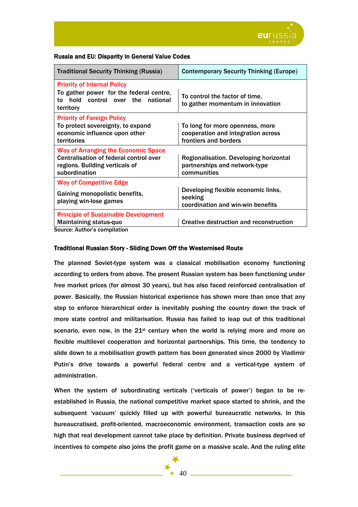

## Russia and EU: Disparity in General Value Codes

| <b>Traditional Security Thinking (Russia)</b>                                                                                           | <b>Contemporary Security Thinking (Europe)</b>                                                 |
|-----------------------------------------------------------------------------------------------------------------------------------------|------------------------------------------------------------------------------------------------|
| <b>Priority of Internal Policy</b><br>To gather power for the federal centre,<br>hold control over the<br>national<br>to<br>territory   | To control the factor of time,<br>to gather momentum in innovation                             |
| <b>Priority of Foreign Policy</b><br>To protect sovereignty, to expand<br>economic influence upon other<br>territories                  | To long for more openness, more<br>cooperation and integration across<br>frontiers and borders |
| <b>Way of Arranging the Economic Space</b><br>Centralisation of federal control over<br>regions. Building verticals of<br>subordination | Regionalisation. Developing horizontal<br>partnerships and network-type<br>communities         |
| <b>Way of Competitive Edge</b><br>Gaining monopolistic benefits,<br>playing win-lose games                                              | Developing flexible economic links,<br>seeking<br>coordination and win-win benefits            |
| <b>Principle of Sustainable Development</b><br><b>Maintaining status-quo</b><br>Source: Author's compilation                            | Creative destruction and reconstruction                                                        |

## Traditional Russian Story - Sliding Down Off the Westernised Route

The planned Soviet-type system was a classical mobilisation economy functioning according to orders from above. The present Russian system has been functioning under free market prices (for almost 30 years), but has also faced reinforced centralisation of power. Basically, the Russian historical experience has shown more than once that any step to enforce hierarchical order is inevitably pushing the country down the track of more state control and militarisation. Russia has failed to leap out of this traditional scenario, even now, in the  $21<sup>st</sup>$  century when the world is relying more and more on flexible multilevel cooperation and horizontal partnerships. This time, the tendency to slide down to a mobilisation growth pattern has been generated since 2000 by Vladimir Putin's drive towards a powerful federal centre and a vertical-type system of administration.

When the system of subordinating verticals ('verticals of power') began to be reestablished in Russia, the national competitive market space started to shrink, and the subsequent 'vacuum' quickly filled up with powerful bureaucratic networks. In this bureaucratised, profit-oriented, macroeconomic environment, transaction costs are so high that real development cannot take place by definition. Private business deprived of incentives to compete also joins the profit game on a massive scale. And the ruling elite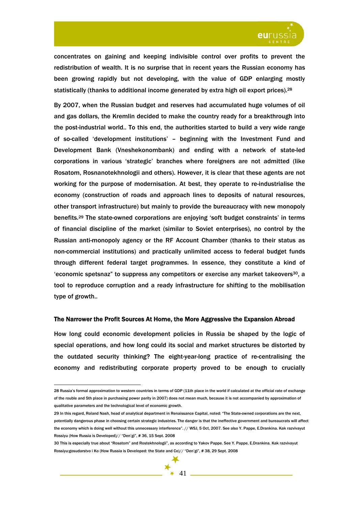

concentrates on gaining and keeping indivisible control over profits to prevent the redistribution of wealth. It is no surprise that in recent years the Russian economy has been growing rapidly but not developing, with the value of GDP enlarging mostly statistically (thanks to additional income generated by extra high oil export prices).<sup>28</sup>

By 2007, when the Russian budget and reserves had accumulated huge volumes of oil and gas dollars, the Kremlin decided to make the country ready for a breakthrough into the post-industrial world.. To this end, the authorities started to build a very wide range of so-called 'development institutions' – beginning with the Investment Fund and Development Bank (Vneshekonombank) and ending with a network of state-led corporations in various 'strategic' branches where foreigners are not admitted (like Rosatom, Rosnanotekhnologii and others). However, it is clear that these agents are not working for the purpose of modernisation. At best, they operate to re-industrialise the economy (construction of roads and approach lines to deposits of natural resources, other transport infrastructure) but mainly to provide the bureaucracy with new monopoly benefits.29 The state-owned corporations are enjoying 'soft budget constraints' in terms of financial discipline of the market (similar to Soviet enterprises), no control by the Russian anti-monopoly agency or the RF Account Chamber (thanks to their status as non-commercial institutions) and practically unlimited access to federal budget funds through different federal target programmes. In essence, they constitute a kind of  $e^2$  / economic spetsnaz" to suppress any competitors or exercise any market takeovers<sup>30</sup>, a tool to reproduce corruption and a ready infrastructure for shifting to the mobilisation type of growth..

#### The Narrower the Profit Sources At Home, the More Aggressive the Expansion Abroad

How long could economic development policies in Russia be shaped by the logic of special operations, and how long could its social and market structures be distorted by the outdated security thinking? The eight-year-long practice of re-centralising the economy and redistributing corporate property proved to be enough to crucially

<sup>28</sup> Russia's formal approximation to western countries in terms of GDP (11th place in the world if calculated at the official rate of exchange of the rouble and 5th place in purchasing power parity in 2007) does not mean much, because it is not accompanied by approximation of qualitative parameters and the technological level of economic growth.

<sup>29</sup> In this regard, Roland Nash, head of analytical department in Renaissance Capital, noted: "The State-owned corporations are the next, potentially dangerous phase in choosing certain strategic industries. The danger is that the ineffective government and bureaucrats will affect the economy which is doing well without this unnecessary interference". // WSJ, 5 Oct, 2007. See also Y. Pappe, E.Drankina. Kak razvivayut Rossiyu (How Russia is Developed)// "Den'gi", # 36, 15 Sept. 2008

<sup>30</sup> This is especially true about "Rosatom" and Rostekhnologii", as according to Yakov Pappe. See Y. Pappe, E.Drankina. Kak razvivayut Rossiyu:gosudarstvo i Ko (How Russia is Developed: the State and Co)// "Den'gi", # 38, 29 Sept. 2008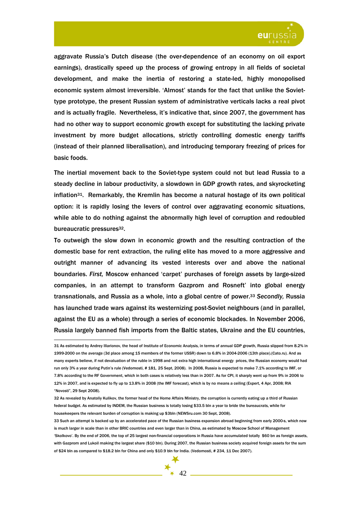

aggravate Russia's Dutch disease (the over-dependence of an economy on oil export earnings), drastically speed up the process of growing entropy in all fields of societal development, and make the inertia of restoring a state-led, highly monopolised economic system almost irreversible. 'Almost' stands for the fact that unlike the Soviettype prototype, the present Russian system of administrative verticals lacks a real pivot and is actually fragile. Nevertheless, it's indicative that, since 2007, the government has had no other way to support economic growth except for substituting the lacking private investment by more budget allocations, strictly controlling domestic energy tariffs (instead of their planned liberalisation), and introducing temporary freezing of prices for basic foods.

The inertial movement back to the Soviet-type system could not but lead Russia to a steady decline in labour productivity, a slowdown in GDP growth rates, and skyrocketing inflation31. Remarkably, the Kremlin has become a natural hostage of its own political option: it is rapidly losing the levers of control over aggravating economic situations, while able to do nothing against the abnormally high level of corruption and redoubled bureaucratic pressures<sup>32</sup>.

To outweigh the slow down in economic growth and the resulting contraction of the domestic base for rent extraction, the ruling elite has moved to a more aggressive and outright manner of advancing its vested interests over and above the national boundaries. *First,* Moscow enhanced 'carpet' purchases of foreign assets by large-sized companies, in an attempt to transform Gazprom and Rosneft' into global energy transnationals, and Russia as a whole, into a global centre of power.33 *Secondly,* Russia has launched trade wars against its westernizing post-Soviet neighbours (and in parallel, against the EU as a whole) through a series of economic blockades. In November 2006, Russia largely banned fish imports from the Baltic states, Ukraine and the EU countries,

<sup>31</sup> As estimated by Andrey Illarionov, the head of Institute of Economic Analysis, in terms of annual GDP growth, Russia slipped from 8.2% in 1999-2000 on the average (3d place among 15 members of the former USSR) down to 6.8% in 2004-2006 (13th place).(Cato.ru). And as many experts believe, if not devaluation of the ruble in 1998 and not extra high international energy prices, the Russian economy would had run only 3% a year during Putin's rule (Vedomosti, # 181, 25 Sept, 2008). In 2008, Russia is expected to make 7.1% according to IMF, or 7.8% according to the RF Government, which in both cases is relatively less than in 2007. As for CPI, it sharply went up from 9% in 2006 to 12% in 2007, and is expected to fly up to 13.8% in 2008 (the IMF forecast), which is by no means a ceiling (Expert, 4 Apr, 2008; RIA "Novosti", 29 Sept 2008).

<sup>32</sup> As revealed by Anatoliy Kulikov, the former head of the Home Affairs Ministry, the corruption is currently eating up a third of Russian federal budget. As estimated by INDEM, the Russian business is totally losing \$33.5 bln a year to bride the bureaucrats, while for housekeepers the relevant burden of corruption is making up \$3bln (NEWSru.com 30 Sept, 2008).

<sup>33</sup> Such an attempt is backed up by an accelerated pace of the Russian business expansion abroad beginning from early 2000-s, which now is much larger in scale than in other BRIC countries and even larger than in China, as estimated by Moscow School of Management 'Skolkovo'. By the end of 2006, the top of 25 largest non-financial corporations in Russia have accumulated totally \$60 bn as foreign assets, with Gazprom and Lukoil making the largest share (\$10 bln). During 2007, the Russian business society acquired foreign assets for the sum of \$24 bln as compared to \$18.2 bln for China and only \$10.9 bln for India. (Vedomosti, # 234, 11 Dec 2007).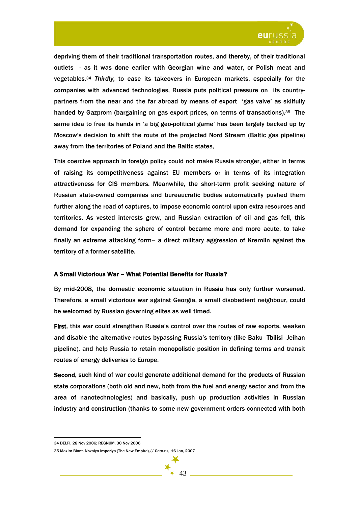

depriving them of their traditional transportation routes, and thereby, of their traditional outlets - as it was done earlier with Georgian wine and water, or Polish meat and vegetables.34 *Thirdly,* to ease its takeovers in European markets, especially for the companies with advanced technologies, Russia puts political pressure on its countrypartners from the near and the far abroad by means of export 'gas valve' as skilfully handed by Gazprom (bargaining on gas export prices, on terms of transactions).35 The same idea to free its hands in 'a big geo-political game' has been largely backed up by Moscow's decision to shift the route of the projected Nord Stream (Baltic gas pipeline) away from the territories of Poland and the Baltic states,

This coercive approach in foreign policy could not make Russia stronger, either in terms of raising its competitiveness against EU members or in terms of its integration attractiveness for CIS members. Meanwhile, the short-term profit seeking nature of Russian state-owned companies and bureaucratic bodies automatically pushed them further along the road of captures, to impose economic control upon extra resources and territories. As vested interests grew, and Russian extraction of oil and gas fell, this demand for expanding the sphere of control became more and more acute, to take finally an extreme attacking form*–* a direct military aggression of Kremlin against the territory of a former satellite.

## A Small Victorious War – What Potential Benefits for Russia?

By mid-2008, the domestic economic situation in Russia has only further worsened. Therefore, a small victorious war against Georgia, a small disobedient neighbour, could be welcomed by Russian governing elites as well timed.

First, this war could strengthen Russia's control over the routes of raw exports, weaken and disable the alternative routes bypassing Russia's territory (like Baku–Tbilisi–Jeihan pipeline), and help Russia to retain monopolistic position in defining terms and transit routes of energy deliveries to Europe.

Second, such kind of war could generate additional demand for the products of Russian state corporations (both old and new, both from the fuel and energy sector and from the area of nanotechnologies) and basically, push up production activities in Russian industry and construction (thanks to some new government orders connected with both

<sup>34</sup> DELFI, 28 Nov 2006; REGNUM, 30 Nov 2006

<sup>35</sup> Maxim Blant. Novaiya imperiya (The New Empire).// Cato.ru, 16 Jan, 2007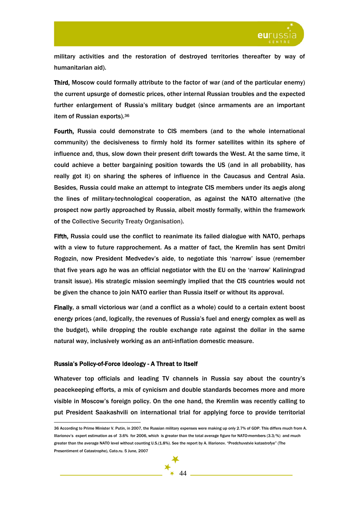

military activities and the restoration of destroyed territories thereafter by way of humanitarian aid).

Third, Moscow could formally attribute to the factor of war (and of the particular enemy) the current upsurge of domestic prices, other internal Russian troubles and the expected further enlargement of Russia's military budget (since armaments are an important item of Russian exports).36

Fourth, Russia could demonstrate to CIS members (and to the whole international community) the decisiveness to firmly hold its former satellites within its sphere of influence and, thus, slow down their present drift towards the West. At the same time, it could achieve a better bargaining position towards the US (and in all probability, has really got it) on sharing the spheres of influence in the Caucasus and Central Asia. Besides, Russia could make an attempt to integrate CIS members under its aegis along the lines of military-technological cooperation, as against the NATO alternative (the prospect now partly approached by Russia, albeit mostly formally, within the framework of the Collective Security Treaty Organisation).

Fifth, Russia could use the conflict to reanimate its failed dialogue with NATO, perhaps with a view to future rapprochement. As a matter of fact, the Kremlin has sent Dmitri Rogozin, now President Medvedev's aide, to negotiate this 'narrow' issue (remember that five years ago he was an official negotiator with the EU on the 'narrow' Kaliningrad transit issue). His strategic mission seemingly implied that the CIS countries would not be given the chance to join NATO earlier than Russia itself or without its approval.

Finally, a small victorious war (and a conflict as a whole) could to a certain extent boost energy prices (and, logically, the revenues of Russia's fuel and energy complex as well as the budget), while dropping the rouble exchange rate against the dollar in the same natural way, inclusively working as an anti-inflation domestic measure.

## Russia's Policy-of-Force Ideology - A Threat to Itself

 $\overline{a}$ 

Whatever top officials and leading TV channels in Russia say about the country's peacekeeping efforts, a mix of cynicism and double standards becomes more and more visible in Moscow's foreign policy. On the one hand, the Kremlin was recently calling to put President Saakashvili on international trial for applying force to provide territorial

<sup>36</sup> According to Prime Minister V. Putin, in 2007, the Russian military expenses were making up only 2.7% of GDP. This differs much from A. Illarionov's expert estimation as of 3.6% for 2006, which is greater than the total average figure for NATO-members (3.3/%) and much greater than the average NATO level without counting U.S.(1.8%). See the report by A. Illarionov. "Predchuvstvie katastrofye" (The Presentiment of Catastrophe), Cato.ru. 5 June, 2007

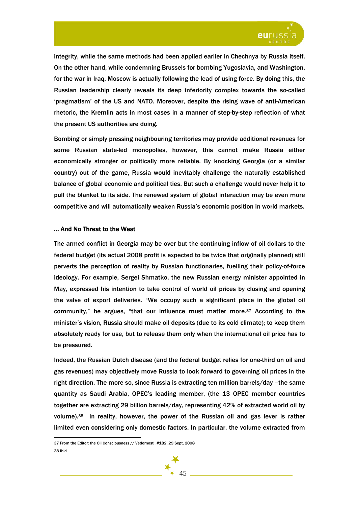

integrity, while the same methods had been applied earlier in Chechnya by Russia itself. On the other hand, while condemning Brussels for bombing Yugoslavia, and Washington, for the war in Iraq, Moscow is actually following the lead of using force. By doing this, the Russian leadership clearly reveals its deep inferiority complex towards the so-called 'pragmatism' of the US and NATO. Moreover, despite the rising wave of anti-American rhetoric, the Kremlin acts in most cases in a manner of step-by-step reflection of what the present US authorities are doing.

Bombing or simply pressing neighbouring territories may provide additional revenues for some Russian state-led monopolies, however, this cannot make Russia either economically stronger or politically more reliable. By knocking Georgia (or a similar country) out of the game, Russia would inevitably challenge the naturally established balance of global economic and political ties. But such a challenge would never help it to pull the blanket to its side. The renewed system of global interaction may be even more competitive and will automatically weaken Russia's economic position in world markets.

### … And No Threat to the West

The armed conflict in Georgia may be over but the continuing inflow of oil dollars to the federal budget (its actual 2008 profit is expected to be twice that originally planned) still perverts the perception of reality by Russian functionaries, fuelling their policy-of-force ideology. For example, Sergei Shmatko, the new Russian energy minister appointed in May, expressed his intention to take control of world oil prices by closing and opening the valve of export deliveries. "We occupy such a significant place in the global oil community," he argues, "that our influence must matter more.37 According to the minister's vision, Russia should make oil deposits (due to its cold climate); to keep them absolutely ready for use, but to release them only when the international oil price has to be pressured.

Indeed, the Russian Dutch disease (and the federal budget relies for one-third on oil and gas revenues) may objectively move Russia to look forward to governing oil prices in the right direction. The more so, since Russia is extracting ten million barrels/day –the same quantity as Saudi Arabia, OPEC's leading member, (the 13 OPEC member countries together are extracting 29 billion barrels/day, representing 42% of extracted world oil by volume).38 In reality, however, the power of the Russian oil and gas lever is rather limited even considering only domestic factors. In particular, the volume extracted from

45

<sup>37</sup> From the Editor: the Oil Consciousness // Vedomosti, #182, 29 Sept, 2008 38 Ibid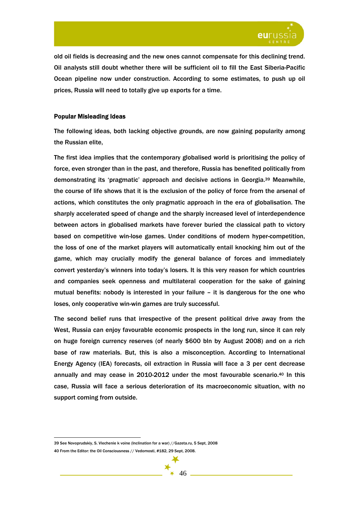

old oil fields is decreasing and the new ones cannot compensate for this declining trend. Oil analysts still doubt whether there will be sufficient oil to fill the East Siberia-Pacific Ocean pipeline now under construction. According to some estimates, to push up oil prices, Russia will need to totally give up exports for a time.

## Popular Misleading Ideas

The following ideas, both lacking objective grounds, are now gaining popularity among the Russian elite,

The first idea implies that the contemporary globalised world is prioritising the policy of force, even stronger than in the past, and therefore, Russia has benefited politically from demonstrating its 'pragmatic' approach and decisive actions in Georgia.39 Meanwhile, the course of life shows that it is the exclusion of the policy of force from the arsenal of actions, which constitutes the only pragmatic approach in the era of globalisation. The sharply accelerated speed of change and the sharply increased level of interdependence between actors in globalised markets have forever buried the classical path to victory based on competitive win-lose games. Under conditions of modern hyper-competition, the loss of one of the market players will automatically entail knocking him out of the game, which may crucially modify the general balance of forces and immediately convert yesterday's winners into today's losers. It is this very reason for which countries and companies seek openness and multilateral cooperation for the sake of gaining mutual benefits: nobody is interested in your failure – it is dangerous for the one who loses, only cooperative win-win games are truly successful.

The second belief runs that irrespective of the present political drive away from the West, Russia can enjoy favourable economic prospects in the long run, since it can rely on huge foreign currency reserves (of nearly \$600 bln by August 2008) and on a rich base of raw materials. But, this is also a misconception. According to International Energy Agency (IEA) forecasts, oil extraction in Russia will face a 3 per cent decrease annually and may cease in 2010-2012 under the most favourable scenario.40 In this case, Russia will face a serious deterioration of its macroeconomic situation, with no support coming from outside.



<sup>39</sup> See Novoprudskiy, S. Vlechenie k voine (Inclination for a war) //Gazeta.ru, 5 Sept, 2008

<sup>40</sup> From the Editor: the Oil Consciousness // Vedomosti, #182, 29 Sept, 2008.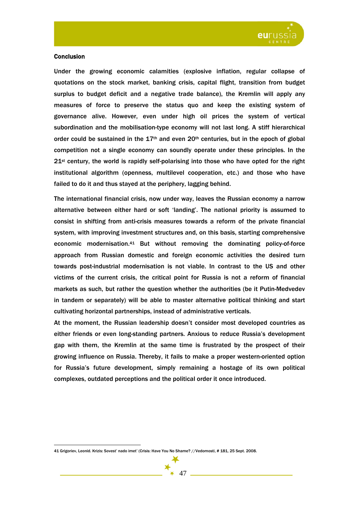

## **Conclusion**

 $\overline{a}$ 

Under the growing economic calamities (explosive inflation, regular collapse of quotations on the stock market, banking crisis, capital flight, transition from budget surplus to budget deficit and a negative trade balance), the Kremlin will apply any measures of force to preserve the status quo and keep the existing system of governance alive. However, even under high oil prices the system of vertical subordination and the mobilisation-type economy will not last long. A stiff hierarchical order could be sustained in the  $17<sup>th</sup>$  and even 20<sup>th</sup> centuries, but in the epoch of global competition not a single economy can soundly operate under these principles. In the 21st century, the world is rapidly self-polarising into those who have opted for the right institutional algorithm (openness, multilevel cooperation, etc.) and those who have failed to do it and thus stayed at the periphery, lagging behind.

The international financial crisis, now under way, leaves the Russian economy a narrow alternative between either hard or soft 'landing'. The national priority is assumed to consist in shifting from anti-crisis measures towards a reform of the private financial system, with improving investment structures and, on this basis, starting comprehensive economic modernisation.41 But without removing the dominating policy-of-force approach from Russian domestic and foreign economic activities the desired turn towards post-industrial modernisation is not viable. In contrast to the US and other victims of the current crisis, the critical point for Russia is not a reform of financial markets as such, but rather the question whether the authorities (be it Putin-Medvedev in tandem or separately) will be able to master alternative political thinking and start cultivating horizontal partnerships, instead of administrative verticals.

At the moment, the Russian leadership doesn't consider most developed countries as either friends or even long-standing partners. Anxious to reduce Russia's development gap with them, the Kremlin at the same time is frustrated by the prospect of their growing influence on Russia. Thereby, it fails to make a proper western-oriented option for Russia's future development, simply remaining a hostage of its own political complexes, outdated perceptions and the political order it once introduced.

<sup>41</sup> Grigoriev, Leonid. Krizis: Sovest' nado imet' (Crisis: Have You No Shame? //Vedomosti, # 181, 25 Sept. 2008.

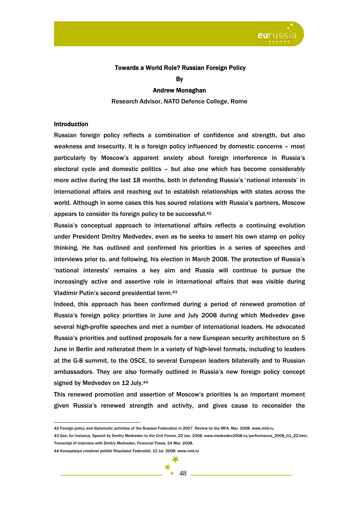

# Towards a World Role? Russian Foreign Policy

By

## Andrew Monaghan

Research Advisor, NATO Defence College, Rome

## **Introduction**

 $\overline{a}$ 

Russian foreign policy reflects a combination of confidence and strength, but also weakness and insecurity. It is a foreign policy influenced by domestic concerns – most particularly by Moscow's apparent anxiety about foreign interference in Russia's electoral cycle and domestic politics – but also one which has become considerably more active during the last 18 months, both in defending Russia's 'national interests' in international affairs and reaching out to establish relationships with states across the world. Although in some cases this has soured relations with Russia's partners, Moscow appears to consider its foreign policy to be successful.42

Russia's conceptual approach to international affairs reflects a continuing evolution under President Dmitry Medvedev, even as he seeks to assert his own stamp on policy thinking. He has outlined and confirmed his priorities in a series of speeches and interviews prior to, and following, his election in March 2008. The protection of Russia's 'national interests' remains a key aim and Russia will continue to pursue the increasingly active and assertive role in international affairs that was visible during Vladimir Putin's second presidential term.43

Indeed, this approach has been confirmed during a period of renewed promotion of Russia's foreign policy priorities in June and July 2008 during which Medvedev gave several high-profile speeches and met a number of international leaders. He advocated Russia's priorities and outlined proposals for a new European security architecture on 5 June in Berlin and reiterated them in a variety of high-level formats, including to leaders at the G-8 summit, to the OSCE, to several European leaders bilaterally and to Russian ambassadors. They are also formally outlined in Russia's new foreign policy concept signed by Medvedev on 12 July.44

This renewed promotion and assertion of Moscow's priorities is an important moment given Russia's renewed strength and activity, and gives cause to reconsider the

<sup>44</sup> Konseptsiya vneshnei politiki Rossiiskoi Federatsii, 12 Jul. 2008. www.mid.ru



<sup>42</sup> Foreign policy and diplomatic activities of the Russian Federation in 2007. Review by the MFA. Mar. 2008. www.mid.ru.

<sup>43</sup> See, for instance, Speech by Dmitry Medvedev to the Civil Forum, 22 Jan. 2008. www.medvedev2008.ru/performance\_2008\_01\_22.htm; Transcript of Interview with Dmitry Medvedev, Financial Times, 24 Mar. 2008.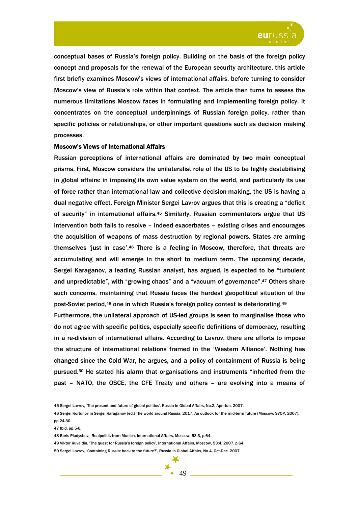

conceptual bases of Russia's foreign policy. Building on the basis of the foreign policy concept and proposals for the renewal of the European security architecture, this article first briefly examines Moscow's views of international affairs, before turning to consider Moscow's view of Russia's role within that context. The article then turns to assess the numerous limitations Moscow faces in formulating and implementing foreign policy. It concentrates on the conceptual underpinnings of Russian foreign policy, rather than specific policies or relationships, or other important questions such as decision making processes.

### Moscow's Views of International Affairs

Russian perceptions of international affairs are dominated by two main conceptual prisms. First, Moscow considers the unilateralist role of the US to be highly destabilising in global affairs: in imposing its own value system on the world, and particularly its use of force rather than international law and collective decision-making, the US is having a dual negative effect. Foreign Minister Sergei Lavrov argues that this is creating a "deficit of security" in international affairs.45 Similarly, Russian commentators argue that US intervention both fails to resolve – indeed exacerbates – existing crises and encourages the acquisition of weapons of mass destruction by regional powers. States are arming themselves 'just in case'.46 There is a feeling in Moscow, therefore, that threats are accumulating and will emerge in the short to medium term. The upcoming decade, Sergei Karaganov, a leading Russian analyst, has argued, is expected to be "turbulent and unpredictable", with "growing chaos" and a "vacuum of governance".47 Others share such concerns, maintaining that Russia faces the hardest geopolitical situation of the post-Soviet period,48 one in which Russia's foreign policy context is deteriorating.49

Furthermore, the unilateral approach of US-led groups is seen to marginalise those who do not agree with specific politics, especially specific definitions of democracy, resulting in a re-division of international affairs. According to Lavrov, there are efforts to impose the structure of international relations framed in the 'Western Alliance'. Nothing has changed since the Cold War, he argues, and a policy of containment of Russia is being pursued.50 He stated his alarm that organisations and instruments "inherited from the past – NATO, the OSCE, the CFE Treaty and others – are evolving into a means of

<sup>45</sup> Sergei Lavrov, 'The present and future of global politics', Russia in Global Affairs, No.2, Apr.-Jun. 2007.

<sup>46</sup> Sergei Kortunov in Sergei Karaganov (ed.) The world around Russia: 2017. An outlook for the mid-term future (Moscow: SVOP, 2007). pp.24-30.

<sup>47</sup> Ibid, pp.5-6.

<sup>48</sup> Boris Piadyshev, 'Realpolitik from Munich, International Affairs, Moscow, 53:3, p.64.

<sup>49</sup> Viktor Kuvaldin, 'The quest for Russia's foreign policy', International Affairs, Moscow, 53:4, 2007. p.64.

<sup>50</sup> Sergei Lavrov, 'Containing Russia: back to the future?', Russia in Global Affairs, No.4, Oct-Dec. 2007.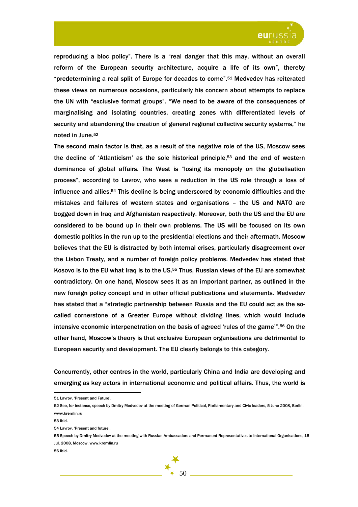

reproducing a bloc policy". There is a "real danger that this may, without an overall reform of the European security architecture, acquire a life of its own", thereby "predetermining a real split of Europe for decades to come".51 Medvedev has reiterated these views on numerous occasions, particularly his concern about attempts to replace the UN with "exclusive format groups". "We need to be aware of the consequences of marginalising and isolating countries, creating zones with differentiated levels of security and abandoning the creation of general regional collective security systems," he noted in June.52

The second main factor is that, as a result of the negative role of the US, Moscow sees the decline of 'Atlanticism' as the sole historical principle,53 and the end of western dominance of global affairs. The West is "losing its monopoly on the globalisation process", according to Lavrov, who sees a reduction in the US role through a loss of influence and allies.54 This decline is being underscored by economic difficulties and the mistakes and failures of western states and organisations – the US and NATO are bogged down in Iraq and Afghanistan respectively. Moreover, both the US and the EU are considered to be bound up in their own problems. The US will be focused on its own domestic politics in the run up to the presidential elections and their aftermath. Moscow believes that the EU is distracted by both internal crises, particularly disagreement over the Lisbon Treaty, and a number of foreign policy problems. Medvedev has stated that Kosovo is to the EU what Iraq is to the US.55 Thus, Russian views of the EU are somewhat contradictory. On one hand, Moscow sees it as an important partner, as outlined in the new foreign policy concept and in other official publications and statements. Medvedev has stated that a "strategic partnership between Russia and the EU could act as the socalled cornerstone of a Greater Europe without dividing lines, which would include intensive economic interpenetration on the basis of agreed 'rules of the game'".56 On the other hand, Moscow's theory is that exclusive European organisations are detrimental to European security and development. The EU clearly belongs to this category.

Concurrently, other centres in the world, particularly China and India are developing and emerging as key actors in international economic and political affairs. Thus, the world is

<sup>51</sup> Lavrov, 'Present and Future'.

<sup>52</sup> See, for instance, speech by Dmitry Medvedev at the meeting of German Political, Parliamentary and Civic leaders, 5 June 2008, Berlin. www.kremlin.ru

<sup>53</sup> Ibid.

<sup>54</sup> Lavrov, 'Present and future'.

<sup>55</sup> Speech by Dmitry Medvedev at the meeting with Russian Ambassadors and Permanent Representatives to International Organisations, 15 Jul. 2008, Moscow. www.kremlin.ru

<sup>56</sup> Ibid.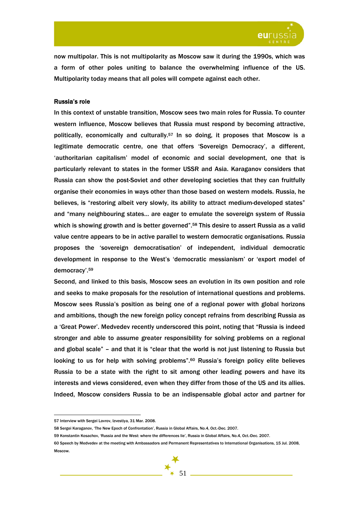

now multipolar. This is not multipolarity as Moscow saw it during the 1990s, which was a form of other poles uniting to balance the overwhelming influence of the US. Multipolarity today means that all poles will compete against each other.

## Russia's role

In this context of unstable transition, Moscow sees two main roles for Russia. To counter western influence, Moscow believes that Russia must respond by becoming attractive, politically, economically and culturally.57 In so doing, it proposes that Moscow is a legitimate democratic centre, one that offers 'Sovereign Democracy', a different, 'authoritarian capitalism' model of economic and social development, one that is particularly relevant to states in the former USSR and Asia. Karaganov considers that Russia can show the post-Soviet and other developing societies that they can fruitfully organise their economies in ways other than those based on western models. Russia, he believes, is "restoring albeit very slowly, its ability to attract medium-developed states" and "many neighbouring states… are eager to emulate the sovereign system of Russia which is showing growth and is better governed".<sup>58</sup> This desire to assert Russia as a valid value centre appears to be in active parallel to western democratic organisations. Russia proposes the 'sovereign democratisation' of independent, individual democratic development in response to the West's 'democratic messianism' or 'export model of democracy'.59

Second, and linked to this basis, Moscow sees an evolution in its own position and role and seeks to make proposals for the resolution of international questions and problems. Moscow sees Russia's position as being one of a regional power with global horizons and ambitions, though the new foreign policy concept refrains from describing Russia as a 'Great Power'. Medvedev recently underscored this point, noting that "Russia is indeed stronger and able to assume greater responsibility for solving problems on a regional and global scale" – and that it is "clear that the world is not just listening to Russia but looking to us for help with solving problems".<sup>60</sup> Russia's foreign policy elite believes Russia to be a state with the right to sit among other leading powers and have its interests and views considered, even when they differ from those of the US and its allies. Indeed, Moscow considers Russia to be an indispensable global actor and partner for

<sup>57</sup> Interview with Sergei Lavrov, Izvestiya, 31 Mar. 2008.

<sup>58</sup> Sergei Karaganov, 'The New Epoch of Confrontation', Russia in Global Affairs, No.4, Oct.-Dec. 2007.

<sup>59</sup> Konstantin Kosachov, 'Russia and the West: where the differences lie', Russia in Global Affairs, No.4, Oct.-Dec. 2007.

<sup>60</sup> Speech by Medvedev at the meeting with Ambassadors and Permanent Representatives to International Organisations, 15 Jul. 2008, Moscow.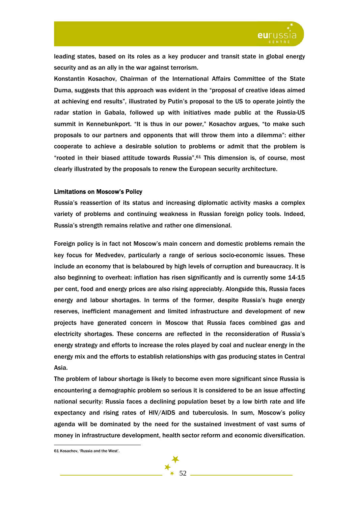

leading states, based on its roles as a key producer and transit state in global energy security and as an ally in the war against terrorism.

Konstantin Kosachov, Chairman of the International Affairs Committee of the State Duma, suggests that this approach was evident in the "proposal of creative ideas aimed at achieving end results", illustrated by Putin's proposal to the US to operate jointly the radar station in Gabala, followed up with initiatives made public at the Russia-US summit in Kennebunkport. "It is thus in our power," Kosachov argues, "to make such proposals to our partners and opponents that will throw them into a dilemma": either cooperate to achieve a desirable solution to problems or admit that the problem is "rooted in their biased attitude towards Russia".61 This dimension is, of course, most clearly illustrated by the proposals to renew the European security architecture.

### Limitations on Moscow's Policy

Russia's reassertion of its status and increasing diplomatic activity masks a complex variety of problems and continuing weakness in Russian foreign policy tools. Indeed, Russia's strength remains relative and rather one dimensional.

Foreign policy is in fact not Moscow's main concern and domestic problems remain the key focus for Medvedev, particularly a range of serious socio-economic issues. These include an economy that is belaboured by high levels of corruption and bureaucracy. It is also beginning to overheat: inflation has risen significantly and is currently some 14-15 per cent, food and energy prices are also rising appreciably. Alongside this, Russia faces energy and labour shortages. In terms of the former, despite Russia's huge energy reserves, inefficient management and limited infrastructure and development of new projects have generated concern in Moscow that Russia faces combined gas and electricity shortages. These concerns are reflected in the reconsideration of Russia's energy strategy and efforts to increase the roles played by coal and nuclear energy in the energy mix and the efforts to establish relationships with gas producing states in Central Asia.

The problem of labour shortage is likely to become even more significant since Russia is encountering a demographic problem so serious it is considered to be an issue affecting national security: Russia faces a declining population beset by a low birth rate and life expectancy and rising rates of HIV/AIDS and tuberculosis. In sum, Moscow's policy agenda will be dominated by the need for the sustained investment of vast sums of money in infrastructure development, health sector reform and economic diversification.

<sup>61</sup> Kosachov, 'Russia and the West'.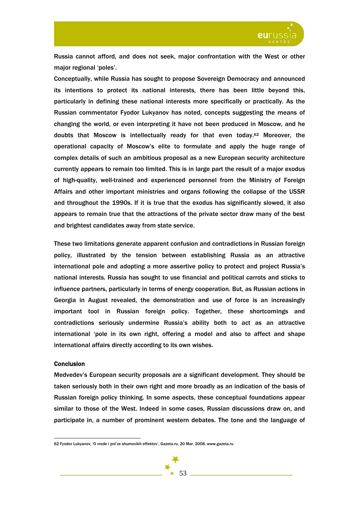

Russia cannot afford, and does not seek, major confrontation with the West or other major regional 'poles'.

Conceptually, while Russia has sought to propose Sovereign Democracy and announced its intentions to protect its national interests, there has been little beyond this, particularly in defining these national interests more specifically or practically. As the Russian commentator Fyodor Lukyanov has noted, concepts suggesting the means of changing the world, or even interpreting it have not been produced in Moscow, and he doubts that Moscow is intellectually ready for that even today.62 Moreover, the operational capacity of Moscow's elite to formulate and apply the huge range of complex details of such an ambitious proposal as a new European security architecture currently appears to remain too limited. This is in large part the result of a major exodus of high-quality, well-trained and experienced personnel from the Ministry of Foreign Affairs and other important ministries and organs following the collapse of the USSR and throughout the 1990s. If it is true that the exodus has significantly slowed, it also appears to remain true that the attractions of the private sector draw many of the best and brightest candidates away from state service.

These two limitations generate apparent confusion and contradictions in Russian foreign policy, illustrated by the tension between establishing Russia as an attractive international pole and adopting a more assertive policy to protect and project Russia's national interests. Russia has sought to use financial and political carrots and sticks to influence partners, particularly in terms of energy cooperation. But, as Russian actions in Georgia in August revealed, the demonstration and use of force is an increasingly important tool in Russian foreign policy. Together, these shortcomings and contradictions seriously undermine Russia's ability both to act as an attractive international 'pole in its own right, offering a model and also to affect and shape international affairs directly according to its own wishes.

### **Conclusion**

 $\overline{a}$ 

Medvedev's European security proposals are a significant development. They should be taken seriously both in their own right and more broadly as an indication of the basis of Russian foreign policy thinking. In some aspects, these conceptual foundations appear similar to those of the West. Indeed in some cases, Russian discussions draw on, and participate in, a number of prominent western debates. The tone and the language of

<sup>62</sup> Fyodor Lukyanov, 'O vrede i pol'ze shumovikh effektov', Gazeta.ru, 20 Mar. 2008. www.gazeta.ru

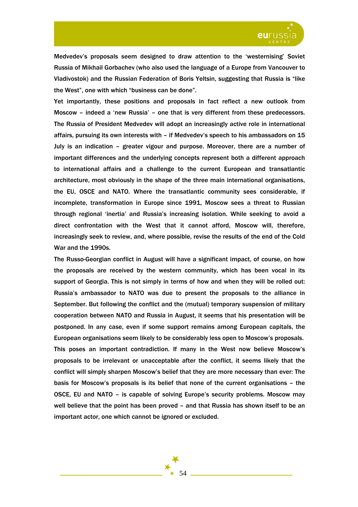

Medvedev's proposals seem designed to draw attention to the 'westernising' Soviet Russia of Mikhail Gorbachev (who also used the language of a Europe from Vancouver to Vladivostok) and the Russian Federation of Boris Yeltsin, suggesting that Russia is "like the West", one with which "business can be done".

Yet importantly, these positions and proposals in fact reflect a new outlook from Moscow – indeed a 'new Russia' – one that is very different from these predecessors. The Russia of President Medvedev will adopt an increasingly active role in international affairs, pursuing its own interests with – if Medvedev's speech to his ambassadors on 15 July is an indication – greater vigour and purpose. Moreover, there are a number of important differences and the underlying concepts represent both a different approach to international affairs and a challenge to the current European and transatlantic architecture, most obviously in the shape of the three main international organisations, the EU, OSCE and NATO. Where the transatlantic community sees considerable, if incomplete, transformation in Europe since 1991, Moscow sees a threat to Russian through regional 'inertia' and Russia's increasing isolation. While seeking to avoid a direct confrontation with the West that it cannot afford, Moscow will, therefore, increasingly seek to review, and, where possible, revise the results of the end of the Cold War and the 1990s.

The Russo-Georgian conflict in August will have a significant impact, of course, on how the proposals are received by the western community, which has been vocal in its support of Georgia. This is not simply in terms of how and when they will be rolled out: Russia's ambassador to NATO was due to present the proposals to the alliance in September. But following the conflict and the (mutual) temporary suspension of military cooperation between NATO and Russia in August, it seems that his presentation will be postponed. In any case, even if some support remains among European capitals, the European organisations seem likely to be considerably less open to Moscow's proposals. This poses an important contradiction. If many in the West now believe Moscow's proposals to be irrelevant or unacceptable after the conflict, it seems likely that the conflict will simply sharpen Moscow's belief that they are more necessary than ever: The basis for Moscow's proposals is its belief that none of the current organisations – the OSCE, EU and NATO – is capable of solving Europe's security problems. Moscow may well believe that the point has been proved – and that Russia has shown itself to be an important actor, one which cannot be ignored or excluded.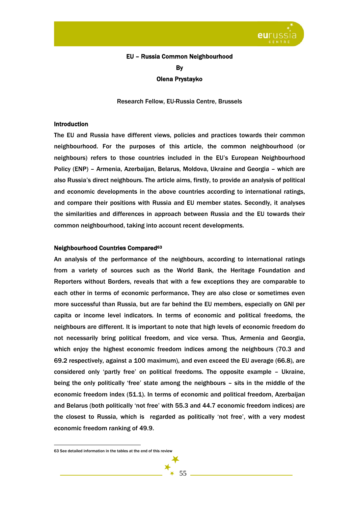

## EU – Russia Common Neighbourhood By Olena Prystayko

Research Fellow, EU-Russia Centre, Brussels

## Introduction

The EU and Russia have different views, policies and practices towards their common neighbourhood. For the purposes of this article, the common neighbourhood (or neighbours) refers to those countries included in the EU's European Neighbourhood Policy (ENP) – Armenia, Azerbaijan, Belarus, Moldova, Ukraine and Georgia – which are also Russia's direct neighbours. The article aims, firstly, to provide an analysis of political and economic developments in the above countries according to international ratings, and compare their positions with Russia and EU member states. Secondly, it analyses the similarities and differences in approach between Russia and the EU towards their common neighbourhood, taking into account recent developments.

### Neighbourhood Countries Compared63

An analysis of the performance of the neighbours, according to international ratings from a variety of sources such as the World Bank, the Heritage Foundation and Reporters without Borders, reveals that with a few exceptions they are comparable to each other in terms of economic performance. They are also close or sometimes even more successful than Russia, but are far behind the EU members, especially on GNI per capita or income level indicators. In terms of economic and political freedoms, the neighbours are different. It is important to note that high levels of economic freedom do not necessarily bring political freedom, and vice versa. Thus, Armenia and Georgia, which enjoy the highest economic freedom indices among the neighbours (70.3 and 69.2 respectively, against a 100 maximum), and even exceed the EU average (66.8), are considered only 'partly free' on political freedoms. The opposite example – Ukraine, being the only politically 'free' state among the neighbours – sits in the middle of the economic freedom index (51.1). In terms of economic and political freedom, Azerbaijan and Belarus (both politically 'not free' with 55.3 and 44.7 economic freedom indices) are the closest to Russia, which is regarded as politically 'not free', with a very modest economic freedom ranking of 49.9.

 $\overline{a}$ 

55

<sup>63</sup> See detailed information in the tables at the end of this review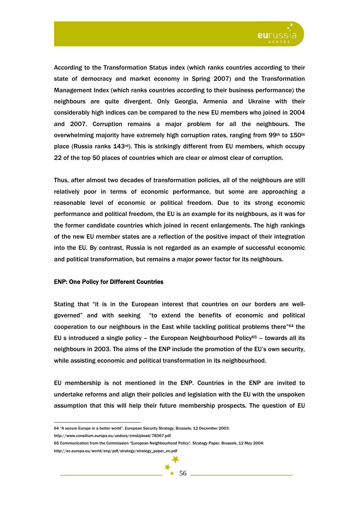

According to the Transformation Status index (which ranks countries according to their state of democracy and market economy in Spring 2007) and the Transformation Management Index (which ranks countries according to their business performance) the neighbours are quite divergent. Only Georgia, Armenia and Ukraine with their considerably high indices can be compared to the new EU members who joined in 2004 and 2007. Corruption remains a major problem for all the neighbours. The overwhelming majority have extremely high corruption rates, ranging from 99th to  $150th$ place (Russia ranks  $143^{rd}$ ). This is strikingly different from EU members, which occupy 22 of the top 50 places of countries which are clear or almost clear of corruption.

Thus, after almost two decades of transformation policies, all of the neighbours are still relatively poor in terms of economic performance, but some are approaching a reasonable level of economic or political freedom. Due to its strong economic performance and political freedom, the EU is an example for its neighbours, as it was for the former candidate countries which joined in recent enlargements. The high rankings of the new EU member states are a reflection of the positive impact of their integration into the EU. By contrast, Russia is not regarded as an example of successful economic and political transformation, but remains a major power factor for its neighbours.

### ENP: One Policy for Different Countries

Stating that "it is in the European interest that countries on our borders are wellgoverned" and with seeking "to extend the benefits of economic and political cooperation to our neighbours in the East while tackling political problems there"64 the EU s introduced a single policy – the European Neighbourhood Policy $65$  – towards all its neighbours in 2003. The aims of the ENP include the promotion of the EU's own security, while assisting economic and political transformation in its neighbourhood.

EU membership is not mentioned in the ENP. Countries in the ENP are invited to undertake reforms and align their policies and legislation with the EU with the unspoken assumption that this will help their future membership prospects. The question of EU

http://www.consilium.europa.eu/uedocs/cmsUpload/78367.pdf

 $\overline{a}$ 64 "A secure Europe in a better world". European Security Strategy, Brussels, 12 December 2003:

<sup>65</sup> Communication from the Commission "European Neighbourhood Policy". Strategy Paper. Brussels, 12 May 2004: http://ec.europa.eu/world/enp/pdf/strategy/strategy\_paper\_en.pdf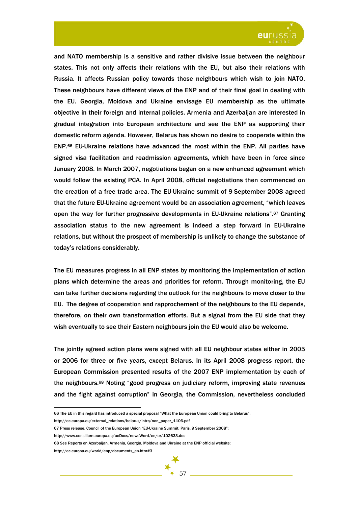

and NATO membership is a sensitive and rather divisive issue between the neighbour states. This not only affects their relations with the EU, but also their relations with Russia. It affects Russian policy towards those neighbours which wish to join NATO. These neighbours have different views of the ENP and of their final goal in dealing with the EU. Georgia, Moldova and Ukraine envisage EU membership as the ultimate objective in their foreign and internal policies. Armenia and Azerbaijan are interested in gradual integration into European architecture and see the ENP as supporting their domestic reform agenda. However, Belarus has shown no desire to cooperate within the ENP.66 EU-Ukraine relations have advanced the most within the ENP. All parties have signed visa facilitation and readmission agreements, which have been in force since January 2008. In March 2007, negotiations began on a new enhanced agreement which would follow the existing PCA. In April 2008, official negotiations then commenced on the creation of a free trade area. The EU-Ukraine summit of 9 September 2008 agreed that the future EU-Ukraine agreement would be an association agreement, "which leaves open the way for further progressive developments in EU-Ukraine relations".<sup>67</sup> Granting association status to the new agreement is indeed a step forward in EU-Ukraine relations, but without the prospect of membership is unlikely to change the substance of today's relations considerably.

The EU measures progress in all ENP states by monitoring the implementation of action plans which determine the areas and priorities for reform. Through monitoring, the EU can take further decisions regarding the outlook for the neighbours to move closer to the EU. The degree of cooperation and rapprochement of the neighbours to the EU depends, therefore, on their own transformation efforts. But a signal from the EU side that they wish eventually to see their Eastern neighbours join the EU would also be welcome.

The jointly agreed action plans were signed with all EU neighbour states either in 2005 or 2006 for three or five years, except Belarus. In its April 2008 progress report, the European Commission presented results of the 2007 ENP implementation by each of the neighbours.68 Noting "good progress on judiciary reform, improving state revenues and the fight against corruption" in Georgia, the Commission, nevertheless concluded

<sup>66</sup> The EU in this regard has introduced a special proposal "What the European Union could bring to Belarus":

http://ec.europa.eu/external\_relations/belarus/intro/non\_paper\_1106.pdf

<sup>67</sup> Press release. Council of the European Union "EU-Ukraine Summit. Paris, 9 September 2008":

http://www.consilium.europa.eu/ueDocs/newsWord/en/er/102633.doc

<sup>68</sup> See Reports on Azerbaijan, Armenia, Georgia, Moldova and Ukraine at the ENP official website:

http://ec.europa.eu/world/enp/documents\_en.htm#3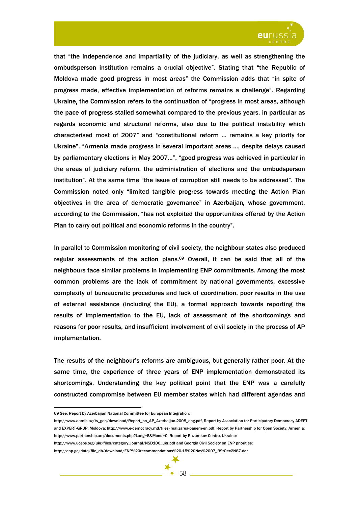

that "the independence and impartiality of the judiciary, as well as strengthening the ombudsperson institution remains a crucial objective". Stating that "the Republic of Moldova made good progress in most areas" the Commission adds that "in spite of progress made, effective implementation of reforms remains a challenge". Regarding Ukraine, the Commission refers to the continuation of "progress in most areas, although the pace of progress stalled somewhat compared to the previous years, in particular as regards economic and structural reforms, also due to the political instability which characterised most of 2007" and "constitutional reform … remains a key priority for Ukraine". "Armenia made progress in several important areas …, despite delays caused by parliamentary elections in May 2007…", "good progress was achieved in particular in the areas of judiciary reform, the administration of elections and the ombudsperson institution". At the same time "the issue of corruption still needs to be addressed". The Commission noted only "limited tangible progress towards meeting the Action Plan objectives in the area of democratic governance" in Azerbaijan*,* whose government, according to the Commission, "has not exploited the opportunities offered by the Action Plan to carry out political and economic reforms in the country".

In parallel to Commission monitoring of civil society, the neighbour states also produced regular assessments of the action plans.<sup>69</sup> Overall, it can be said that all of the neighbours face similar problems in implementing ENP commitments. Among the most common problems are the lack of commitment by national governments, excessive complexity of bureaucratic procedures and lack of coordination, poor results in the use of external assistance (including the EU), a formal approach towards reporting the results of implementation to the EU, lack of assessment of the shortcomings and reasons for poor results, and insufficient involvement of civil society in the process of AP implementation.

The results of the neighbour's reforms are ambiguous, but generally rather poor. At the same time, the experience of three years of ENP implementation demonstrated its shortcomings. Understanding the key political point that the ENP was a carefully constructed compromise between EU member states which had different agendas and

http://enp.ge/data/file\_db/download/ENP%20recommendations%20-15%20Nov%2007\_R9tOec2N87.doc



<sup>69</sup> See: Report by Azerbaijan National Committee for European Integration:

http://www.aamik.az/ts\_gen/download/Report\_on\_AP\_Azerbaijan-2008\_eng.pdf, Report by Association for Participatory Democracy ADEPT and EXPERT-GRUP, Moldova: http://www.e-democracy.md/files/realizarea-pauem-en.pdf, Report by Partnership for Open Society, Armenia: http://www.partnership.am/documents.php?Lang=E&Menu=0, Report by Razumkov Centre, Ukraine:

http://www.uceps.org/ukr/files/category\_journal/NSD100\_ukr.pdf and Georgia Civil Society on ENP priorities: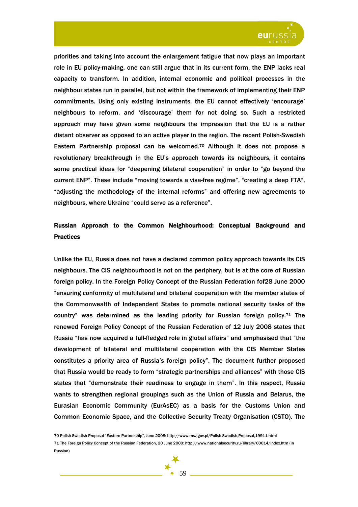

priorities and taking into account the enlargement fatigue that now plays an important role in EU policy-making, one can still argue that in its current form, the ENP lacks real capacity to transform. In addition, internal economic and political processes in the neighbour states run in parallel, but not within the framework of implementing their ENP commitments. Using only existing instruments, the EU cannot effectively 'encourage' neighbours to reform, and 'discourage' them for not doing so. Such a restricted approach may have given some neighbours the impression that the EU is a rather distant observer as opposed to an active player in the region. The recent Polish-Swedish Eastern Partnership proposal can be welcomed.70 Although it does not propose a revolutionary breakthrough in the EU's approach towards its neighbours, it contains some practical ideas for "deepening bilateral cooperation" in order to "go beyond the current ENP". These include "moving towards a visa-free regime", "creating a deep FTA", "adjusting the methodology of the internal reforms" and offering new agreements to neighbours, where Ukraine "could serve as a reference".

## Russian Approach to the Common Neighbourhood: Conceptual Background and **Practices**

Unlike the EU, Russia does not have a declared common policy approach towards its CIS neighbours. The CIS neighbourhood is not on the periphery, but is at the core of Russian foreign policy. In the Foreign Policy Concept of the Russian Federation fof28 June 2000 "ensuring conformity of multilateral and bilateral cooperation with the member states of the Commonwealth of Independent States to promote national security tasks of the country" was determined as the leading priority for Russian foreign policy.<sup>71</sup> The renewed Foreign Policy Concept of the Russian Federation of 12 July 2008 states that Russia "has now acquired a full-fledged role in global affairs" and emphasised that "the development of bilateral and multilateral cooperation with the CIS Member States constitutes a priority area of Russia's foreign policy". The document further proposed that Russia would be ready to form "strategic partnerships and alliances" with those CIS states that "demonstrate their readiness to engage in them". In this respect, Russia wants to strengthen regional groupings such as the Union of Russia and Belarus, the Eurasian Economic Community (EurAsEC) as a basis for the Customs Union and Common Economic Space, and the Collective Security Treaty Organisation (CSTO). The



<sup>70</sup> Polish-Swedish Proposal "Eastern Partnership", June 2008: http://www.msz.gov.pl/Polish-Swedish,Proposal,19911.html<br>71 The Foreign Policy Concept of the Russian Federation, 20 June 2000: http://www.nationalsecurity.ru/li Russian)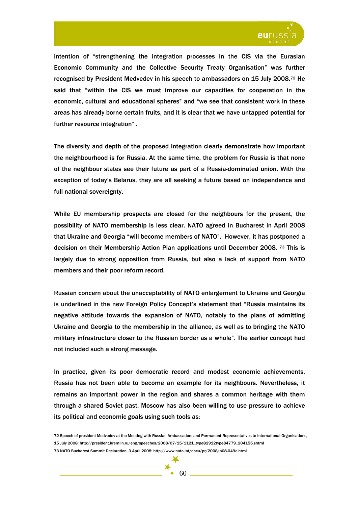

intention of "strengthening the integration processes in the CIS via the Eurasian Economic Community and the Collective Security Treaty Organisation" was further recognised by President Medvedev in his speech to ambassadors on 15 July 2008.72 He said that "within the CIS we must improve our capacities for cooperation in the economic, cultural and educational spheres" and "we see that consistent work in these areas has already borne certain fruits, and it is clear that we have untapped potential for further resource integration" .

The diversity and depth of the proposed integration clearly demonstrate how important the neighbourhood is for Russia. At the same time, the problem for Russia is that none of the neighbour states see their future as part of a Russia-dominated union. With the exception of today's Belarus, they are all seeking a future based on independence and full national sovereignty.

While EU membership prospects are closed for the neighbours for the present, the possibility of NATO membership is less clear. NATO agreed in Bucharest in April 2008 that Ukraine and Georgia "will become members of NATO". However, it has postponed a decision on their Membership Action Plan applications until December 2008. 73 This is largely due to strong opposition from Russia, but also a lack of support from NATO members and their poor reform record.

Russian concern about the unacceptability of NATO enlargement to Ukraine and Georgia is underlined in the new Foreign Policy Concept's statement that "Russia maintains its negative attitude towards the expansion of NATO, notably to the plans of admitting Ukraine and Georgia to the membership in the alliance, as well as to bringing the NATO military infrastructure closer to the Russian border as a whole". The earlier concept had not included such a strong message.

In practice, given its poor democratic record and modest economic achievements, Russia has not been able to become an example for its neighbours. Nevertheless, it remains an important power in the region and shares a common heritage with them through a shared Soviet past. Moscow has also been willing to use pressure to achieve its political and economic goals using such tools as:



<sup>72</sup> Speech of president Medvedev at the Meeting with Russian Ambassadors and Permanent Representatives to International Organisations, 15 July 2008: http://president.kremlin.ru/eng/speeches/2008/07/15/1121\_type82912type84779\_204155.shtml 73 NATO Bucharest Summit Declaration, 3 April 2008: http://www.nato.int/docu/pr/2008/p08-049e.html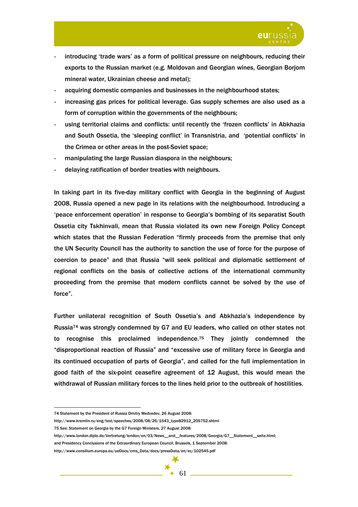

- introducing 'trade wars' as a form of political pressure on neighbours, reducing their exports to the Russian market (e.g. Moldovan and Georgian wines, Georgian Borjom mineral water, Ukrainian cheese and metal);
- acquiring domestic companies and businesses in the neighbourhood states;
- increasing gas prices for political leverage. Gas supply schemes are also used as a form of corruption within the governments of the neighbours;
- using territorial claims and conflicts: until recently the 'frozen conflicts' in Abkhazia and South Ossetia, the 'sleeping conflict' in Transnistria, and 'potential conflicts' in the Crimea or other areas in the post-Soviet space;
- manipulating the large Russian diaspora in the neighbours;
- delaying ratification of border treaties with neighbours.

In taking part in its five-day military conflict with Georgia in the beginning of August 2008, Russia opened a new page in its relations with the neighbourhood. Introducing a 'peace enforcement operation' in response to Georgia's bombing of its separatist South Ossetia city Tskhinvali, mean that Russia violated its own new Foreign Policy Concept which states that the Russian Federation "firmly proceeds from the premise that only the UN Security Council has the authority to sanction the use of force for the purpose of coercion to peace" and that Russia "will seek political and diplomatic settlement of regional conflicts on the basis of collective actions of the international community proceeding from the premise that modern conflicts cannot be solved by the use of force".

Further unilateral recognition of South Ossetia's and Abkhazia's independence by Russia74 was strongly condemned by G7 and EU leaders, who called on other states not to recognise this proclaimed independence.75 They jointly condemned the "disproportional reaction of Russia" and "excessive use of military force in Georgia and its continued occupation of parts of Georgia", and called for the full implementation in good faith of the six-point ceasefire agreement of 12 August, this would mean the withdrawal of Russian military forces to the lines held prior to the outbreak of hostilities.

<sup>74</sup> Statement by the President of Russia Dmitry Medvedev, 26 August 2008:

http://www.kremlin.ru/eng/text/speeches/2008/08/26/1543\_type82912\_205752.shtml

<sup>75</sup> See: Statement on Georgia by the G7 Foreign Ministers, 27 August 2008:

http://www.london.diplo.de/Vertretung/london/en/03/News\_\_and\_\_features/2008/Georgia/G7\_\_Statement\_\_seite.html;

and Presidency Conclusions of the Extraordinary European Council, Brussels, 1 September 2008:

http://www.consilium.europa.eu/ueDocs/cms\_Data/docs/pressData/en/ec/102545.pdf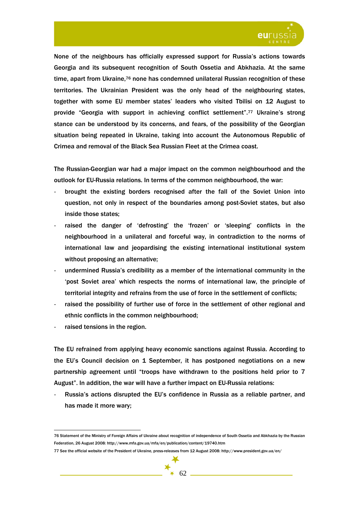

None of the neighbours has officially expressed support for Russia's actions towards Georgia and its subsequent recognition of South Ossetia and Abkhazia. At the same time, apart from Ukraine,76 none has condemned unilateral Russian recognition of these territories. The Ukrainian President was the only head of the neighbouring states, together with some EU member states' leaders who visited Tbilisi on 12 August to provide "Georgia with support in achieving conflict settlement".77 Ukraine's strong stance can be understood by its concerns, and fears, of the possibility of the Georgian situation being repeated in Ukraine, taking into account the Autonomous Republic of Crimea and removal of the Black Sea Russian Fleet at the Crimea coast.

The Russian-Georgian war had a major impact on the common neighbourhood and the outlook for EU-Russia relations. In terms of the common neighbourhood, the war:

- brought the existing borders recognised after the fall of the Soviet Union into question, not only in respect of the boundaries among post-Soviet states, but also inside those states;
- raised the danger of 'defrosting' the 'frozen' or 'sleeping' conflicts in the neighbourhood in a unilateral and forceful way, in contradiction to the norms of international law and jeopardising the existing international institutional system without proposing an alternative;
- undermined Russia's credibility as a member of the international community in the 'post Soviet area' which respects the norms of international law, the principle of territorial integrity and refrains from the use of force in the settlement of conflicts;
- raised the possibility of further use of force in the settlement of other regional and ethnic conflicts in the common neighbourhood;
- raised tensions in the region.

 $\overline{a}$ 

The EU refrained from applying heavy economic sanctions against Russia. According to the EU's Council decision on 1 September, it has postponed negotiations on a new partnership agreement until "troops have withdrawn to the positions held prior to 7 August". In addition, the war will have a further impact on EU-Russia relations:

Russia's actions disrupted the EU's confidence in Russia as a reliable partner, and has made it more wary;

<sup>76</sup> Statement of the Ministry of Foreign Affairs of Ukraine about recognition of independence of South Ossetia and Abkhazia by the Russian Federation, 26 August 2008: http://www.mfa.gov.ua/mfa/en/publication/content/19740.htm

<sup>77</sup> See the official website of the President of Ukraine, press-releases from 12 August 2008: http://www.president.gov.ua/en/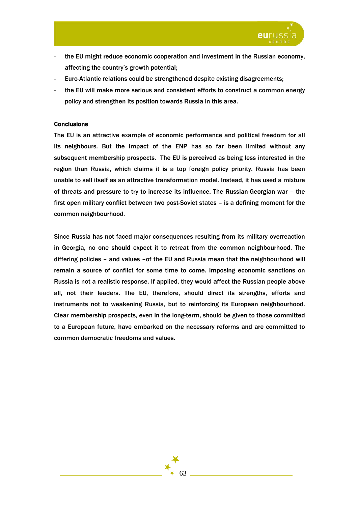

- the EU might reduce economic cooperation and investment in the Russian economy, affecting the country's growth potential;
- Euro-Atlantic relations could be strengthened despite existing disagreements;
- the EU will make more serious and consistent efforts to construct a common energy policy and strengthen its position towards Russia in this area.

## **Conclusions**

The EU is an attractive example of economic performance and political freedom for all its neighbours. But the impact of the ENP has so far been limited without any subsequent membership prospects. The EU is perceived as being less interested in the region than Russia, which claims it is a top foreign policy priority. Russia has been unable to sell itself as an attractive transformation model. Instead, it has used a mixture of threats and pressure to try to increase its influence. The Russian-Georgian war – the first open military conflict between two post-Soviet states – is a defining moment for the common neighbourhood.

Since Russia has not faced major consequences resulting from its military overreaction in Georgia, no one should expect it to retreat from the common neighbourhood. The differing policies - and values -of the EU and Russia mean that the neighbourhood will remain a source of conflict for some time to come. Imposing economic sanctions on Russia is not a realistic response. If applied, they would affect the Russian people above all, not their leaders. The EU, therefore, should direct its strengths, efforts and instruments not to weakening Russia, but to reinforcing its European neighbourhood. Clear membership prospects, even in the long-term, should be given to those committed to a European future, have embarked on the necessary reforms and are committed to common democratic freedoms and values.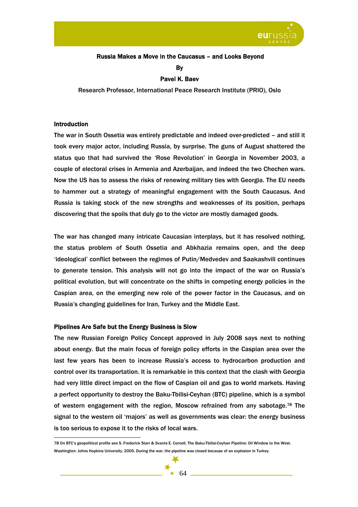

## Russia Makes a Move in the Caucasus – and Looks Beyond

By

## Pavel K. Baev

Research Professor, International Peace Research Institute (PRIO), Oslo

#### **Introduction**

 $\overline{a}$ 

The war in South Ossetia was entirely predictable and indeed over-predicted – and still it took every major actor, including Russia, by surprise. The guns of August shattered the status quo that had survived the 'Rose Revolution' in Georgia in November 2003, a couple of electoral crises in Armenia and Azerbaijan, and indeed the two Chechen wars. Now the US has to assess the risks of renewing military ties with Georgia. The EU needs to hammer out a strategy of meaningful engagement with the South Caucasus. And Russia is taking stock of the new strengths and weaknesses of its position, perhaps discovering that the spoils that duly go to the victor are mostly damaged goods.

The war has changed many intricate Caucasian interplays, but it has resolved nothing, the status problem of South Ossetia and Abkhazia remains open, and the deep 'ideological' conflict between the regimes of Putin/Medvedev and Saakashvili continues to generate tension. This analysis will not go into the impact of the war on Russia's political evolution, but will concentrate on the shifts in competing energy policies in the Caspian area, on the emerging new role of the power factor in the Caucasus, and on Russia's changing guidelines for Iran, Turkey and the Middle East.

### Pipelines Are Safe but the Energy Business is Slow

The new Russian Foreign Policy Concept approved in July 2008 says next to nothing about energy. But the main focus of foreign policy efforts in the Caspian area over the last few years has been to increase Russia's access to hydrocarbon production and control over its transportation. It is remarkable in this context that the clash with Georgia had very little direct impact on the flow of Caspian oil and gas to world markets. Having a perfect opportunity to destroy the Baku-Tbilisi-Ceyhan (BTC) pipeline, which is a symbol of western engagement with the region, Moscow refrained from any sabotage.78 The signal to the western oil 'majors' as well as governments was clear: the energy business is too serious to expose it to the risks of local wars.

<sup>78</sup> On BTC's geopolitical profile see S. Frederick Starr & Svante E. Cornell, The Baku-Tbilisi-Ceyhan Pipeline: Oil Window to the West. Washington: Johns Hopkins University, 2005. During the war, the pipeline was closed because of an explosion in Turkey.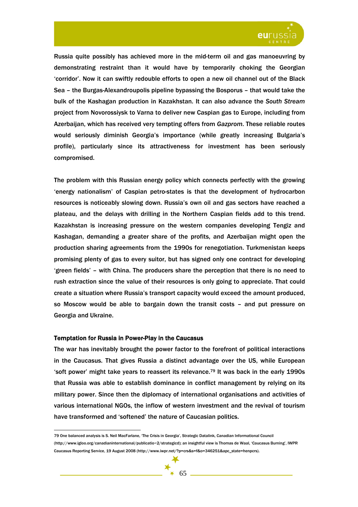

Russia quite possibly has achieved more in the mid-term oil and gas manoeuvring by demonstrating restraint than it would have by temporarily choking the Georgian 'corridor'. Now it can swiftly redouble efforts to open a new oil channel out of the Black Sea – the Burgas-Alexandroupolis pipeline bypassing the Bosporus – that would take the bulk of the Kashagan production in Kazakhstan. It can also advance the *South Stream* project from Novorossiysk to Varna to deliver new Caspian gas to Europe, including from Azerbaijan, which has received very tempting offers from *Gazprom*. These reliable routes would seriously diminish Georgia's importance (while greatly increasing Bulgaria's profile), particularly since its attractiveness for investment has been seriously compromised.

The problem with this Russian energy policy which connects perfectly with the growing 'energy nationalism' of Caspian petro-states is that the development of hydrocarbon resources is noticeably slowing down. Russia's own oil and gas sectors have reached a plateau, and the delays with drilling in the Northern Caspian fields add to this trend. Kazakhstan is increasing pressure on the western companies developing Tengiz and Kashagan, demanding a greater share of the profits, and Azerbaijan might open the production sharing agreements from the 1990s for renegotiation. Turkmenistan keeps promising plenty of gas to every suitor, but has signed only one contract for developing 'green fields' – with China. The producers share the perception that there is no need to rush extraction since the value of their resources is only going to appreciate. That could create a situation where Russia's transport capacity would exceed the amount produced, so Moscow would be able to bargain down the transit costs – and put pressure on Georgia and Ukraine.

### Temptation for Russia in Power-Play in the Caucasus

 $\overline{a}$ 

The war has inevitably brought the power factor to the forefront of political interactions in the Caucasus. That gives Russia a distinct advantage over the US, while European 'soft power' might take years to reassert its relevance.79 It was back in the early 1990s that Russia was able to establish dominance in conflict management by relying on its military power. Since then the diplomacy of international organisations and activities of various international NGOs, the inflow of western investment and the revival of tourism have transformed and 'softened' the nature of Caucasian politics.

<sup>79</sup> One balanced analysis is S. Neil MacFarlane, 'The Crisis in Georgia', Strategic Datalink, Canadian Informational Council (http://www.igloo.org/canadianinternational/publicatio~2/strategicd); an insightful view is Thomas de Waal, 'Caucasus Burning', IWPR Caucasus Reporting Service, 19 August 2008 (http://www.iwpr.net/?p=crs&s=f&o=346251&apc\_state=henpcrs).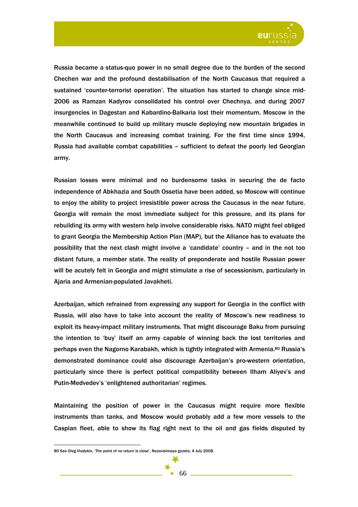

Russia became a status-quo power in no small degree due to the burden of the second Chechen war and the profound destabilisation of the North Caucasus that required a sustained 'counter-terrorist operation'. The situation has started to change since mid-2006 as Ramzan Kadyrov consolidated his control over Chechnya, and during 2007 insurgencies in Dagestan and Kabardino-Balkaria lost their momentum. Moscow in the meanwhile continued to build up military muscle deploying new mountain brigades in the North Caucasus and increasing combat training. For the first time since 1994, Russia had available combat capabilities – sufficient to defeat the poorly led Georgian army.

Russian losses were minimal and no burdensome tasks in securing the de facto independence of Abkhazia and South Ossetia have been added, so Moscow will continue to enjoy the ability to project irresistible power across the Caucasus in the near future. Georgia will remain the most immediate subject for this pressure, and its plans for rebuilding its army with western help involve considerable risks. NATO might feel obliged to grant Georgia the Membership Action Plan (MAP), but the Alliance has to evaluate the possibility that the next clash might involve a 'candidate' country – and in the not too distant future, a member state. The reality of preponderate and hostile Russian power will be acutely felt in Georgia and might stimulate a rise of secessionism, particularly in Ajaria and Armenian-populated Javakheti.

Azerbaijan, which refrained from expressing any support for Georgia in the conflict with Russia, will also have to take into account the reality of Moscow's new readiness to exploit its heavy-impact military instruments. That might discourage Baku from pursuing the intention to 'buy' itself an army capable of winning back the lost territories and perhaps even the Nagorno Karabakh, which is tightly integrated with Armenia.80 Russia's demonstrated dominance could also discourage Azerbaijan's pro-western orientation, particularly since there is perfect political compatibility between Ilham Aliyev's and Putin-Medvedev's 'enlightened authoritarian' regimes.

Maintaining the position of power in the Caucasus might require more flexible instruments than tanks, and Moscow would probably add a few more vessels to the Caspian fleet, able to show its flag right next to the oil and gas fields disputed by



<sup>80</sup> See Oleg Vladykin, 'The point of no return is close', Nezavisimaya gazeta, 4 July 2008.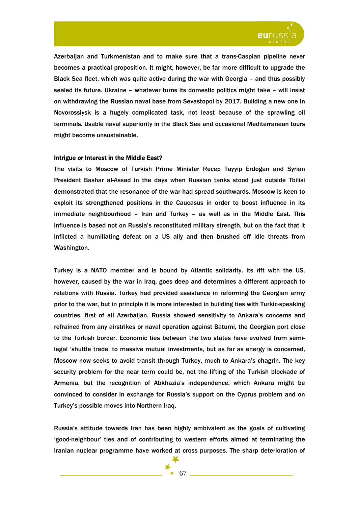

Azerbaijan and Turkmenistan and to make sure that a trans-Caspian pipeline never becomes a practical proposition. It might, however, be far more difficult to upgrade the Black Sea fleet, which was quite active during the war with Georgia – and thus possibly sealed its future. Ukraine – whatever turns its domestic politics might take – will insist on withdrawing the Russian naval base from Sevastopol by 2017. Building a new one in Novorossiysk is a hugely complicated task, not least because of the sprawling oil terminals. Usable naval superiority in the Black Sea and occasional Mediterranean tours might become unsustainable.

### Intrigue or Interest in the Middle East?

The visits to Moscow of Turkish Prime Minister Recep Tayyip Erdogan and Syrian President Bashar al-Assad in the days when Russian tanks stood just outside Tbilisi demonstrated that the resonance of the war had spread southwards. Moscow is keen to exploit its strengthened positions in the Caucasus in order to boost influence in its immediate neighbourhood – Iran and Turkey – as well as in the Middle East. This influence is based not on Russia's reconstituted military strength, but on the fact that it inflicted a humiliating defeat on a US ally and then brushed off idle threats from Washington.

Turkey is a NATO member and is bound by Atlantic solidarity. Its rift with the US, however, caused by the war in Iraq, goes deep and determines a different approach to relations with Russia. Turkey had provided assistance in reforming the Georgian army prior to the war, but in principle it is more interested in building ties with Turkic-speaking countries, first of all Azerbaijan. Russia showed sensitivity to Ankara's concerns and refrained from any airstrikes or naval operation against Batumi, the Georgian port close to the Turkish border. Economic ties between the two states have evolved from semilegal 'shuttle trade' to massive mutual investments, but as far as energy is concerned, Moscow now seeks to avoid transit through Turkey, much to Ankara's chagrin. The key security problem for the near term could be, not the lifting of the Turkish blockade of Armenia, but the recognition of Abkhazia's independence, which Ankara might be convinced to consider in exchange for Russia's support on the Cyprus problem and on Turkey's possible moves into Northern Iraq.

Russia's attitude towards Iran has been highly ambivalent as the goals of cultivating 'good-neighbour' ties and of contributing to western efforts aimed at terminating the Iranian nuclear programme have worked at cross purposes. The sharp deterioration of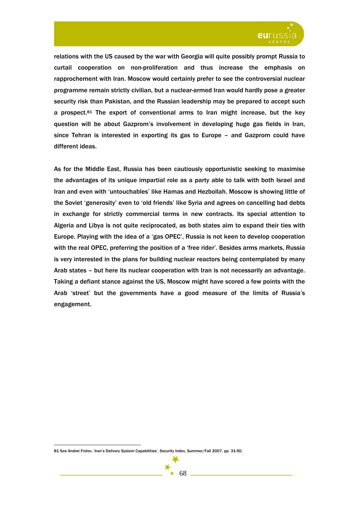

relations with the US caused by the war with Georgia will quite possibly prompt Russia to curtail cooperation on non-proliferation and thus increase the emphasis on rapprochement with Iran. Moscow would certainly prefer to see the controversial nuclear programme remain strictly civilian, but a nuclear-armed Iran would hardly pose a greater security risk than Pakistan, and the Russian leadership may be prepared to accept such a prospect. $81$  The export of conventional arms to Iran might increase, but the key question will be about Gazprom's involvement in developing huge gas fields in Iran, since Tehran is interested in exporting its gas to Europe – and Gazprom could have different ideas.

As for the Middle East, Russia has been cautiously opportunistic seeking to maximise the advantages of its unique impartial role as a party able to talk with both Israel and Iran and even with 'untouchables' like Hamas and Hezbollah. Moscow is showing little of the Soviet 'generosity' even to 'old friends' like Syria and agrees on cancelling bad debts in exchange for strictly commercial terms in new contracts. Its special attention to Algeria and Libya is not quite reciprocated, as both states aim to expand their ties with Europe. Playing with the idea of a 'gas OPEC', Russia is not keen to develop cooperation with the real OPEC, preferring the position of a 'free rider'. Besides arms markets, Russia is very interested in the plans for building nuclear reactors being contemplated by many Arab states – but here its nuclear cooperation with Iran is not necessarily an advantage. Taking a defiant stance against the US, Moscow might have scored a few points with the Arab 'street' but the governments have a good measure of the limits of Russia's engagement.

 $\overline{a}$ 81 See Andrei Frolov, 'Iran's Delivery System Capabilities', Security Index, Summer/Fall 2007, pp. 31-50.

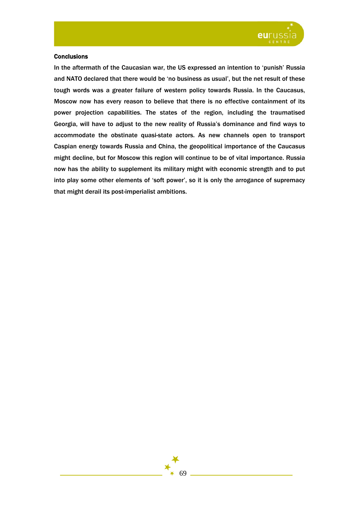

## **Conclusions**

In the aftermath of the Caucasian war, the US expressed an intention to 'punish' Russia and NATO declared that there would be 'no business as usual', but the net result of these tough words was a greater failure of western policy towards Russia. In the Caucasus, Moscow now has every reason to believe that there is no effective containment of its power projection capabilities. The states of the region, including the traumatised Georgia, will have to adjust to the new reality of Russia's dominance and find ways to accommodate the obstinate quasi-state actors. As new channels open to transport Caspian energy towards Russia and China, the geopolitical importance of the Caucasus might decline, but for Moscow this region will continue to be of vital importance. Russia now has the ability to supplement its military might with economic strength and to put into play some other elements of 'soft power', so it is only the arrogance of supremacy that might derail its post-imperialist ambitions.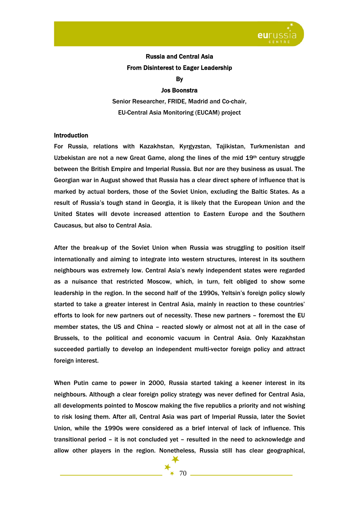

# Russia and Central Asia From Disinterest to Eager Leadership

By

## Jos Boonstra

Senior Researcher, FRIDE, Madrid and Co-chair, EU-Central Asia Monitoring (EUCAM) project

## **Introduction**

For Russia, relations with Kazakhstan, Kyrgyzstan, Tajikistan, Turkmenistan and Uzbekistan are not a new Great Game, along the lines of the mid  $19<sup>th</sup>$  century struggle between the British Empire and Imperial Russia. But nor are they business as usual. The Georgian war in August showed that Russia has a clear direct sphere of influence that is marked by actual borders, those of the Soviet Union, excluding the Baltic States. As a result of Russia's tough stand in Georgia, it is likely that the European Union and the United States will devote increased attention to Eastern Europe and the Southern Caucasus, but also to Central Asia.

After the break-up of the Soviet Union when Russia was struggling to position itself internationally and aiming to integrate into western structures, interest in its southern neighbours was extremely low. Central Asia's newly independent states were regarded as a nuisance that restricted Moscow, which, in turn, felt obliged to show some leadership in the region. In the second half of the 1990s, Yeltsin's foreign policy slowly started to take a greater interest in Central Asia, mainly in reaction to these countries' efforts to look for new partners out of necessity. These new partners – foremost the EU member states, the US and China – reacted slowly or almost not at all in the case of Brussels, to the political and economic vacuum in Central Asia. Only Kazakhstan succeeded partially to develop an independent multi-vector foreign policy and attract foreign interest.

When Putin came to power in 2000, Russia started taking a keener interest in its neighbours. Although a clear foreign policy strategy was never defined for Central Asia, all developments pointed to Moscow making the five republics a priority and not wishing to risk losing them. After all, Central Asia was part of Imperial Russia, later the Soviet Union, while the 1990s were considered as a brief interval of lack of influence. This transitional period – it is not concluded yet – resulted in the need to acknowledge and allow other players in the region. Nonetheless, Russia still has clear geographical,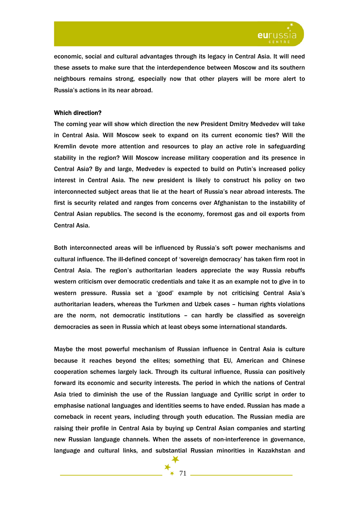

economic, social and cultural advantages through its legacy in Central Asia. It will need these assets to make sure that the interdependence between Moscow and its southern neighbours remains strong, especially now that other players will be more alert to Russia's actions in its near abroad.

## Which direction?

The coming year will show which direction the new President Dmitry Medvedev will take in Central Asia. Will Moscow seek to expand on its current economic ties? Will the Kremlin devote more attention and resources to play an active role in safeguarding stability in the region? Will Moscow increase military cooperation and its presence in Central Asia? By and large, Medvedev is expected to build on Putin's increased policy interest in Central Asia. The new president is likely to construct his policy on two interconnected subject areas that lie at the heart of Russia's near abroad interests. The first is security related and ranges from concerns over Afghanistan to the instability of Central Asian republics. The second is the economy, foremost gas and oil exports from Central Asia.

Both interconnected areas will be influenced by Russia's soft power mechanisms and cultural influence. The ill-defined concept of 'sovereign democracy' has taken firm root in Central Asia. The region's authoritarian leaders appreciate the way Russia rebuffs western criticism over democratic credentials and take it as an example not to give in to western pressure. Russia set a 'good' example by not criticising Central Asia's authoritarian leaders, whereas the Turkmen and Uzbek cases – human rights violations are the norm, not democratic institutions – can hardly be classified as sovereign democracies as seen in Russia which at least obeys some international standards.

Maybe the most powerful mechanism of Russian influence in Central Asia is culture because it reaches beyond the elites; something that EU, American and Chinese cooperation schemes largely lack. Through its cultural influence, Russia can positively forward its economic and security interests. The period in which the nations of Central Asia tried to diminish the use of the Russian language and Cyrillic script in order to emphasise national languages and identities seems to have ended. Russian has made a comeback in recent years, including through youth education. The Russian media are raising their profile in Central Asia by buying up Central Asian companies and starting new Russian language channels. When the assets of non-interference in governance, language and cultural links, and substantial Russian minorities in Kazakhstan and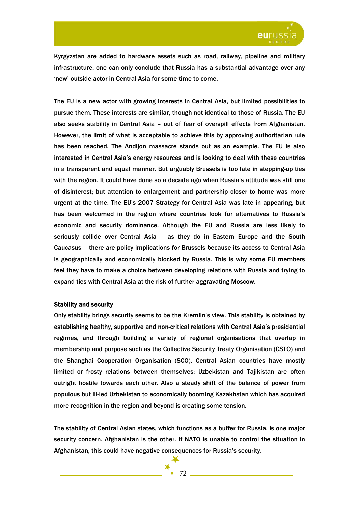

Kyrgyzstan are added to hardware assets such as road, railway, pipeline and military infrastructure, one can only conclude that Russia has a substantial advantage over any 'new' outside actor in Central Asia for some time to come.

The EU is a new actor with growing interests in Central Asia, but limited possibilities to pursue them. These interests are similar, though not identical to those of Russia. The EU also seeks stability in Central Asia – out of fear of overspill effects from Afghanistan. However, the limit of what is acceptable to achieve this by approving authoritarian rule has been reached. The Andijon massacre stands out as an example. The EU is also interested in Central Asia's energy resources and is looking to deal with these countries in a transparent and equal manner. But arguably Brussels is too late in stepping-up ties with the region. It could have done so a decade ago when Russia's attitude was still one of disinterest; but attention to enlargement and partnership closer to home was more urgent at the time. The EU's 2007 Strategy for Central Asia was late in appearing, but has been welcomed in the region where countries look for alternatives to Russia's economic and security dominance. Although the EU and Russia are less likely to seriously collide over Central Asia – as they do in Eastern Europe and the South Caucasus – there are policy implications for Brussels because its access to Central Asia is geographically and economically blocked by Russia. This is why some EU members feel they have to make a choice between developing relations with Russia and trying to expand ties with Central Asia at the risk of further aggravating Moscow.

### Stability and security

Only stability brings security seems to be the Kremlin's view. This stability is obtained by establishing healthy, supportive and non-critical relations with Central Asia's presidential regimes, and through building a variety of regional organisations that overlap in membership and purpose such as the Collective Security Treaty Organisation (CSTO) and the Shanghai Cooperation Organisation (SCO). Central Asian countries have mostly limited or frosty relations between themselves; Uzbekistan and Tajikistan are often outright hostile towards each other. Also a steady shift of the balance of power from populous but ill-led Uzbekistan to economically booming Kazakhstan which has acquired more recognition in the region and beyond is creating some tension.

The stability of Central Asian states, which functions as a buffer for Russia, is one major security concern. Afghanistan is the other. If NATO is unable to control the situation in Afghanistan, this could have negative consequences for Russia's security.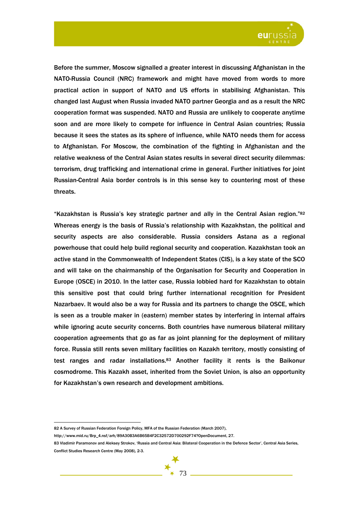

Before the summer, Moscow signalled a greater interest in discussing Afghanistan in the NATO-Russia Council (NRC) framework and might have moved from words to more practical action in support of NATO and US efforts in stabilising Afghanistan. This changed last August when Russia invaded NATO partner Georgia and as a result the NRC cooperation format was suspended. NATO and Russia are unlikely to cooperate anytime soon and are more likely to compete for influence in Central Asian countries; Russia because it sees the states as its sphere of influence, while NATO needs them for access to Afghanistan. For Moscow, the combination of the fighting in Afghanistan and the relative weakness of the Central Asian states results in several direct security dilemmas: terrorism, drug trafficking and international crime in general. Further initiatives for joint Russian-Central Asia border controls is in this sense key to countering most of these threats.

"Kazakhstan is Russia's key strategic partner and ally in the Central Asian region."82 Whereas energy is the basis of Russia's relationship with Kazakhstan, the political and security aspects are also considerable. Russia considers Astana as a regional powerhouse that could help build regional security and cooperation. Kazakhstan took an active stand in the Commonwealth of Independent States (CIS), is a key state of the SCO and will take on the chairmanship of the Organisation for Security and Cooperation in Europe (OSCE) in 2010. In the latter case, Russia lobbied hard for Kazakhstan to obtain this sensitive post that could bring further international recognition for President Nazarbaev. It would also be a way for Russia and its partners to change the OSCE, which is seen as a trouble maker in (eastern) member states by interfering in internal affairs while ignoring acute security concerns. Both countries have numerous bilateral military cooperation agreements that go as far as joint planning for the deployment of military force. Russia still rents seven military facilities on Kazakh territory, mostly consisting of test ranges and radar installations.83 Another facility it rents is the Baikonur cosmodrome. This Kazakh asset, inherited from the Soviet Union, is also an opportunity for Kazakhstan's own research and development ambitions.

<sup>82</sup> A Survey of Russian Federation Foreign Policy, MFA of the Russian Federation (March 2007),

http://www.mid.ru/Brp\_4.nsf/arh/89A30B3A6B65B4F2C32572D700292F74?OpenDocument, 27.

<sup>83</sup> Vladimir Paramonov and Aleksey Strokov, 'Russia and Central Asia: Bilateral Cooperation in the Defence Sector', Central Asia Series, Conflict Studies Research Centre (May 2008), 2-3.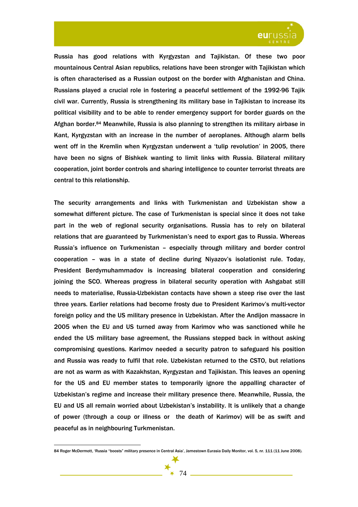

Russia has good relations with Kyrgyzstan and Tajikistan. Of these two poor mountainous Central Asian republics, relations have been stronger with Tajikistan which is often characterised as a Russian outpost on the border with Afghanistan and China. Russians played a crucial role in fostering a peaceful settlement of the 1992-96 Tajik civil war. Currently, Russia is strengthening its military base in Tajikistan to increase its political visibility and to be able to render emergency support for border guards on the Afghan border.84 Meanwhile, Russia is also planning to strengthen its military airbase in Kant, Kyrgyzstan with an increase in the number of aeroplanes. Although alarm bells went off in the Kremlin when Kyrgyzstan underwent a 'tulip revolution' in 2005, there have been no signs of Bishkek wanting to limit links with Russia. Bilateral military cooperation, joint border controls and sharing intelligence to counter terrorist threats are central to this relationship.

The security arrangements and links with Turkmenistan and Uzbekistan show a somewhat different picture. The case of Turkmenistan is special since it does not take part in the web of regional security organisations. Russia has to rely on bilateral relations that are guaranteed by Turkmenistan's need to export gas to Russia. Whereas Russia's influence on Turkmenistan – especially through military and border control cooperation – was in a state of decline during Niyazov's isolationist rule. Today, President Berdymuhammadov is increasing bilateral cooperation and considering joining the SCO. Whereas progress in bilateral security operation with Ashgabat still needs to materialise, Russia-Uzbekistan contacts have shown a steep rise over the last three years. Earlier relations had become frosty due to President Karimov's multi-vector foreign policy and the US military presence in Uzbekistan. After the Andijon massacre in 2005 when the EU and US turned away from Karimov who was sanctioned while he ended the US military base agreement, the Russians stepped back in without asking compromising questions. Karimov needed a security patron to safeguard his position and Russia was ready to fulfil that role. Uzbekistan returned to the CSTO, but relations are not as warm as with Kazakhstan, Kyrgyzstan and Tajikistan. This leaves an opening for the US and EU member states to temporarily ignore the appalling character of Uzbekistan's regime and increase their military presence there. Meanwhile, Russia, the EU and US all remain worried about Uzbekistan's instability. It is unlikely that a change of power (through a coup or illness or the death of Karimov) will be as swift and peaceful as in neighbouring Turkmenistan.

<sup>84</sup> Roger McDermott, 'Russia "boosts" military presence in Central Asia', Jamestown Eurasia Daily Monitor, vol. 5, nr. 111 (11 June 2008).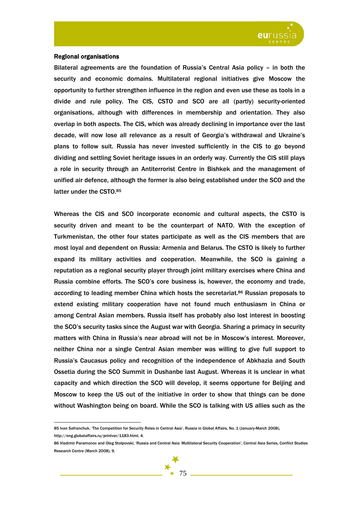

### Regional organisations

 $\overline{a}$ 

Bilateral agreements are the foundation of Russia's Central Asia policy – in both the security and economic domains. Multilateral regional initiatives give Moscow the opportunity to further strengthen influence in the region and even use these as tools in a divide and rule policy. The CIS, CSTO and SCO are all (partly) security-oriented organisations, although with differences in membership and orientation. They also overlap in both aspects. The CIS, which was already declining in importance over the last decade, will now lose all relevance as a result of Georgia's withdrawal and Ukraine's plans to follow suit. Russia has never invested sufficiently in the CIS to go beyond dividing and settling Soviet heritage issues in an orderly way. Currently the CIS still plays a role in security through an Antiterrorist Centre in Bishkek and the management of unified air defence, although the former is also being established under the SCO and the latter under the CSTO.85

Whereas the CIS and SCO incorporate economic and cultural aspects, the CSTO is security driven and meant to be the counterpart of NATO. With the exception of Turkmenistan, the other four states participate as well as the CIS members that are most loyal and dependent on Russia: Armenia and Belarus. The CSTO is likely to further expand its military activities and cooperation. Meanwhile, the SCO is gaining a reputation as a regional security player through joint military exercises where China and Russia combine efforts. The SCO's core business is, however, the economy and trade, according to leading member China which hosts the secretariat.86 Russian proposals to extend existing military cooperation have not found much enthusiasm in China or among Central Asian members. Russia itself has probably also lost interest in boosting the SCO's security tasks since the August war with Georgia. Sharing a primacy in security matters with China in Russia's near abroad will not be in Moscow's interest. Moreover, neither China nor a single Central Asian member was willing to give full support to Russia's Caucasus policy and recognition of the independence of Abkhazia and South Ossetia during the SCO Summit in Dushanbe last August. Whereas it is unclear in what capacity and which direction the SCO will develop, it seems opportune for Beijing and Moscow to keep the US out of the initiative in order to show that things can be done without Washington being on board. While the SCO is talking with US allies such as the

<sup>85</sup> Ivan Safranchuk, 'The Competition for Security Roles in Central Asia', Russia in Global Affairs, No. 1 (January-March 2008), http://eng.globalaffairs.ru/printver/1183.html, 4.

<sup>86</sup> Vladimir Paramonov and Oleg Stolpovski, 'Russia and Central Asia: Multilateral Security Cooperation', Central Asia Series, Conflict Studies Research Centre (March 2008), 9.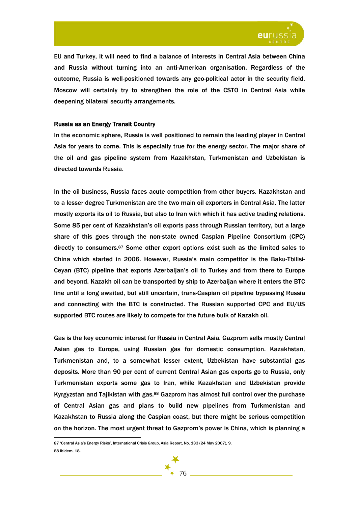

EU and Turkey, it will need to find a balance of interests in Central Asia between China and Russia without turning into an anti-American organisation. Regardless of the outcome, Russia is well-positioned towards any geo-political actor in the security field. Moscow will certainly try to strengthen the role of the CSTO in Central Asia while deepening bilateral security arrangements.

### Russia as an Energy Transit Country

In the economic sphere, Russia is well positioned to remain the leading player in Central Asia for years to come. This is especially true for the energy sector. The major share of the oil and gas pipeline system from Kazakhstan, Turkmenistan and Uzbekistan is directed towards Russia.

In the oil business, Russia faces acute competition from other buyers. Kazakhstan and to a lesser degree Turkmenistan are the two main oil exporters in Central Asia. The latter mostly exports its oil to Russia, but also to Iran with which it has active trading relations. Some 85 per cent of Kazakhstan's oil exports pass through Russian territory, but a large share of this goes through the non-state owned Caspian Pipeline Consortium (CPC) directly to consumers.87 Some other export options exist such as the limited sales to China which started in 2006. However, Russia's main competitor is the Baku-Tbilisi-Ceyan (BTC) pipeline that exports Azerbaijan's oil to Turkey and from there to Europe and beyond. Kazakh oil can be transported by ship to Azerbaijan where it enters the BTC line until a long awaited, but still uncertain, trans-Caspian oil pipeline bypassing Russia and connecting with the BTC is constructed. The Russian supported CPC and EU/US supported BTC routes are likely to compete for the future bulk of Kazakh oil.

Gas is the key economic interest for Russia in Central Asia. Gazprom sells mostly Central Asian gas to Europe, using Russian gas for domestic consumption. Kazakhstan, Turkmenistan and, to a somewhat lesser extent, Uzbekistan have substantial gas deposits. More than 90 per cent of current Central Asian gas exports go to Russia, only Turkmenistan exports some gas to Iran, while Kazakhstan and Uzbekistan provide Kyrgyzstan and Tajikistan with gas.88 Gazprom has almost full control over the purchase of Central Asian gas and plans to build new pipelines from Turkmenistan and Kazakhstan to Russia along the Caspian coast, but there might be serious competition on the horizon. The most urgent threat to Gazprom's power is China, which is planning a



<sup>87 &#</sup>x27;Central Asia's Energy Risks', International Crisis Group, Asia Report, No. 133 (24 May 2007), 9. 88 Ibidem, 18.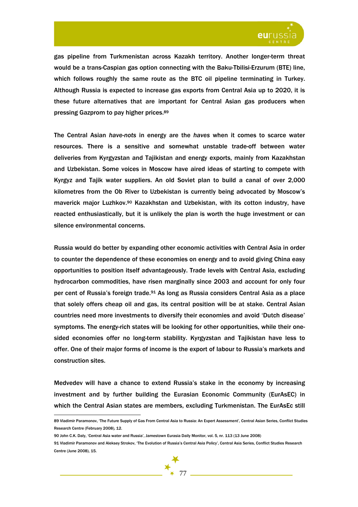

gas pipeline from Turkmenistan across Kazakh territory. Another longer-term threat would be a trans-Caspian gas option connecting with the Baku-Tbilisi-Erzurum (BTE) line, which follows roughly the same route as the BTC oil pipeline terminating in Turkey. Although Russia is expected to increase gas exports from Central Asia up to 2020, it is these future alternatives that are important for Central Asian gas producers when pressing Gazprom to pay higher prices.89

The Central Asian *have-nots* in energy are the *haves* when it comes to scarce water resources. There is a sensitive and somewhat unstable trade-off between water deliveries from Kyrgyzstan and Tajikistan and energy exports, mainly from Kazakhstan and Uzbekistan. Some voices in Moscow have aired ideas of starting to compete with Kyrgyz and Tajik water suppliers. An old Soviet plan to build a canal of over 2,000 kilometres from the Ob River to Uzbekistan is currently being advocated by Moscow's maverick major Luzhkov.90 Kazakhstan and Uzbekistan, with its cotton industry, have reacted enthusiastically, but it is unlikely the plan is worth the huge investment or can silence environmental concerns.

Russia would do better by expanding other economic activities with Central Asia in order to counter the dependence of these economies on energy and to avoid giving China easy opportunities to position itself advantageously. Trade levels with Central Asia, excluding hydrocarbon commodities, have risen marginally since 2003 and account for only four per cent of Russia's foreign trade.91 As long as Russia considers Central Asia as a place that solely offers cheap oil and gas, its central position will be at stake. Central Asian countries need more investments to diversify their economies and avoid 'Dutch disease' symptoms. The energy-rich states will be looking for other opportunities, while their onesided economies offer no long-term stability. Kyrgyzstan and Tajikistan have less to offer. One of their major forms of income is the export of labour to Russia's markets and construction sites.

Medvedev will have a chance to extend Russia's stake in the economy by increasing investment and by further building the Eurasian Economic Community (EurAsEC) in which the Central Asian states are members, excluding Turkmenistan. The EurAsEc still

<sup>89</sup> Vladimir Paramonov, 'The Future Supply of Gas From Central Asia to Russia: An Expert Assessment', Central Asian Series, Conflict Studies Research Centre (February 2008), 12.

<sup>90</sup> John C.K. Daly, 'Central Asia water and Russia', Jamestown Eurasia Daily Monitor, vol. 5, nr. 113 (13 June 2008)

<sup>91</sup> Vladimir Paramonov and Aleksey Strokov, 'The Evolution of Russia's Central Asia Policy', Central Asia Series, Conflict Studies Research Centre (June 2008), 15.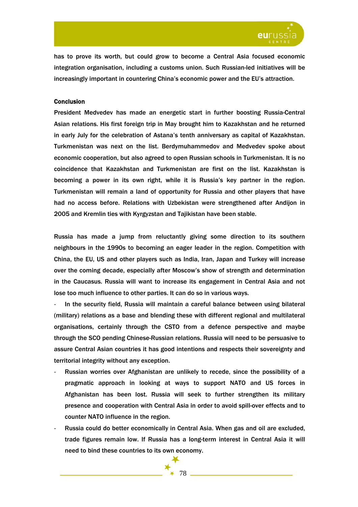

has to prove its worth, but could grow to become a Central Asia focused economic integration organisation, including a customs union. Such Russian-led initiatives will be increasingly important in countering China's economic power and the EU's attraction.

# **Conclusion**

President Medvedev has made an energetic start in further boosting Russia-Central Asian relations. His first foreign trip in May brought him to Kazakhstan and he returned in early July for the celebration of Astana's tenth anniversary as capital of Kazakhstan. Turkmenistan was next on the list. Berdymuhammedov and Medvedev spoke about economic cooperation, but also agreed to open Russian schools in Turkmenistan. It is no coincidence that Kazakhstan and Turkmenistan are first on the list. Kazakhstan is becoming a power in its own right, while it is Russia's key partner in the region. Turkmenistan will remain a land of opportunity for Russia and other players that have had no access before. Relations with Uzbekistan were strengthened after Andijon in 2005 and Kremlin ties with Kyrgyzstan and Tajikistan have been stable.

Russia has made a jump from reluctantly giving some direction to its southern neighbours in the 1990s to becoming an eager leader in the region. Competition with China, the EU, US and other players such as India, Iran, Japan and Turkey will increase over the coming decade, especially after Moscow's show of strength and determination in the Caucasus. Russia will want to increase its engagement in Central Asia and not lose too much influence to other parties. It can do so in various ways.

In the security field, Russia will maintain a careful balance between using bilateral (military) relations as a base and blending these with different regional and multilateral organisations, certainly through the CSTO from a defence perspective and maybe through the SCO pending Chinese-Russian relations. Russia will need to be persuasive to assure Central Asian countries it has good intentions and respects their sovereignty and territorial integrity without any exception.

- Russian worries over Afghanistan are unlikely to recede, since the possibility of a pragmatic approach in looking at ways to support NATO and US forces in Afghanistan has been lost. Russia will seek to further strengthen its military presence and cooperation with Central Asia in order to avoid spill-over effects and to counter NATO influence in the region.
- Russia could do better economically in Central Asia. When gas and oil are excluded, trade figures remain low. If Russia has a long-term interest in Central Asia it will need to bind these countries to its own economy.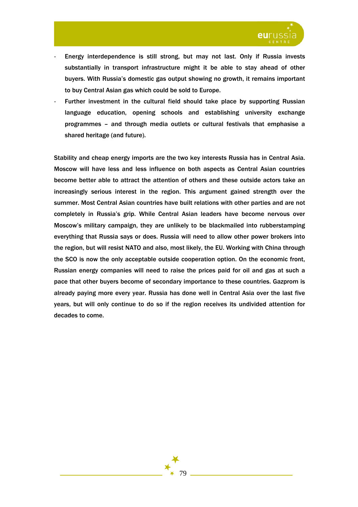

- Energy interdependence is still strong, but may not last. Only if Russia invests substantially in transport infrastructure might it be able to stay ahead of other buyers. With Russia's domestic gas output showing no growth, it remains important to buy Central Asian gas which could be sold to Europe.
- Further investment in the cultural field should take place by supporting Russian language education, opening schools and establishing university exchange programmes – and through media outlets or cultural festivals that emphasise a shared heritage (and future).

Stability and cheap energy imports are the two key interests Russia has in Central Asia. Moscow will have less and less influence on both aspects as Central Asian countries become better able to attract the attention of others and these outside actors take an increasingly serious interest in the region. This argument gained strength over the summer. Most Central Asian countries have built relations with other parties and are not completely in Russia's grip. While Central Asian leaders have become nervous over Moscow's military campaign, they are unlikely to be blackmailed into rubberstamping everything that Russia says or does. Russia will need to allow other power brokers into the region, but will resist NATO and also, most likely, the EU. Working with China through the SCO is now the only acceptable outside cooperation option. On the economic front, Russian energy companies will need to raise the prices paid for oil and gas at such a pace that other buyers become of secondary importance to these countries. Gazprom is already paying more every year. Russia has done well in Central Asia over the last five years, but will only continue to do so if the region receives its undivided attention for decades to come.

79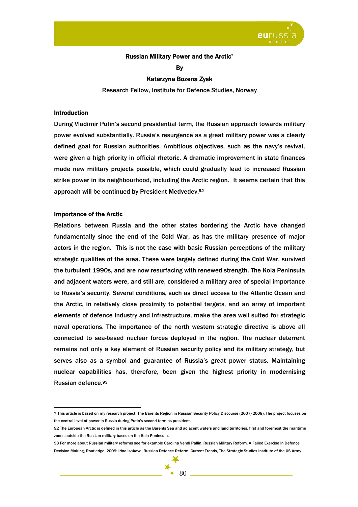

## Russian Military Power and the Arctic\*

By

### Katarzyna Bozena Zysk

Research Fellow, Institute for Defence Studies, Norway

### Introduction

During Vladimir Putin's second presidential term, the Russian approach towards military power evolved substantially. Russia's resurgence as a great military power was a clearly defined goal for Russian authorities. Ambitious objectives, such as the navy's revival, were given a high priority in official rhetoric. A dramatic improvement in state finances made new military projects possible, which could gradually lead to increased Russian strike power in its neighbourhood, including the Arctic region. It seems certain that this approach will be continued by President Medvedev.92

#### Importance of the Arctic

 $\overline{a}$ 

Relations between Russia and the other states bordering the Arctic have changed fundamentally since the end of the Cold War, as has the military presence of major actors in the region. This is not the case with basic Russian perceptions of the military strategic qualities of the area. These were largely defined during the Cold War, survived the turbulent 1990s, and are now resurfacing with renewed strength. The Kola Peninsula and adjacent waters were, and still are, considered a military area of special importance to Russia's security. Several conditions, such as direct access to the Atlantic Ocean and the Arctic, in relatively close proximity to potential targets, and an array of important elements of defence industry and infrastructure, make the area well suited for strategic naval operations. The importance of the north western strategic directive is above all connected to sea-based nuclear forces deployed in the region. The nuclear deterrent remains not only a key element of Russian security policy and its military strategy, but serves also as a symbol and guarantee of Russia's great power status. Maintaining nuclear capabilities has, therefore, been given the highest priority in modernising Russian defence.93

<sup>\*</sup> This article is based on my research project: The Barents Region in Russian Security Policy Discourse (2007/2008). The project focuses on the central level of power in Russia during Putin's second term as president.

<sup>92</sup> The European Arctic is defined in this article as the Barents Sea and adjacent waters and land territories, first and foremost the maritime zones outside the Russian military bases on the Kola Peninsula.

<sup>93</sup> For more about Russian military reforms see for example Carolina Vendi Pallin, Russian Military Reform. A Failed Exercise in Defence Decision Making, Routledge, 2009; Irina Isakova, Russian Defence Reform: Current Trends, The Strategic Studies Institute of the US Army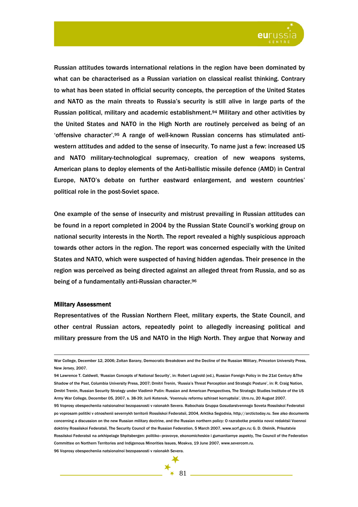

Russian attitudes towards international relations in the region have been dominated by what can be characterised as a Russian variation on classical realist thinking. Contrary to what has been stated in official security concepts, the perception of the United States and NATO as the main threats to Russia's security is still alive in large parts of the Russian political, military and academic establishment.94 Military and other activities by the United States and NATO in the High North are routinely perceived as being of an 'offensive character'.95 A range of well-known Russian concerns has stimulated antiwestern attitudes and added to the sense of insecurity. To name just a few: increased US and NATO military-technological supremacy, creation of new weapons systems, American plans to deploy elements of the Anti-ballistic missile defence (AMD) in Central Europe, NATO's debate on further eastward enlargement, and western countries' political role in the post-Soviet space.

One example of the sense of insecurity and mistrust prevailing in Russian attitudes can be found in a report completed in 2004 by the Russian State Council's working group on national security interests in the North. The report revealed a highly suspicious approach towards other actors in the region. The report was concerned especially with the United States and NATO, which were suspected of having hidden agendas. Their presence in the region was perceived as being directed against an alleged threat from Russia, and so as being of a fundamentally anti-Russian character.96

#### Military Assessment

 $\overline{a}$ 

Representatives of the Russian Northern Fleet, military experts, the State Council, and other central Russian actors, repeatedly point to allegedly increasing political and military pressure from the US and NATO in the High North. They argue that Norway and

War College, December 12, 2006; Zoltan Barany, Democratic Breakdown and the Decline of the Russian Military, Princeton University Press, New Jersey, 2007.

<sup>94</sup> Lawrence T. Caldwell, 'Russian Concepts of National Security', in: Robert Legvold (ed.), Russian Foreign Policy in the 21st Century &The Shadow of the Past, Columbia University Press, 2007; Dmitri Trenin, 'Russia's Threat Perception and Strategic Posture', in: R. Craig Nation, Dmitri Trenin, Russian Security Strategy under Vladimir Putin: Russian and American Perspectives, The Strategic Studies Institute of the US Army War College, December 05, 2007, s. 38-39; Jurii Kotenok, 'Voennuiu reformu szhiraet korruptsiia', Utro.ru, 20 August 2007. 95 Voprosy obespecheniia natsionalnoi bezopasnosti v raionakh Severa. Rabochaia Gruppa Gosudarstvennogo Soveta Rossiiskoi Federatsii po voprosam politiki v otnoshenii severnykh territorii Rossiiskoi Federatsii, 2004, Arktika Segodnia, http://arctictoday.ru. See also documents concerning a discussion on the new Russian military doctrine, and the Russian northern policy: O razrabotke proekta novoi redaktsii Voennoi doktriny Rossiiskoi Federatsii, The Security Council of the Russian Federation, 5 March 2007, www.scrf.gov.ru; G. D. Oleinik, Prisutstvie Rossiiskoi Federatsii na arkhipelage Shpitsbergen: politiko–pravovye, ekonomicheskie i gumanitarnye aspekty, The Council of the Federation Committee on Northern Territories and Indigenous Minorities Issues, Moskva, 19 June 2007, www.severcom.ru. 96 Voprosy obespecheniia natsionalnoi bezopasnosti v raionakh Severa.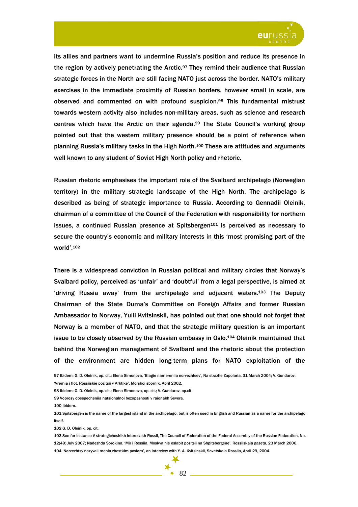

its allies and partners want to undermine Russia's position and reduce its presence in the region by actively penetrating the Arctic.<sup>97</sup> They remind their audience that Russian strategic forces in the North are still facing NATO just across the border. NATO's military exercises in the immediate proximity of Russian borders, however small in scale, are observed and commented on with profound suspicion.98 This fundamental mistrust towards western activity also includes non-military areas, such as science and research centres which have the Arctic on their agenda.99 The State Council's working group pointed out that the western military presence should be a point of reference when planning Russia's military tasks in the High North.100 These are attitudes and arguments well known to any student of Soviet High North policy and rhetoric.

Russian rhetoric emphasises the important role of the Svalbard archipelago (Norwegian territory) in the military strategic landscape of the High North. The archipelago is described as being of strategic importance to Russia. According to Gennadii Oleinik, chairman of a committee of the Council of the Federation with responsibility for northern issues, a continued Russian presence at Spitsbergen $101$  is perceived as necessary to secure the country's economic and military interests in this 'most promising part of the world'.102

There is a widespread conviction in Russian political and military circles that Norway's Svalbard policy, perceived as 'unfair' and 'doubtful' from a legal perspective, is aimed at 'driving Russia away' from the archipelago and adjacent waters.103 The Deputy Chairman of the State Duma's Committee on Foreign Affairs and former Russian Ambassador to Norway, Yulii Kvitsinskii, has pointed out that one should not forget that Norway is a member of NATO, and that the strategic military question is an important issue to be closely observed by the Russian embassy in Oslo.104 Oleinik maintained that behind the Norwegian management of Svalbard and the rhetoric about the protection of the environment are hidden long-term plans for NATO exploitation of the

97 Ibidem; G. D. Oleinik, op. cit.; Elena Simonova, 'Blagie namereniia norvezhtsev', Na strazhe Zapolaria, 31 March 2004; V. Gundarov, 'Vremia i flot. Rossiiskie pozitsii v Arktike', Morskoi sbornik, April 2002.

98 Ibidem; G. D. Oleinik, op. cit.; Elena Simonova, op. cit.; V. Gundarov, op.cit.

99 Voprosy obespecheniia natsionalnoi bezopasnosti v raionakh Severa.

100 Ibidem.

 $\overline{a}$ 

101 Spitsbergen is the name of the largest island in the archipelago, but is often used in English and Russian as a name for the archipelago itself.

102 G. D. Oleinik, op. cit.

103 See for instance V strategicheskikh interesakh Rossii, The Council of Federation of the Federal Assembly of the Russian Federation, No. 12(49) July 2007; Nadezhda Sorokina, 'Mir i Rossiia. Moskva nie oslabit pozitsii na Shpitsbergene', Rossiiskaia gazeta, 23 March 2006. 104 'Norvezhtsy nazyvali menia zhestkim poslom', an interview with Y. A. Kvitsinskii, Sovetskaia Rossiia, April 29, 2004.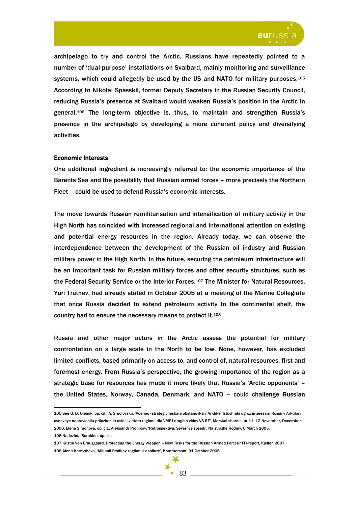

archipelago to try and control the Arctic. Russians have repeatedly pointed to a number of 'dual purpose' installations on Svalbard, mainly monitoring and surveillance systems, which could allegedly be used by the US and NATO for military purposes.<sup>105</sup> According to Nikolai Spasskii, former Deputy Secretary in the Russian Security Council, reducing Russia's presence at Svalbard would weaken Russia's position in the Arctic in general.106 The long-term objective is, thus, to maintain and strengthen Russia's presence in the archipelago by developing a more coherent policy and diversifying activities.

### Economic Interests

One additional ingredient is increasingly referred to: the economic importance of the Barents Sea and the possibility that Russian armed forces – more precisely the Northern Fleet – could be used to defend Russia's economic interests.

The move towards Russian remilitarisation and intensification of military activity in the High North has coincided with increased regional and international attention on existing and potential energy resources in the region. Already today, we can observe the interdependence between the development of the Russian oil industry and Russian military power in the High North. In the future, securing the petroleum infrastructure will be an important task for Russian military forces and other security structures, such as the Federal Security Service or the Interior Forces.107 The Minister for Natural Resources, Yuri Trutnev, had already stated in October 2005 at a meeting of the Marine Collegiate that once Russia decided to extend petroleum activity to the continental shelf, the country had to ensure the necessary means to protect it.108

Russia and other major actors in the Arctic assess the potential for military confrontation on a large scale in the North to be low. None, however, has excluded limited conflicts, based primarily on access to, and control of, natural resources, first and foremost energy. From Russia's perspective, the growing importance of the region as a strategic base for resources has made it more likely that Russia's 'Arctic opponents' – the United States, Norway, Canada, Denmark, and NATO – could challenge Russian

 $\overline{a}$ 

106 Nadezhda Sorokina, op. cit.<br>107 Kristin Ven Bruusgaard, Protecting the Energy Weapon – New Tasks for the Russian Armed Forces? FFI-report, Kjeller, 2007. 108 Alena Kornysheva, 'Mikhail Fradkov zaglianul v shliuzy', Kommersant, 31 October 2005.

<sup>105</sup> See G. D. Oleinik, op. cit.; A. Smolovskii, 'Voenno–strategicheskaia obstanovka v Arktike. Istochniki ugroz interesam Rossii v Arktike i osnovnye napravleniia prilozheniia usidlii v etom regione dla VMF i drugikh vidov VS RF', Morskoi sbornik, nr 11, 12 November, December 2006; Elena Simonova, op. cit.; Aleksandr Pronikov, 'Retrospektiva. Severnye sosedi', Na strazhe Rodiny, 6 March 2005.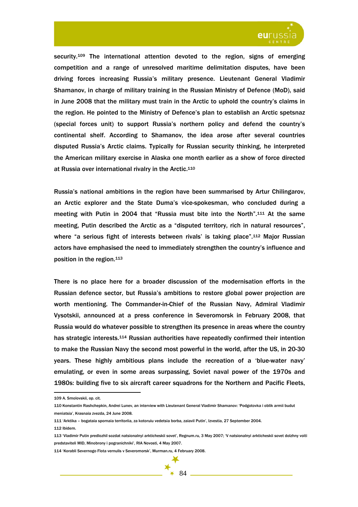

security.<sup>109</sup> The international attention devoted to the region, signs of emerging competition and a range of unresolved maritime delimitation disputes, have been driving forces increasing Russia's military presence. Lieutenant General Vladimir Shamanov, in charge of military training in the Russian Ministry of Defence (MoD), said in June 2008 that the military must train in the Arctic to uphold the country's claims in the region. He pointed to the Ministry of Defence's plan to establish an Arctic spetsnaz (special forces unit) to support Russia's northern policy and defend the country's continental shelf. According to Shamanov, the idea arose after several countries disputed Russia's Arctic claims. Typically for Russian security thinking, he interpreted the American military exercise in Alaska one month earlier as a show of force directed at Russia over international rivalry in the Arctic.110

Russia's national ambitions in the region have been summarised by Artur Chilingarov, an Arctic explorer and the State Duma's vice-spokesman, who concluded during a meeting with Putin in 2004 that "Russia must bite into the North".111 At the same meeting, Putin described the Arctic as a "disputed territory, rich in natural resources", where "a serious fight of interests between rivals' is taking place".<sup>112</sup> Major Russian actors have emphasised the need to immediately strengthen the country's influence and position in the region.113

There is no place here for a broader discussion of the modernisation efforts in the Russian defence sector, but Russia's ambitions to restore global power projection are worth mentioning. The Commander-in-Chief of the Russian Navy, Admiral Vladimir Vysotskii, announced at a press conference in Severomorsk in February 2008, that Russia would do whatever possible to strengthen its presence in areas where the country has strategic interests.114 Russian authorities have repeatedly confirmed their intention to make the Russian Navy the second most powerful in the world, after the US, in 20-30 years. These highly ambitious plans include the recreation of a 'blue-water navy' emulating, or even in some areas surpassing, Soviet naval power of the 1970s and 1980s: building five to six aircraft career squadrons for the Northern and Pacific Fleets,

<sup>109</sup> A. Smolovskii, op. cit.

<sup>110</sup> Konstantin Rashchepkin, Andrei Lunev, an interview with Lieutenant General Vladimir Shamanov: 'Podgotovka i oblik armii budut meniatsia', Krasnaia zvezda, 24 June 2008.

<sup>111 &#</sup>x27;Arktika – bogataia spornaia territoriia, za kotoruiu vedetsia borba, zaiavil Putin', Izvestia, 27 September 2004.

<sup>112</sup> Ibidem.

<sup>113 &#</sup>x27;Vladimir Putin predlozhil sozdat natsionalnyi arkticheskii sovet', Regnum.ru, 3 May 2007; 'V natsionalnyi arkticheskii sovet dolzhny voiti predstaviteli MID, Minobrony i pogranichniki', RIA Novosti, 4 May 2007.

<sup>114 &#</sup>x27;Korabli Severnogo Flota vernulis v Severomorsk', Murman.ru, 4 February 2008.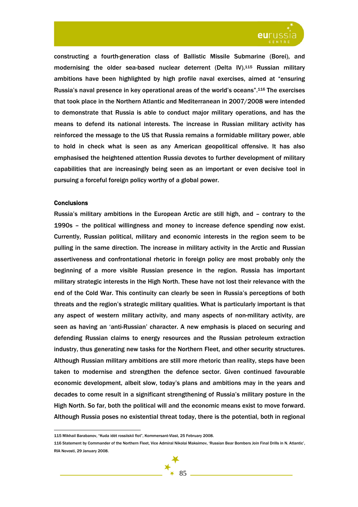

constructing a fourth-generation class of Ballistic Missile Submarine (Borei), and modernising the older sea-based nuclear deterrent (Delta IV).115 Russian military ambitions have been highlighted by high profile naval exercises, aimed at "ensuring Russia's naval presence in key operational areas of the world's oceans".116 The exercises that took place in the Northern Atlantic and Mediterranean in 2007/2008 were intended to demonstrate that Russia is able to conduct major military operations, and has the means to defend its national interests. The increase in Russian military activity has reinforced the message to the US that Russia remains a formidable military power, able to hold in check what is seen as any American geopolitical offensive. It has also emphasised the heightened attention Russia devotes to further development of military capabilities that are increasingly being seen as an important or even decisive tool in pursuing a forceful foreign policy worthy of a global power.

### **Conclusions**

 $\overline{a}$ 

Russia's military ambitions in the European Arctic are still high, and – contrary to the 1990s – the political willingness and money to increase defence spending now exist. Currently, Russian political, military and economic interests in the region seem to be pulling in the same direction. The increase in military activity in the Arctic and Russian assertiveness and confrontational rhetoric in foreign policy are most probably only the beginning of a more visible Russian presence in the region. Russia has important military strategic interests in the High North. These have not lost their relevance with the end of the Cold War. This continuity can clearly be seen in Russia's perceptions of both threats and the region's strategic military qualities. What is particularly important is that any aspect of western military activity, and many aspects of non-military activity, are seen as having an 'anti-Russian' character. A new emphasis is placed on securing and defending Russian claims to energy resources and the Russian petroleum extraction industry, thus generating new tasks for the Northern Fleet, and other security structures. Although Russian military ambitions are still more rhetoric than reality, steps have been taken to modernise and strengthen the defence sector. Given continued favourable economic development, albeit slow, today's plans and ambitions may in the years and decades to come result in a significant strengthening of Russia's military posture in the High North. So far, both the political will and the economic means exist to move forward. Although Russia poses no existential threat today, there is the potential, both in regional

<sup>115</sup> Mikhail Barabanov, "Kuda idët rossiiskii flot", Kommersant-Vlast, 25 February 2008.

<sup>116</sup> Statement by Commander of the Northern Fleet, Vice Admiral Nikolai Maksimov, 'Russian Bear Bombers Join Final Drills in N. Atlantic', RIA Novosti, 29 January 2008.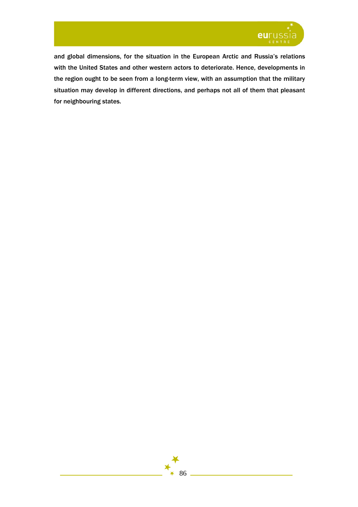

and global dimensions, for the situation in the European Arctic and Russia's relations with the United States and other western actors to deteriorate. Hence, developments in the region ought to be seen from a long-term view, with an assumption that the military situation may develop in different directions, and perhaps not all of them that pleasant for neighbouring states.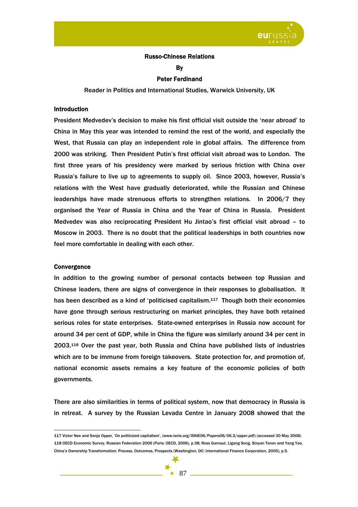

## Russo-Chinese Relations

**B** 

#### Peter Ferdinand

Reader in Politics and International Studies, Warwick University, UK

# **Introduction**

President Medvedev's decision to make his first official visit outside the 'near abroad' to China in May this year was intended to remind the rest of the world, and especially the West, that Russia can play an independent role in global affairs. The difference from 2000 was striking. Then President Putin's first official visit abroad was to London. The first three years of his presidency were marked by serious friction with China over Russia's failure to live up to agreements to supply oil. Since 2003, however, Russia's relations with the West have gradually deteriorated, while the Russian and Chinese leaderships have made strenuous efforts to strengthen relations. In 2006/7 they organised the Year of Russia in China and the Year of China in Russia. President Medvedev was also reciprocating President Hu Jintao's first official visit abroad – to Moscow in 2003. There is no doubt that the political leaderships in both countries now feel more comfortable in dealing with each other.

### **Convergence**

 $\overline{a}$ 

In addition to the growing number of personal contacts between top Russian and Chinese leaders, there are signs of convergence in their responses to globalisation. It has been described as a kind of 'politicised capitalism.117 Though both their economies have gone through serious restructuring on market principles, they have both retained serious roles for state enterprises. State-owned enterprises in Russia now account for around 34 per cent of GDP, while in China the figure was similarly around 34 per cent in 2003.118 Over the past year, both Russia and China have published lists of industries which are to be immune from foreign takeovers. State protection for, and promotion of, national economic assets remains a key feature of the economic policies of both governments.

There are also similarities in terms of political system, now that democracy in Russia is in retreat. A survey by the Russian Levada Centre in January 2008 showed that the

<sup>117</sup> Victor Nee and Sonja Opper, 'On politicized capitalism', (www.isnie.org/ISNIE06/Papers06/06.3/opper.pdf) (accessed 30 May 2008) 118 OECD Economic Survey, Russian Federation 2006 (Paris: OECD, 2006), p.38; Ross Garnaut, Ligang Song, Stoyan Tenev and Yang Yao, China's Ownership Transformation: Process, Outcomes, Prospects (Washington, DC: International Finance Corporation, 2005), p.5.

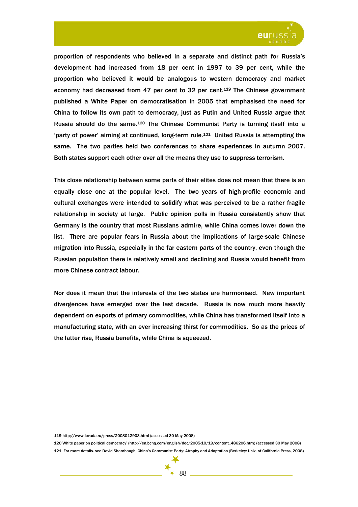

proportion of respondents who believed in a separate and distinct path for Russia's development had increased from 18 per cent in 1997 to 39 per cent, while the proportion who believed it would be analogous to western democracy and market economy had decreased from 47 per cent to 32 per cent.119 The Chinese government published a White Paper on democratisation in 2005 that emphasised the need for China to follow its own path to democracy, just as Putin and United Russia argue that Russia should do the same.120 The Chinese Communist Party is turning itself into a 'party of power' aiming at continued, long-term rule.121 United Russia is attempting the same. The two parties held two conferences to share experiences in autumn 2007. Both states support each other over all the means they use to suppress terrorism.

This close relationship between some parts of their elites does not mean that there is an equally close one at the popular level. The two years of high-profile economic and cultural exchanges were intended to solidify what was perceived to be a rather fragile relationship in society at large. Public opinion polls in Russia consistently show that Germany is the country that most Russians admire, while China comes lower down the list. There are popular fears in Russia about the implications of large-scale Chinese migration into Russia, especially in the far eastern parts of the country, even though the Russian population there is relatively small and declining and Russia would benefit from more Chinese contract labour.

Nor does it mean that the interests of the two states are harmonised. New important divergences have emerged over the last decade. Russia is now much more heavily dependent on exports of primary commodities, while China has transformed itself into a manufacturing state, with an ever increasing thirst for commodities. So as the prices of the latter rise, Russia benefits, while China is squeezed.

<sup>119</sup> http://www.levada.ru/press/2008012903.html (accessed 30 May 2008)

<sup>120&#</sup>x27;White paper on political democracy' (http://en.bcnq.com/english/doc/2005-10/19/content\_486206.htm) (accessed 30 May 2008) 121 'For more details. see David Shambaugh, China's Communist Party: Atrophy and Adaptation (Berkeley: Univ. of California Press, 2008)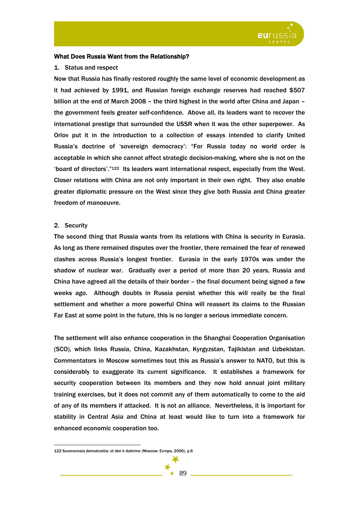

# What Does Russia Want from the Relationship?

### 1. Status and respect

Now that Russia has finally restored roughly the same level of economic development as it had achieved by 1991, and Russian foreign exchange reserves had reached \$507 billion at the end of March 2008 – the third highest in the world after China and Japan – the government feels greater self-confidence. Above all, its leaders want to recover the international prestige that surrounded the USSR when it was the other superpower. As Orlov put it in the introduction to a collection of essays intended to clarify United Russia's doctrine of 'sovereign democracy': "For Russia today no world order is acceptable in which she cannot affect strategic decision-making, where she is not on the 'board of directors'."122 Its leaders want international respect, especially from the West. Closer relations with China are not only important in their own right. They also enable greater diplomatic pressure on the West since they give both Russia and China greater freedom of manoeuvre.

# 2. Security

 $\overline{a}$ 

The second thing that Russia wants from its relations with China is security in Eurasia. As long as there remained disputes over the frontier, there remained the fear of renewed clashes across Russia's longest frontier. Eurasia in the early 1970s was under the shadow of nuclear war. Gradually over a period of more than 20 years, Russia and China have agreed all the details of their border – the final document being signed a few weeks ago. Although doubts in Russia persist whether this will really be the final settlement and whether a more powerful China will reassert its claims to the Russian Far East at some point in the future, this is no longer a serious immediate concern.

The settlement will also enhance cooperation in the Shanghai Cooperation Organisation (SCO), which links Russia, China, Kazakhstan, Kyrgyzstan, Tajikistan and Uzbekistan. Commentators in Moscow sometimes tout this as Russia's answer to NATO, but this is considerably to exaggerate its current significance. It establishes a framework for security cooperation between its members and they now hold annual joint military training exercises, but it does not commit any of them automatically to come to the aid of any of its members if attacked. It is not an alliance. Nevertheless, it is important for stability in Central Asia and China at least would like to turn into a framework for enhanced economic cooperation too.

<sup>122</sup> Suverennaia demokratiia: ot idei k doktrine (Moscow: Evropa, 2006), p.6

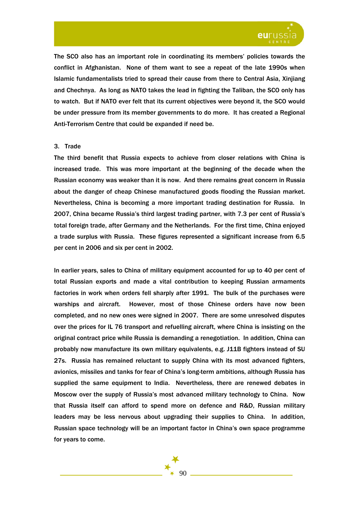

The SCO also has an important role in coordinating its members' policies towards the conflict in Afghanistan. None of them want to see a repeat of the late 1990s when Islamic fundamentalists tried to spread their cause from there to Central Asia, Xinjiang and Chechnya. As long as NATO takes the lead in fighting the Taliban, the SCO only has to watch. But if NATO ever felt that its current objectives were beyond it, the SCO would be under pressure from its member governments to do more. It has created a Regional Anti-Terrorism Centre that could be expanded if need be.

### 3. Trade

The third benefit that Russia expects to achieve from closer relations with China is increased trade. This was more important at the beginning of the decade when the Russian economy was weaker than it is now. And there remains great concern in Russia about the danger of cheap Chinese manufactured goods flooding the Russian market. Nevertheless, China is becoming a more important trading destination for Russia. In 2007, China became Russia's third largest trading partner, with 7.3 per cent of Russia's total foreign trade, after Germany and the Netherlands. For the first time, China enjoyed a trade surplus with Russia. These figures represented a significant increase from 6.5 per cent in 2006 and six per cent in 2002.

In earlier years, sales to China of military equipment accounted for up to 40 per cent of total Russian exports and made a vital contribution to keeping Russian armaments factories in work when orders fell sharply after 1991. The bulk of the purchases were warships and aircraft. However, most of those Chinese orders have now been completed, and no new ones were signed in 2007. There are some unresolved disputes over the prices for IL 76 transport and refuelling aircraft, where China is insisting on the original contract price while Russia is demanding a renegotiation. In addition, China can probably now manufacture its own military equivalents, e.g. J11B fighters instead of SU 27s. Russia has remained reluctant to supply China with its most advanced fighters, avionics, missiles and tanks for fear of China's long-term ambitions, although Russia has supplied the same equipment to India. Nevertheless, there are renewed debates in Moscow over the supply of Russia's most advanced military technology to China. Now that Russia itself can afford to spend more on defence and R&D, Russian military leaders may be less nervous about upgrading their supplies to China. In addition, Russian space technology will be an important factor in China's own space programme for years to come.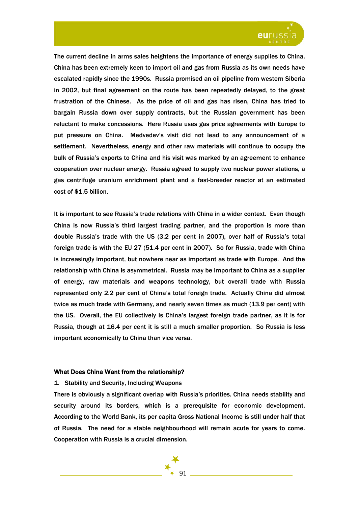

The current decline in arms sales heightens the importance of energy supplies to China. China has been extremely keen to import oil and gas from Russia as its own needs have escalated rapidly since the 1990s. Russia promised an oil pipeline from western Siberia in 2002, but final agreement on the route has been repeatedly delayed, to the great frustration of the Chinese. As the price of oil and gas has risen, China has tried to bargain Russia down over supply contracts, but the Russian government has been reluctant to make concessions. Here Russia uses gas price agreements with Europe to put pressure on China. Medvedev's visit did not lead to any announcement of a settlement. Nevertheless, energy and other raw materials will continue to occupy the bulk of Russia's exports to China and his visit was marked by an agreement to enhance cooperation over nuclear energy. Russia agreed to supply two nuclear power stations, a gas centrifuge uranium enrichment plant and a fast-breeder reactor at an estimated cost of \$1.5 billion.

It is important to see Russia's trade relations with China in a wider context. Even though China is now Russia's third largest trading partner, and the proportion is more than double Russia's trade with the US (3.2 per cent in 2007), over half of Russia's total foreign trade is with the EU 27 (51.4 per cent in 2007). So for Russia, trade with China is increasingly important, but nowhere near as important as trade with Europe. And the relationship with China is asymmetrical. Russia may be important to China as a supplier of energy, raw materials and weapons technology, but overall trade with Russia represented only 2.2 per cent of China's total foreign trade. Actually China did almost twice as much trade with Germany, and nearly seven times as much (13.9 per cent) with the US. Overall, the EU collectively is China's largest foreign trade partner, as it is for Russia, though at 16.4 per cent it is still a much smaller proportion. So Russia is less important economically to China than vice versa.

### What Does China Want from the relationship?

# 1. Stability and Security, Including Weapons

There is obviously a significant overlap with Russia's priorities. China needs stability and security around its borders, which is a prerequisite for economic development. According to the World Bank, its per capita Gross National Income is still under half that of Russia. The need for a stable neighbourhood will remain acute for years to come. Cooperation with Russia is a crucial dimension.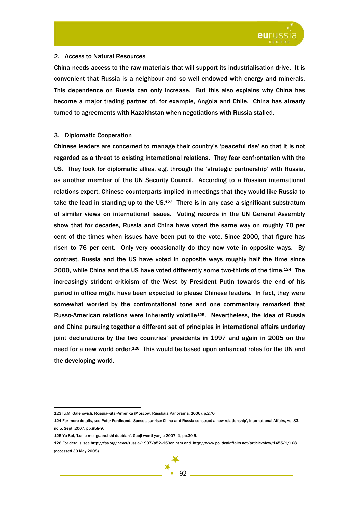

# 2. Access to Natural Resources

China needs access to the raw materials that will support its industrialisation drive. It is convenient that Russia is a neighbour and so well endowed with energy and minerals. This dependence on Russia can only increase. But this also explains why China has become a major trading partner of, for example, Angola and Chile. China has already turned to agreements with Kazakhstan when negotiations with Russia stalled.

# 3. Diplomatic Cooperation

Chinese leaders are concerned to manage their country's 'peaceful rise' so that it is not regarded as a threat to existing international relations. They fear confrontation with the US. They look for diplomatic allies, e.g. through the 'strategic partnership' with Russia, as another member of the UN Security Council. According to a Russian international relations expert, Chinese counterparts implied in meetings that they would like Russia to take the lead in standing up to the  $US.123$  There is in any case a significant substratum of similar views on international issues. Voting records in the UN General Assembly show that for decades, Russia and China have voted the same way on roughly 70 per cent of the times when issues have been put to the vote. Since 2000, that figure has risen to 76 per cent. Only very occasionally do they now vote in opposite ways. By contrast, Russia and the US have voted in opposite ways roughly half the time since 2000, while China and the US have voted differently some two-thirds of the time.124 The increasingly strident criticism of the West by President Putin towards the end of his period in office might have been expected to please Chinese leaders. In fact, they were somewhat worried by the confrontational tone and one commentary remarked that Russo-American relations were inherently volatile<sup>125</sup>. Nevertheless, the idea of Russia and China pursuing together a different set of principles in international affairs underlay joint declarations by the two countries' presidents in 1997 and again in 2005 on the need for a new world order.126 This would be based upon enhanced roles for the UN and the developing world.

 $\overline{a}$ 123 Iu.M. Galenovich, Rossiia-Kitai-Amerika (Moscow: Russkaia Panorama, 2006), p.270.

<sup>124</sup> For more details, see Peter Ferdinand, 'Sunset, sunrise: China and Russia construct a new relationship', International Affairs, vol.83, no.5, Sept. 2007, pp.858-9.

<sup>125</sup> Yu Sui, 'Lun e mei guanxi shi duobian', Guoji wenti yanjiu 2007, 1, pp.30-5.

<sup>126</sup> For details, see http://fas.org/news/russia/1997/a52--153en.htm and http://www.politicalaffairs.net/article/view/1455/1/108 (accessed 30 May 2008)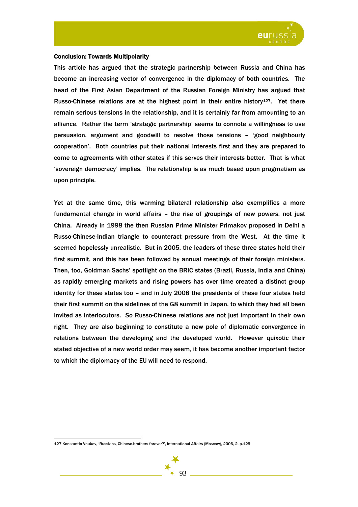

## Conclusion: Towards Multipolarity

This article has argued that the strategic partnership between Russia and China has become an increasing vector of convergence in the diplomacy of both countries. The head of the First Asian Department of the Russian Foreign Ministry has argued that Russo-Chinese relations are at the highest point in their entire history<sup>127</sup>. Yet there remain serious tensions in the relationship, and it is certainly far from amounting to an alliance. Rather the term 'strategic partnership' seems to connote a willingness to use persuasion, argument and goodwill to resolve those tensions – 'good neighbourly cooperation'. Both countries put their national interests first and they are prepared to come to agreements with other states if this serves their interests better. That is what 'sovereign democracy' implies. The relationship is as much based upon pragmatism as upon principle.

Yet at the same time, this warming bilateral relationship also exemplifies a more fundamental change in world affairs – the rise of groupings of new powers, not just China. Already in 1998 the then Russian Prime Minister Primakov proposed in Delhi a Russo-Chinese-Indian triangle to counteract pressure from the West. At the time it seemed hopelessly unrealistic. But in 2005, the leaders of these three states held their first summit, and this has been followed by annual meetings of their foreign ministers. Then, too, Goldman Sachs' spotlight on the BRIC states (Brazil, Russia, India and China) as rapidly emerging markets and rising powers has over time created a distinct group identity for these states too – and in July 2008 the presidents of these four states held their first summit on the sidelines of the G8 summit in Japan, to which they had all been invited as interlocutors. So Russo-Chinese relations are not just important in their own right. They are also beginning to constitute a new pole of diplomatic convergence in relations between the developing and the developed world. However quixotic their stated objective of a new world order may seem, it has become another important factor to which the diplomacy of the EU will need to respond.



<sup>127</sup> Konstantin Vnukov, 'Russians, Chinese-brothers forever?', International Affairs (Moscow), 2006, 2, p.129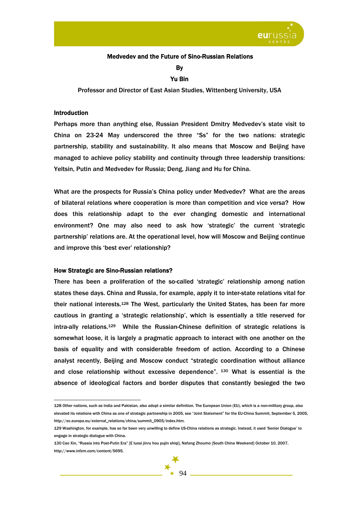

### Medvedev and the Future of Sino-Russian Relations

By

# Yu Bin

Professor and Director of East Asian Studies, Wittenberg University, USA

### Introduction

 $\overline{a}$ 

Perhaps more than anything else, Russian President Dmitry Medvedev's state visit to China on 23-24 May underscored the three "Ss" for the two nations: strategic partnership, stability and sustainability. It also means that Moscow and Beijing have managed to achieve policy stability and continuity through three leadership transitions: Yeltsin, Putin and Medvedev for Russia; Deng, Jiang and Hu for China.

What are the prospects for Russia's China policy under Medvedev? What are the areas of bilateral relations where cooperation is more than competition and vice versa? How does this relationship adapt to the ever changing domestic and international environment? One may also need to ask how 'strategic' the current 'strategic partnership' relations are. At the operational level, how will Moscow and Beijing continue and improve this 'best ever' relationship?

### How Strategic are Sino-Russian relations?

There has been a proliferation of the so-called 'strategic' relationship among nation states these days. China and Russia, for example, apply it to inter-state relations vital for their national interests.128 The West, particularly the United States, has been far more cautious in granting a 'strategic relationship', which is essentially a title reserved for intra-ally relations.129 While the Russian-Chinese definition of strategic relations is somewhat loose, it is largely a pragmatic approach to interact with one another on the basis of equality and with considerable freedom of action. According to a Chinese analyst recently, Beijing and Moscow conduct "strategic coordination without alliance and close relationship without excessive dependence". 130 What is essential is the absence of ideological factors and border disputes that constantly besieged the two

<sup>128</sup> Other nations, such as India and Pakistan, also adopt a similar definition. The European Union (EU), which is a non-military group, also elevated its relations with China as one of strategic partnership in 2005, see "Joint Statement" for the EU-China Summit, September 5, 2005, http://ec.europa.eu/external\_relations/china/summit\_0905/index.htm.

<sup>129</sup> Washington, for example, has so far been very unwilling to define US-China relations as strategic. Instead, it used 'Senior Dialogue' to engage in strategic dialogue with China.

<sup>130</sup> Cao Xin, "Russia into Post-Putin Era" [E luosi jinru hou pujin shiqi], Nafang Zhoumo [South China Weekend] October 10, 2007, http://www.infzm.com/content/5695.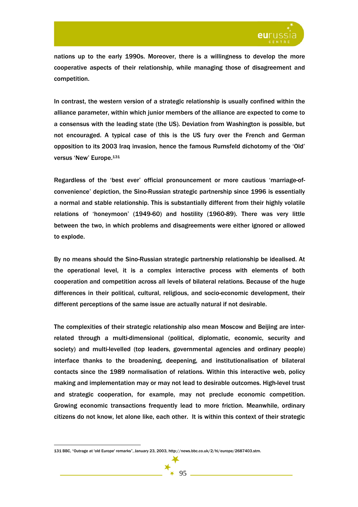

nations up to the early 1990s. Moreover, there is a willingness to develop the more cooperative aspects of their relationship, while managing those of disagreement and competition.

In contrast, the western version of a strategic relationship is usually confined within the alliance parameter, within which junior members of the alliance are expected to come to a consensus with the leading state (the US). Deviation from Washington is possible, but not encouraged. A typical case of this is the US fury over the French and German opposition to its 2003 Iraq invasion, hence the famous Rumsfeld dichotomy of the 'Old' versus 'New' Europe.131

Regardless of the 'best ever' official pronouncement or more cautious 'marriage-ofconvenience' depiction, the Sino-Russian strategic partnership since 1996 is essentially a normal and stable relationship. This is substantially different from their highly volatile relations of 'honeymoon' (1949-60) and hostility (1960-89). There was very little between the two, in which problems and disagreements were either ignored or allowed to explode.

By no means should the Sino-Russian strategic partnership relationship be idealised. At the operational level, it is a complex interactive process with elements of both cooperation and competition across all levels of bilateral relations. Because of the huge differences in their political, cultural, religious, and socio-economic development, their different perceptions of the same issue are actually natural if not desirable.

The complexities of their strategic relationship also mean Moscow and Beijing are interrelated through a multi-dimensional (political, diplomatic, economic, security and society) and multi-levelled (top leaders, governmental agencies and ordinary people) interface thanks to the broadening, deepening, and institutionalisation of bilateral contacts since the 1989 normalisation of relations. Within this interactive web, policy making and implementation may or may not lead to desirable outcomes. High-level trust and strategic cooperation, for example, may not preclude economic competition. Growing economic transactions frequently lead to more friction. Meanwhile, ordinary citizens do not know, let alone like, each other. It is within this context of their strategic



<sup>131</sup> BBC, "Outrage at 'old Europe' remarks", January 23, 2003, http://news.bbc.co.uk/2/hi/europe/2687403.stm.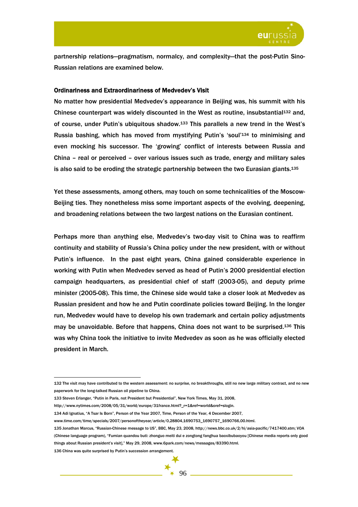

partnership relations—pragmatism, normalcy, and complexity—that the post-Putin Sino-Russian relations are examined below.

### Ordinariness and Extraordinariness of Medvedev's Visit

No matter how presidential Medvedev's appearance in Beijing was, his summit with his Chinese counterpart was widely discounted in the West as routine, insubstantial<sup>132</sup> and, of course, under Putin's ubiquitous shadow.133 This parallels a new trend in the West's Russia bashing, which has moved from mystifying Putin's 'soul'134 to minimising and even mocking his successor. The 'growing' conflict of interests between Russia and China – real or perceived – over various issues such as trade, energy and military sales is also said to be eroding the strategic partnership between the two Eurasian giants. $135$ 

Yet these assessments, among others, may touch on some technicalities of the Moscow-Beijing ties. They nonetheless miss some important aspects of the evolving, deepening, and broadening relations between the two largest nations on the Eurasian continent.

Perhaps more than anything else, Medvedev's two-day visit to China was to reaffirm continuity and stability of Russia's China policy under the new president, with or without Putin's influence. In the past eight years, China gained considerable experience in working with Putin when Medvedev served as head of Putin's 2000 presidential election campaign headquarters, as presidential chief of staff (2003-05), and deputy prime minister (2005-08). This time, the Chinese side would take a closer look at Medvedev as Russian president and how he and Putin coordinate policies toward Beijing. In the longer run, Medvedev would have to develop his own trademark and certain policy adjustments may be unavoidable. Before that happens, China does not want to be surprised.136 This was why China took the initiative to invite Medvedev as soon as he was officially elected president in March.

- http://www.nytimes.com/2008/05/31/world/europe/31france.html?\_r=1&ref=world&oref=slogin.
- 134 Adi Ignatius, "A Tsar Is Born", Person of the Year 2007, Time, Person of the Year, 4 December 2007,

136 China was quite surprised by Putin's succession arrangement.

<sup>132</sup> The visit may have contributed to the western assessment: no surprise, no breakthroughs, still no new large military contract, and no new paperwork for the long-talked Russian oil pipeline to China.

<sup>133</sup> Steven Erlanger, "Putin in Paris, not President but Presidential", New York Times, May 31, 2008,

www.time.com/time/specials/2007/personoftheyear/article/0,28804,1690753\_1690757\_1690766,00.html.<br>135 Jonathan Marcus, "Russian-Chinese message to US", BBC, May 23, 2008, http://news.bbc.co.uk/2/hi/asia-pacific/7417400.stm; (Chinese language program), "Fumian quandou buti: zhonguo meiti dui e zongtong fanghua baoxibubaoyou [Chinese media reports only good things about Russian president's visit]," May 29, 2008, www.6park.com/news/messages/83390.html.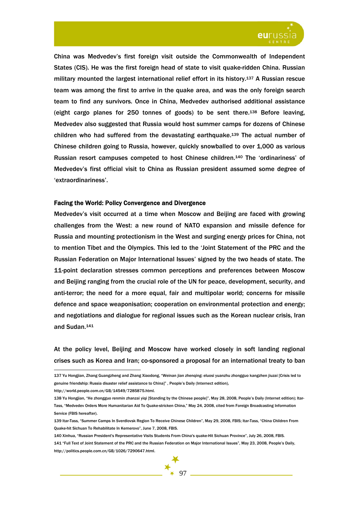

China was Medvedev's first foreign visit outside the Commonwealth of Independent States (CIS). He was the first foreign head of state to visit quake-ridden China. Russian military mounted the largest international relief effort in its history.137 A Russian rescue team was among the first to arrive in the quake area, and was the only foreign search team to find any survivors. Once in China, Medvedev authorised additional assistance (eight cargo planes for 250 tonnes of goods) to be sent there.138 Before leaving, Medvedev also suggested that Russia would host summer camps for dozens of Chinese children who had suffered from the devastating earthquake.139 The actual number of Chinese children going to Russia, however, quickly snowballed to over 1,000 as various Russian resort campuses competed to host Chinese children.140 The 'ordinariness' of Medvedev's first official visit to China as Russian president assumed some degree of 'extraordinariness'.

### Facing the World: Policy Convergence and Divergence

Medvedev's visit occurred at a time when Moscow and Beijing are faced with growing challenges from the West: a new round of NATO expansion and missile defence for Russia and mounting protectionism in the West and surging energy prices for China, not to mention Tibet and the Olympics. This led to the 'Joint Statement of the PRC and the Russian Federation on Major International Issues' signed by the two heads of state. The 11-point declaration stresses common perceptions and preferences between Moscow and Beijing ranging from the crucial role of the UN for peace, development, security, and anti-terror; the need for a more equal, fair and multipolar world; concerns for missile defence and space weaponisation; cooperation on environmental protection and energy; and negotiations and dialogue for regional issues such as the Korean nuclear crisis, Iran and Sudan.141

At the policy level, Beijing and Moscow have worked closely in soft landing regional crises such as Korea and Iran; co-sponsored a proposal for an international treaty to ban

http://world.people.com.cn/GB/14549/7285875.html.

<sup>137</sup> Yu Hongjian, Zhang Guangzheng and Zhang Xiaodong, "Weinan jian zhenqing: eluosi yuanzhu zhongguo kangzhen jiuzai [Crisis led to genuine friendship: Russia disaster relief assistance to China]" , People's Daily (Internect edition),

<sup>138</sup> Yu Hongjian, "He zhongguo renmin zhanzai yiqi [Standing by the Chinese people]", May 28, 2008, People's Daily (Internet edition); Itar-Tass, "Medvedev Orders More Humanitarian Aid To Quake-stricken China," May 24, 2008, cited from Foreign Broadcasting Information Service (FBIS hereafter).

<sup>139</sup> Itar-Tass, "Summer Camps In Sverdlovsk Region To Receive Chinese Children", May 29, 2008, FBIS; Itar-Tass, "China Children From Quake-hit Sichuan To Rehabilitate In Kemerovo", June 7, 2008, FBIS.

<sup>140</sup> Xinhua, "Russian President's Representative Visits Students From China's quake-Hit Sichuan Province", July 26, 2008, FBIS. 141 "Full Text of Joint Statement of the PRC and the Russian Federation on Major International Issues", May 23, 2008, People's Daily, http://politics.people.com.cn/GB/1026/7290647.html.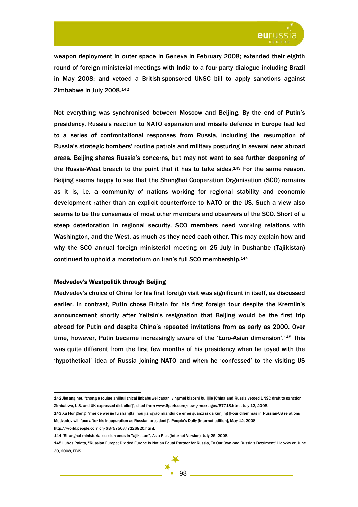

weapon deployment in outer space in Geneva in February 2008; extended their eighth round of foreign ministerial meetings with India to a four-party dialogue including Brazil in May 2008; and vetoed a British-sponsored UNSC bill to apply sanctions against Zimbabwe in July 2008.142

Not everything was synchronised between Moscow and Beijing. By the end of Putin's presidency, Russia's reaction to NATO expansion and missile defence in Europe had led to a series of confrontational responses from Russia, including the resumption of Russia's strategic bombers' routine patrols and military posturing in several near abroad areas. Beijing shares Russia's concerns, but may not want to see further deepening of the Russia-West breach to the point that it has to take sides.143 For the same reason, Beijing seems happy to see that the Shanghai Cooperation Organisation (SCO) remains as it is, i.e. a community of nations working for regional stability and economic development rather than an explicit counterforce to NATO or the US. Such a view also seems to be the consensus of most other members and observers of the SCO. Short of a steep deterioration in regional security, SCO members need working relations with Washington, and the West, as much as they need each other. This may explain how and why the SCO annual foreign ministerial meeting on 25 July in Dushanbe (Tajikistan) continued to uphold a moratorium on Iran's full SCO membership.144

# Medvedev's Westpolitik through Beijing

Medvedev's choice of China for his first foreign visit was significant in itself, as discussed earlier. In contrast, Putin chose Britain for his first foreign tour despite the Kremlin's announcement shortly after Yeltsin's resignation that Beijing would be the first trip abroad for Putin and despite China's repeated invitations from as early as 2000. Over time, however, Putin became increasingly aware of the 'Euro-Asian dimension'.145 This was quite different from the first few months of his presidency when he toyed with the 'hypothetical' idea of Russia joining NATO and when he 'confessed' to the visiting US

http://world.people.com.cn/GB/57507/7226820.html.

<sup>142</sup> Jiefang net, "zhong e foujue anlihui zhicai jinbabuwei caoan, yingmei biaoshi bu lijie [China and Russia vetoed UNSC draft to sanction Zimbabwe, U.S. and UK expressed disbelief]", cited from www.6park.com/news/messages/87718.html, July 12, 2008.

<sup>143</sup> Xu Hongfeng, "mei de wei jie fu shangtai hou jiangyao miandui de emei guanxi si da kunjing [Four dilemmas in Russian-US relations Medvedev will face after his inauguration as Russian president]", People's Daily [Internet edition], May 12, 2008,

<sup>144 &</sup>quot;Shanghai ministerial session ends in Tajikistan", Asia-Plus (Internet Version), July 25, 2008.

<sup>145</sup> Lubos Palata, "Russian Europe; Divided Europe Is Not an Equal Partner for Russia, To Our Own and Russia's Detriment" Lidovky.cz, June 30, 2008, FBIS.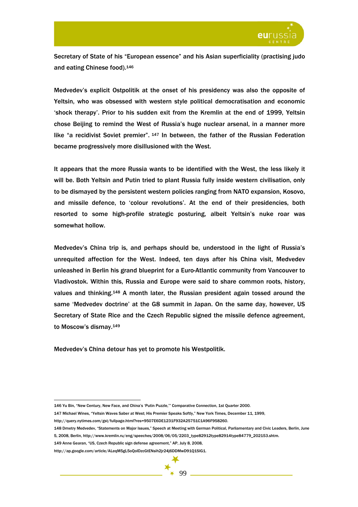

Secretary of State of his "European essence" and his Asian superficiality (practising judo and eating Chinese food).146

Medvedev's explicit Ostpolitik at the onset of his presidency was also the opposite of Yeltsin, who was obsessed with western style political democratisation and economic 'shock therapy'. Prior to his sudden exit from the Kremlin at the end of 1999, Yeltsin chose Beijing to remind the West of Russia's huge nuclear arsenal, in a manner more like "a recidivist Soviet premier", <sup>147</sup> In between, the father of the Russian Federation became progressively more disillusioned with the West.

It appears that the more Russia wants to be identified with the West, the less likely it will be. Both Yeltsin and Putin tried to plant Russia fully inside western civilisation, only to be dismayed by the persistent western policies ranging from NATO expansion, Kosovo, and missile defence, to 'colour revolutions'. At the end of their presidencies, both resorted to some high-profile strategic posturing, albeit Yeltsin's nuke roar was somewhat hollow.

Medvedev's China trip is, and perhaps should be, understood in the light of Russia's unrequited affection for the West. Indeed, ten days after his China visit, Medvedev unleashed in Berlin his grand blueprint for a Euro-Atlantic community from Vancouver to Vladivostok. Within this, Russia and Europe were said to share common roots, history, values and thinking.148 A month later, the Russian president again tossed around the same 'Medvedev doctrine' at the G8 summit in Japan. On the same day, however, US Secretary of State Rice and the Czech Republic signed the missile defence agreement, to Moscow's dismay.149

Medvedev's China detour has yet to promote his Westpolitik.

147 Michael Wines, "Yeltsin Waves Saber at West; His Premier Speaks Softly," New York Times, December 11, 1999,

<sup>146</sup> Yu Bin, "New Century, New Face, and China's 'Putin Puzzle,'" Comparative Connection, 1st Quarter 2000.

http://query.nytimes.com/gst/fullpage.html?res=9507E6DE1231F932A25751C1A96F958260.

<sup>148</sup> Dmetry Medvedev, "Statements on Major Issues," Speech at Meeting with German Political, Parliamentary and Civic Leaders, Berlin, June

<sup>5, 2008,</sup> Berlin, http://www.kremlin.ru/eng/speeches/2008/06/05/2203\_type82912type82914type84779\_202153.shtm.

<sup>149</sup> Anne Gearan, "US, Czech Republic sign defense agreement," AP, July 8, 2008,

http://ap.google.com/article/ALeqM5gL5oQoIDzcGtENsih2jr24j6DDMwD91Q1SIG1.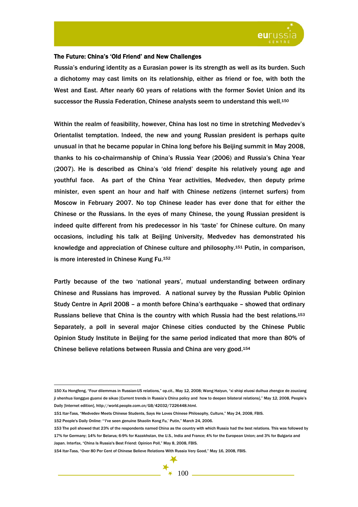

# The Future: China's 'Old Friend' and New Challenges

Russia's enduring identity as a Eurasian power is its strength as well as its burden. Such a dichotomy may cast limits on its relationship, either as friend or foe, with both the West and East. After nearly 60 years of relations with the former Soviet Union and its successor the Russia Federation, Chinese analysts seem to understand this well.<sup>150</sup>

Within the realm of feasibility, however, China has lost no time in stretching Medvedev's Orientalist temptation. Indeed, the new and young Russian president is perhaps quite unusual in that he became popular in China long before his Beijing summit in May 2008, thanks to his co-chairmanship of China's Russia Year (2006) and Russia's China Year (2007). He is described as China's 'old friend' despite his relatively young age and youthful face. As part of the China Year activities, Medvedev, then deputy prime minister, even spent an hour and half with Chinese *netizens* (internet surfers) from Moscow in February 2007. No top Chinese leader has ever done that for either the Chinese or the Russians. In the eyes of many Chinese, the young Russian president is indeed quite different from his predecessor in his 'taste' for Chinese culture. On many occasions, including his talk at Beijing University, Medvedev has demonstrated his knowledge and appreciation of Chinese culture and philosophy.151 Putin, in comparison, is more interested in Chinese Kung Fu.152

Partly because of the two 'national years', mutual understanding between ordinary Chinese and Russians has improved. A national survey by the Russian Public Opinion Study Centre in April 2008 – a month before China's earthquake – showed that ordinary Russians believe that China is the country with which Russia had the best relations.153 Separately, a poll in several major Chinese cities conducted by the Chinese Public Opinion Study Institute in Beijing for the same period indicated that more than 80% of Chinese believe relations between Russia and China are very good.154

<sup>150</sup> Xu Hongfeng, "Four dilemmas in Russian-US relations," op.cit., May 12, 2008; Wang Haiyun, "xi shiqi eluosi duihua zhengce de zouxiang ji shenhua liangguo guanxi de sikao [Current trends in Russia's China policy and how to deepen bilateral relations]," May 12, 2008, People's Daily [Internet edition], http://world.people.com.cn/GB/42032/7226448.html.

<sup>151</sup> Itar-Tass, "Medvedev Meets Chinese Students, Says He Loves Chinese Philosophy, Culture," May 24, 2008, FBIS.

<sup>152</sup> People's Daily Online: "'I've seen genuine Shaolin Kong Fu,' Putin," March 24, 2006.

<sup>153</sup> The poll showed that 23% of the respondents named China as the country with which Russia had the best relations. This was followed by 17% for Germany; 14% for Belarus; 6-9% for Kazakhstan, the U.S., India and France; 4% for the European Union; and 3% for Bulgaria and Japan. Interfax, "China Is Russia's Best Friend: Opinion Poll," May 8, 2008, FBIS.

<sup>154</sup> Itar-Tass, "Over 80 Per Cent of Chinese Believe Relations With Russia Very Good," May 16, 2008, FBIS.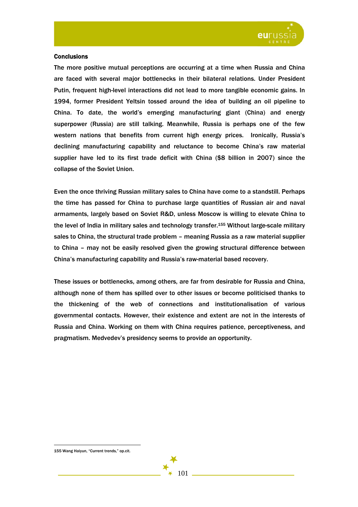

### **Conclusions**

The more positive mutual perceptions are occurring at a time when Russia and China are faced with several major bottlenecks in their bilateral relations. Under President Putin, frequent high-level interactions did not lead to more tangible economic gains. In 1994, former President Yeltsin tossed around the idea of building an oil pipeline to China. To date, the world's emerging manufacturing giant (China) and energy superpower (Russia) are still talking. Meanwhile, Russia is perhaps one of the few western nations that benefits from current high energy prices. Ironically, Russia's declining manufacturing capability and reluctance to become China's raw material supplier have led to its first trade deficit with China (\$8 billion in 2007) since the collapse of the Soviet Union.

Even the once thriving Russian military sales to China have come to a standstill. Perhaps the time has passed for China to purchase large quantities of Russian air and naval armaments, largely based on Soviet R&D, unless Moscow is willing to elevate China to the level of India in military sales and technology transfer.155 Without large-scale military sales to China, the structural trade problem – meaning Russia as a raw material supplier to China – may not be easily resolved given the growing structural difference between China's manufacturing capability and Russia's raw-material based recovery.

These issues or bottlenecks, among others, are far from desirable for Russia and China, although none of them has spilled over to other issues or become politicised thanks to the thickening of the web of connections and institutionalisation of various governmental contacts. However, their existence and extent are not in the interests of Russia and China. Working on them with China requires patience, perceptiveness, and pragmatism. Medvedev's presidency seems to provide an opportunity.

101

<sup>155</sup> Wang Haiyun, "Current trends," op.cit.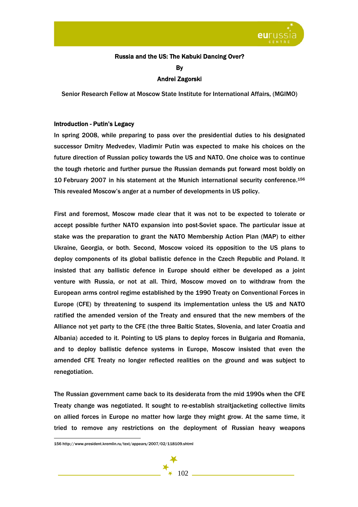

# Russia and the US: The Kabuki Dancing Over? By

# Andrei Zagorski

Senior Research Fellow at Moscow State Institute for International Affairs, (MGIMO)

# Introduction - Putin's Legacy

In spring 2008, while preparing to pass over the presidential duties to his designated successor Dmitry Medvedev, Vladimir Putin was expected to make his choices on the future direction of Russian policy towards the US and NATO. One choice was to continue the tough rhetoric and further pursue the Russian demands put forward most boldly on 10 February 2007 in his statement at the Munich international security conference.156 This revealed Moscow's anger at a number of developments in US policy.

First and foremost, Moscow made clear that it was not to be expected to tolerate or accept possible further NATO expansion into post-Soviet space. The particular issue at stake was the preparation to grant the NATO Membership Action Plan (MAP) to either Ukraine, Georgia, or both. Second, Moscow voiced its opposition to the US plans to deploy components of its global ballistic defence in the Czech Republic and Poland. It insisted that any ballistic defence in Europe should either be developed as a joint venture with Russia, or not at all. Third, Moscow moved on to withdraw from the European arms control regime established by the 1990 Treaty on Conventional Forces in Europe (CFE) by threatening to suspend its implementation unless the US and NATO ratified the amended version of the Treaty and ensured that the new members of the Alliance not yet party to the CFE (the three Baltic States, Slovenia, and later Croatia and Albania) acceded to it. Pointing to US plans to deploy forces in Bulgaria and Romania, and to deploy ballistic defence systems in Europe, Moscow insisted that even the amended CFE Treaty no longer reflected realities on the ground and was subject to renegotiation.

The Russian government came back to its desiderata from the mid 1990s when the CFE Treaty change was negotiated. It sought to re-establish straitjacketing collective limits on allied forces in Europe no matter how large they might grow. At the same time, it tried to remove any restrictions on the deployment of Russian heavy weapons



<sup>156</sup> http://www.president.kremlin.ru/text/appears/2007/02/118109.shtml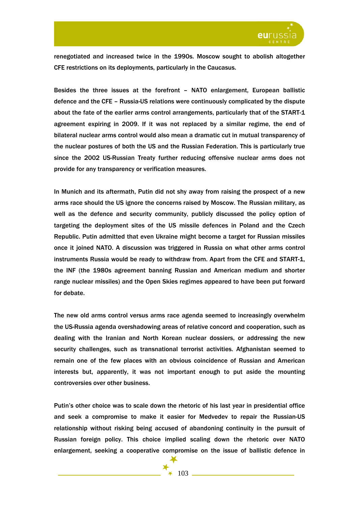

renegotiated and increased twice in the 1990s. Moscow sought to abolish altogether CFE restrictions on its deployments, particularly in the Caucasus.

Besides the three issues at the forefront – NATO enlargement, European ballistic defence and the CFE – Russia-US relations were continuously complicated by the dispute about the fate of the earlier arms control arrangements, particularly that of the START-1 agreement expiring in 2009. If it was not replaced by a similar regime, the end of bilateral nuclear arms control would also mean a dramatic cut in mutual transparency of the nuclear postures of both the US and the Russian Federation. This is particularly true since the 2002 US-Russian Treaty further reducing offensive nuclear arms does not provide for any transparency or verification measures.

In Munich and its aftermath, Putin did not shy away from raising the prospect of a new arms race should the US ignore the concerns raised by Moscow. The Russian military, as well as the defence and security community, publicly discussed the policy option of targeting the deployment sites of the US missile defences in Poland and the Czech Republic. Putin admitted that even Ukraine might become a target for Russian missiles once it joined NATO. A discussion was triggered in Russia on what other arms control instruments Russia would be ready to withdraw from. Apart from the CFE and START-1, the INF (the 1980s agreement banning Russian and American medium and shorter range nuclear missiles) and the Open Skies regimes appeared to have been put forward for debate.

The new old arms control versus arms race agenda seemed to increasingly overwhelm the US-Russia agenda overshadowing areas of relative concord and cooperation, such as dealing with the Iranian and North Korean nuclear dossiers, or addressing the new security challenges, such as transnational terrorist activities. Afghanistan seemed to remain one of the few places with an obvious coincidence of Russian and American interests but, apparently, it was not important enough to put aside the mounting controversies over other business.

Putin's other choice was to scale down the rhetoric of his last year in presidential office and seek a compromise to make it easier for Medvedev to repair the Russian-US relationship without risking being accused of abandoning continuity in the pursuit of Russian foreign policy. This choice implied scaling down the rhetoric over NATO enlargement, seeking a cooperative compromise on the issue of ballistic defence in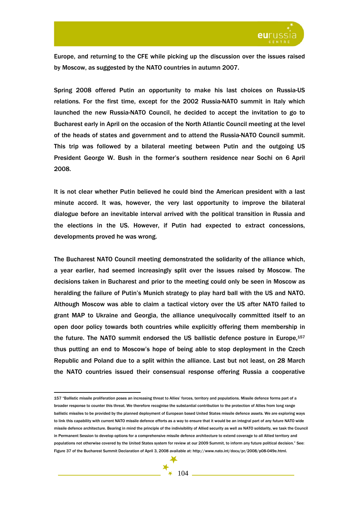

Europe, and returning to the CFE while picking up the discussion over the issues raised by Moscow, as suggested by the NATO countries in autumn 2007.

Spring 2008 offered Putin an opportunity to make his last choices on Russia-US relations. For the first time, except for the 2002 Russia-NATO summit in Italy which launched the new Russia-NATO Council, he decided to accept the invitation to go to Bucharest early in April on the occasion of the North Atlantic Council meeting at the level of the heads of states and government and to attend the Russia-NATO Council summit. This trip was followed by a bilateral meeting between Putin and the outgoing US President George W. Bush in the former's southern residence near Sochi on 6 April 2008.

It is not clear whether Putin believed he could bind the American president with a last minute accord. It was, however, the very last opportunity to improve the bilateral dialogue before an inevitable interval arrived with the political transition in Russia and the elections in the US. However, if Putin had expected to extract concessions, developments proved he was wrong.

The Bucharest NATO Council meeting demonstrated the solidarity of the alliance which, a year earlier, had seemed increasingly split over the issues raised by Moscow. The decisions taken in Bucharest and prior to the meeting could only be seen in Moscow as heralding the failure of Putin's Munich strategy to play hard ball with the US and NATO. Although Moscow was able to claim a tactical victory over the US after NATO failed to grant MAP to Ukraine and Georgia, the alliance unequivocally committed itself to an open door policy towards both countries while explicitly offering them membership in the future. The NATO summit endorsed the US ballistic defence posture in Europe,<sup>157</sup> thus putting an end to Moscow's hope of being able to stop deployment in the Czech Republic and Poland due to a split within the alliance. Last but not least, on 28 March the NATO countries issued their consensual response offering Russia a cooperative

<sup>157 &</sup>quot;Ballistic missile proliferation poses an increasing threat to Allies' forces, territory and populations. Missile defence forms part of a broader response to counter this threat. We therefore recognise the substantial contribution to the protection of Allies from long range ballistic missiles to be provided by the planned deployment of European based United States missile defence assets. We are exploring ways to link this capability with current NATO missile defence efforts as a way to ensure that it would be an integral part of any future NATO wide missile defence architecture. Bearing in mind the principle of the indivisibility of Allied security as well as NATO solidarity, we task the Council in Permanent Session to develop options for a comprehensive missile defence architecture to extend coverage to all Allied territory and populations not otherwise covered by the United States system for review at our 2009 Summit, to inform any future political decision." See: Figure 37 of the Bucharest Summit Declaration of April 3, 2008 available at: http://www.nato.int/docu/pr/2008/p08-049e.html.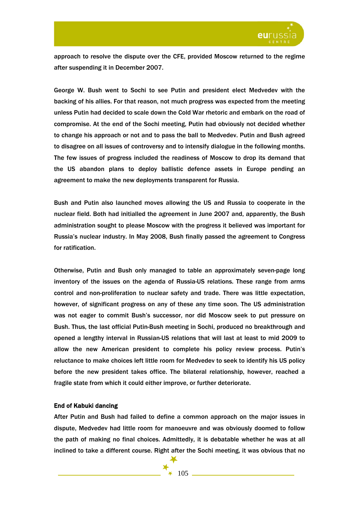

approach to resolve the dispute over the CFE, provided Moscow returned to the regime after suspending it in December 2007.

George W. Bush went to Sochi to see Putin and president elect Medvedev with the backing of his allies. For that reason, not much progress was expected from the meeting unless Putin had decided to scale down the Cold War rhetoric and embark on the road of compromise. At the end of the Sochi meeting, Putin had obviously not decided whether to change his approach or not and to pass the ball to Medvedev. Putin and Bush agreed to disagree on all issues of controversy and to intensify dialogue in the following months. The few issues of progress included the readiness of Moscow to drop its demand that the US abandon plans to deploy ballistic defence assets in Europe pending an agreement to make the new deployments transparent for Russia.

Bush and Putin also launched moves allowing the US and Russia to cooperate in the nuclear field. Both had initialled the agreement in June 2007 and, apparently, the Bush administration sought to please Moscow with the progress it believed was important for Russia's nuclear industry. In May 2008, Bush finally passed the agreement to Congress for ratification.

Otherwise, Putin and Bush only managed to table an approximately seven-page long inventory of the issues on the agenda of Russia-US relations. These range from arms control and non-proliferation to nuclear safety and trade. There was little expectation, however, of significant progress on any of these any time soon. The US administration was not eager to commit Bush's successor, nor did Moscow seek to put pressure on Bush. Thus, the last official Putin-Bush meeting in Sochi, produced no breakthrough and opened a lengthy interval in Russian-US relations that will last at least to mid 2009 to allow the new American president to complete his policy review process. Putin's reluctance to make choices left little room for Medvedev to seek to identify his US policy before the new president takes office. The bilateral relationship, however, reached a fragile state from which it could either improve, or further deteriorate.

# End of Kabuki dancing

After Putin and Bush had failed to define a common approach on the major issues in dispute, Medvedev had little room for manoeuvre and was obviously doomed to follow the path of making no final choices. Admittedly, it is debatable whether he was at all inclined to take a different course. Right after the Sochi meeting, it was obvious that no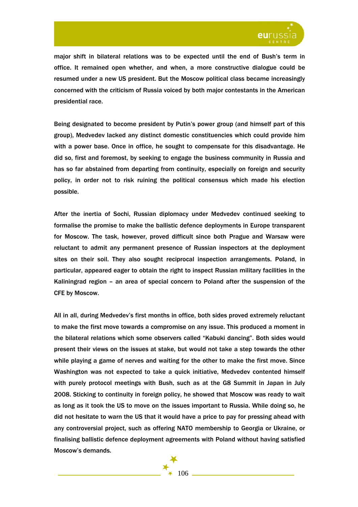

major shift in bilateral relations was to be expected until the end of Bush's term in office. It remained open whether, and when, a more constructive dialogue could be resumed under a new US president. But the Moscow political class became increasingly concerned with the criticism of Russia voiced by both major contestants in the American presidential race.

Being designated to become president by Putin's power group (and himself part of this group), Medvedev lacked any distinct domestic constituencies which could provide him with a power base. Once in office, he sought to compensate for this disadvantage. He did so, first and foremost, by seeking to engage the business community in Russia and has so far abstained from departing from continuity, especially on foreign and security policy, in order not to risk ruining the political consensus which made his election possible.

After the inertia of Sochi, Russian diplomacy under Medvedev continued seeking to formalise the promise to make the ballistic defence deployments in Europe transparent for Moscow. The task, however, proved difficult since both Prague and Warsaw were reluctant to admit any permanent presence of Russian inspectors at the deployment sites on their soil. They also sought reciprocal inspection arrangements. Poland, in particular, appeared eager to obtain the right to inspect Russian military facilities in the Kaliningrad region – an area of special concern to Poland after the suspension of the CFE by Moscow.

All in all, during Medvedev's first months in office, both sides proved extremely reluctant to make the first move towards a compromise on any issue. This produced a moment in the bilateral relations which some observers called "Kabuki dancing". Both sides would present their views on the issues at stake, but would not take a step towards the other while playing a game of nerves and waiting for the other to make the first move. Since Washington was not expected to take a quick initiative, Medvedev contented himself with purely protocol meetings with Bush, such as at the G8 Summit in Japan in July 2008. Sticking to continuity in foreign policy, he showed that Moscow was ready to wait as long as it took the US to move on the issues important to Russia. While doing so, he did not hesitate to warn the US that it would have a price to pay for pressing ahead with any controversial project, such as offering NATO membership to Georgia or Ukraine, or finalising ballistic defence deployment agreements with Poland without having satisfied Moscow's demands.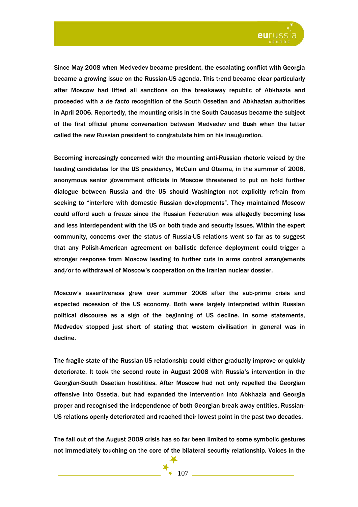

Since May 2008 when Medvedev became president, the escalating conflict with Georgia became a growing issue on the Russian-US agenda. This trend became clear particularly after Moscow had lifted all sanctions on the breakaway republic of Abkhazia and proceeded with a *de facto* recognition of the South Ossetian and Abkhazian authorities in April 2006. Reportedly, the mounting crisis in the South Caucasus became the subject of the first official phone conversation between Medvedev and Bush when the latter called the new Russian president to congratulate him on his inauguration.

Becoming increasingly concerned with the mounting anti-Russian rhetoric voiced by the leading candidates for the US presidency, McCain and Obama, in the summer of 2008, anonymous senior government officials in Moscow threatened to put on hold further dialogue between Russia and the US should Washington not explicitly refrain from seeking to "interfere with domestic Russian developments". They maintained Moscow could afford such a freeze since the Russian Federation was allegedly becoming less and less interdependent with the US on both trade and security issues. Within the expert community, concerns over the status of Russia-US relations went so far as to suggest that any Polish-American agreement on ballistic defence deployment could trigger a stronger response from Moscow leading to further cuts in arms control arrangements and/or to withdrawal of Moscow's cooperation on the Iranian nuclear dossier.

Moscow's assertiveness grew over summer 2008 after the sub-prime crisis and expected recession of the US economy. Both were largely interpreted within Russian political discourse as a sign of the beginning of US decline. In some statements, Medvedev stopped just short of stating that western civilisation in general was in decline.

The fragile state of the Russian-US relationship could either gradually improve or quickly deteriorate. It took the second route in August 2008 with Russia's intervention in the Georgian-South Ossetian hostilities. After Moscow had not only repelled the Georgian offensive into Ossetia, but had expanded the intervention into Abkhazia and Georgia proper and recognised the independence of both Georgian break away entities, Russian-US relations openly deteriorated and reached their lowest point in the past two decades.

The fall out of the August 2008 crisis has so far been limited to some symbolic gestures not immediately touching on the core of the bilateral security relationship. Voices in the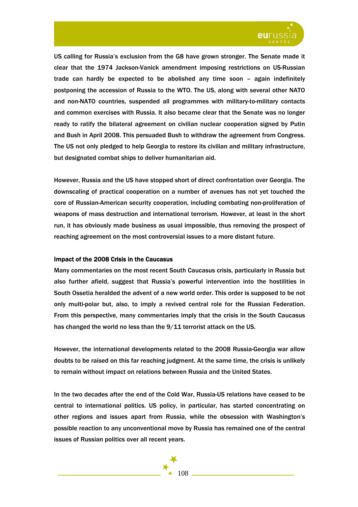

US calling for Russia's exclusion from the G8 have grown stronger. The Senate made it clear that the 1974 Jackson-Vanick amendment imposing restrictions on US-Russian trade can hardly be expected to be abolished any time soon – again indefinitely postponing the accession of Russia to the WTO. The US, along with several other NATO and non-NATO countries, suspended all programmes with military-to-military contacts and common exercises with Russia. It also became clear that the Senate was no longer ready to ratify the bilateral agreement on civilian nuclear cooperation signed by Putin and Bush in April 2008. This persuaded Bush to withdraw the agreement from Congress. The US not only pledged to help Georgia to restore its civilian and military infrastructure, but designated combat ships to deliver humanitarian aid.

However, Russia and the US have stopped short of direct confrontation over Georgia. The downscaling of practical cooperation on a number of avenues has not yet touched the core of Russian-American security cooperation, including combating non-proliferation of weapons of mass destruction and international terrorism. However, at least in the short run, it has obviously made business as usual impossible, thus removing the prospect of reaching agreement on the most controversial issues to a more distant future.

# Impact of the 2008 Crisis in the Caucasus

Many commentaries on the most recent South Caucasus crisis, particularly in Russia but also further afield, suggest that Russia's powerful intervention into the hostilities in South Ossetia heralded the advent of a new world order. This order is supposed to be not only multi-polar but, also, to imply a revived central role for the Russian Federation. From this perspective, many commentaries imply that the crisis in the South Caucasus has changed the world no less than the 9/11 terrorist attack on the US.

However, the international developments related to the 2008 Russia-Georgia war allow doubts to be raised on this far reaching judgment. At the same time, the crisis is unlikely to remain without impact on relations between Russia and the United States.

In the two decades after the end of the Cold War, Russia-US relations have ceased to be central to international politics. US policy, in particular, has started concentrating on other regions and issues apart from Russia, while the obsession with Washington's possible reaction to any unconventional move by Russia has remained one of the central issues of Russian politics over all recent years.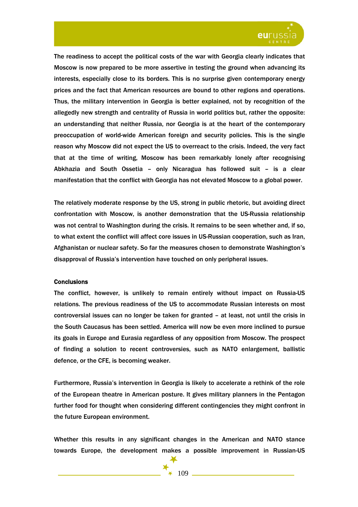

The readiness to accept the political costs of the war with Georgia clearly indicates that Moscow is now prepared to be more assertive in testing the ground when advancing its interests, especially close to its borders. This is no surprise given contemporary energy prices and the fact that American resources are bound to other regions and operations. Thus, the military intervention in Georgia is better explained, not by recognition of the allegedly new strength and centrality of Russia in world politics but, rather the opposite: an understanding that neither Russia, nor Georgia is at the heart of the contemporary preoccupation of world-wide American foreign and security policies. This is the single reason why Moscow did not expect the US to overreact to the crisis. Indeed, the very fact that at the time of writing, Moscow has been remarkably lonely after recognising Abkhazia and South Ossetia – only Nicaragua has followed suit – is a clear manifestation that the conflict with Georgia has not elevated Moscow to a global power.

The relatively moderate response by the US, strong in public rhetoric, but avoiding direct confrontation with Moscow, is another demonstration that the US-Russia relationship was not central to Washington during the crisis. It remains to be seen whether and, if so, to what extent the conflict will affect core issues in US-Russian cooperation, such as Iran, Afghanistan or nuclear safety. So far the measures chosen to demonstrate Washington's disapproval of Russia's intervention have touched on only peripheral issues.

### **Conclusions**

The conflict, however, is unlikely to remain entirely without impact on Russia-US relations. The previous readiness of the US to accommodate Russian interests on most controversial issues can no longer be taken for granted – at least, not until the crisis in the South Caucasus has been settled. America will now be even more inclined to pursue its goals in Europe and Eurasia regardless of any opposition from Moscow. The prospect of finding a solution to recent controversies, such as NATO enlargement, ballistic defence, or the CFE, is becoming weaker.

Furthermore, Russia's intervention in Georgia is likely to accelerate a rethink of the role of the European theatre in American posture. It gives military planners in the Pentagon further food for thought when considering different contingencies they might confront in the future European environment.

Whether this results in any significant changes in the American and NATO stance towards Europe, the development makes a possible improvement in Russian-US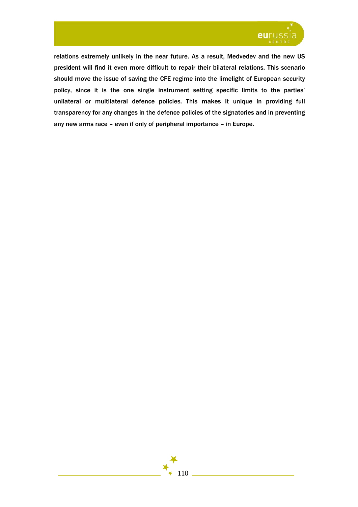

relations extremely unlikely in the near future. As a result, Medvedev and the new US president will find it even more difficult to repair their bilateral relations. This scenario should move the issue of saving the CFE regime into the limelight of European security policy, since it is the one single instrument setting specific limits to the parties' unilateral or multilateral defence policies. This makes it unique in providing full transparency for any changes in the defence policies of the signatories and in preventing any new arms race – even if only of peripheral importance – in Europe.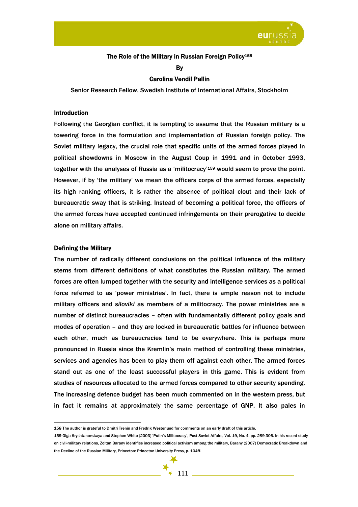

## The Role of the Military in Russian Foreign Policy<sup>158</sup>

**B** 

### Carolina Vendil Pallin

Senior Research Fellow, Swedish Institute of International Affairs, Stockholm

#### Introduction

Following the Georgian conflict, it is tempting to assume that the Russian military is a towering force in the formulation and implementation of Russian foreign policy. The Soviet military legacy, the crucial role that specific units of the armed forces played in political showdowns in Moscow in the August Coup in 1991 and in October 1993, together with the analyses of Russia as a 'militocracy'159 would seem to prove the point. However, if by 'the military' we mean the officers corps of the armed forces, especially its high ranking officers, it is rather the absence of political clout and their lack of bureaucratic sway that is striking. Instead of becoming a political force, the officers of the armed forces have accepted continued infringements on their prerogative to decide alone on military affairs.

#### Defining the Military

 $\overline{a}$ 

The number of radically different conclusions on the political influence of the military stems from different definitions of what constitutes the Russian military. The armed forces are often lumped together with the security and intelligence services as a political force referred to as 'power ministries'. In fact, there is ample reason not to include military officers and *siloviki* as members of a militocracy. The power ministries are a number of distinct bureaucracies – often with fundamentally different policy goals and modes of operation – and they are locked in bureaucratic battles for influence between each other, much as bureaucracies tend to be everywhere. This is perhaps more pronounced in Russia since the Kremlin's main method of controlling these ministries, services and agencies has been to play them off against each other. The armed forces stand out as one of the least successful players in this game. This is evident from studies of resources allocated to the armed forces compared to other security spending. The increasing defence budget has been much commented on in the western press, but in fact it remains at approximately the same percentage of GNP. It also pales in

<sup>159</sup> Olga Kryshtanovskaya and Stephen White (2003) 'Putin's Militocracy', Post-Soviet Affairs, Vol. 19, No. 4, pp. 289-306. In his recent study on civil-military relations, Zoltan Barany identifies increased political activism among the military, Barany (2007) Democratic Breakdown and the Decline of the Russian Military, Princeton: Princeton University Press, p. 104ff.



<sup>158</sup> The author is grateful to Dmitri Trenin and Fredrik Westerlund for comments on an early draft of this article.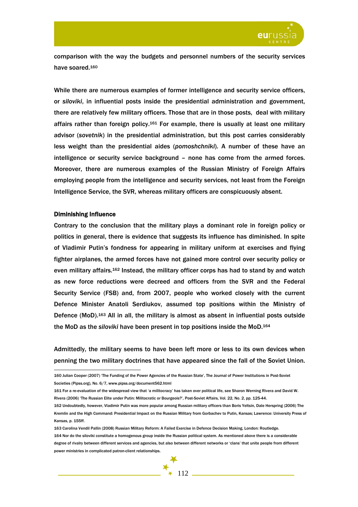

comparison with the way the budgets and personnel numbers of the security services have soared.160

While there are numerous examples of former intelligence and security service officers, or *siloviki*, in influential posts inside the presidential administration and government, there are relatively few military officers. Those that are in those posts, deal with military affairs rather than foreign policy.<sup>161</sup> For example, there is usually at least one military advisor (*sovetnik*) in the presidential administration, but this post carries considerably less weight than the presidential aides (*pomoshchniki*). A number of these have an intelligence or security service background – none has come from the armed forces. Moreover, there are numerous examples of the Russian Ministry of Foreign Affairs employing people from the intelligence and security services, not least from the Foreign Intelligence Service, the SVR, whereas military officers are conspicuously absent.

### Diminishing Influence

 $\overline{a}$ 

Contrary to the conclusion that the military plays a dominant role in foreign policy or politics in general, there is evidence that suggests its influence has diminished. In spite of Vladimir Putin's fondness for appearing in military uniform at exercises and flying fighter airplanes, the armed forces have not gained more control over security policy or even military affairs.162 Instead, the military officer corps has had to stand by and watch as new force reductions were decreed and officers from the SVR and the Federal Security Service (FSB) and, from 2007, people who worked closely with the current Defence Minister Anatoli Serdiukov, assumed top positions within the Ministry of Defence (MoD).<sup>163</sup> All in all, the military is almost as absent in influential posts outside the MoD as the *siloviki* have been present in top positions inside the MoD.164

Admittedly, the military seems to have been left more or less to its own devices when penning the two military doctrines that have appeared since the fall of the Soviet Union.

160 Julian Cooper (2007) 'The Funding of the Power Agencies of the Russian State', The Journal of Power Institutions in Post-Soviet Societies (Pipss.org), No. 6/7, www.pipss.org/document562.html

<sup>161</sup> For a re-evaluation of the widespread view that 'a militocracy' has taken over political life, see Sharon Werning Rivera and David W. Rivera (2006) 'The Russian Elite under Putin: Militocratic or Bourgeois?', Post-Soviet Affairs, Vol. 22, No. 2, pp. 125-44.

<sup>162</sup> Undoubtedly, however, Vladimir Putin was more popular among Russian military officers than Boris Yeltsin, Dale Herspring (2006) The Kremlin and the High Command: Presidential Impact on the Russian Military from Gorbachev to Putin, Kansas; Lawrence: University Press of Kansas, p. 155ff.

<sup>163</sup> Carolina Vendil Pallin (2008) Russian Military Reform: A Failed Exercise in Defence Decision Making, London: Routledge.

<sup>164</sup> Nor do the siloviki constitute a homogenous group inside the Russian political system. As mentioned above there is a considerable degree of rivalry between different services and agencies, but also between different networks or 'clans' that unite people from different power ministries in complicated patron-client relationships.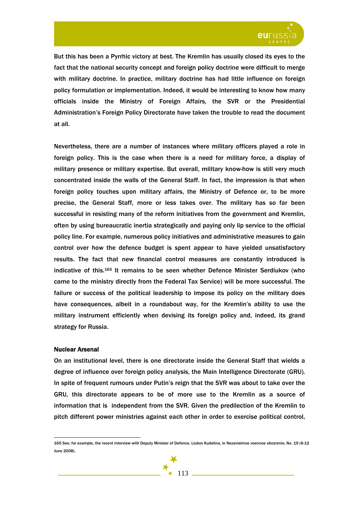

But this has been a Pyrrhic victory at best. The Kremlin has usually closed its eyes to the fact that the national security concept and foreign policy doctrine were difficult to merge with military doctrine. In practice, military doctrine has had little influence on foreign policy formulation or implementation. Indeed, it would be interesting to know how many officials inside the Ministry of Foreign Affairs, the SVR or the Presidential Administration's Foreign Policy Directorate have taken the trouble to read the document at all.

Nevertheless, there are a number of instances where military officers played a role in foreign policy. This is the case when there is a need for military force, a display of military presence or military expertise. But overall, military know-how is still very much concentrated inside the walls of the General Staff. In fact, the impression is that when foreign policy touches upon military affairs, the Ministry of Defence or, to be more precise, the General Staff, more or less takes over. The military has so far been successful in resisting many of the reform initiatives from the government and Kremlin, often by using bureaucratic inertia strategically and paying only lip service to the official policy line. For example, numerous policy initiatives and administrative measures to gain control over how the defence budget is spent appear to have yielded unsatisfactory results. The fact that new financial control measures are constantly introduced is indicative of this.165 It remains to be seen whether Defence Minister Serdiukov (who came to the ministry directly from the Federal Tax Service) will be more successful. The failure or success of the political leadership to impose its policy on the military does have consequences, albeit in a roundabout way, for the Kremlin's ability to use the military instrument efficiently when devising its foreign policy and, indeed, its grand strategy for Russia.

### Nuclear Arsenal

 $\overline{a}$ 

On an institutional level, there is one directorate inside the General Staff that wields a degree of influence over foreign policy analysis, the Main Intelligence Directorate (GRU). In spite of frequent rumours under Putin's reign that the SVR was about to take over the GRU, this directorate appears to be of more use to the Kremlin as a source of information that is independent from the SVR. Given the predilection of the Kremlin to pitch different power ministries against each other in order to exercise political control,

<sup>165</sup> See, for example, the recent interview with Deputy Minister of Defence, Liubov Kudelina, in Nezavisimoe voennoe obozrenie, No. 19 (6-12 June 2008).

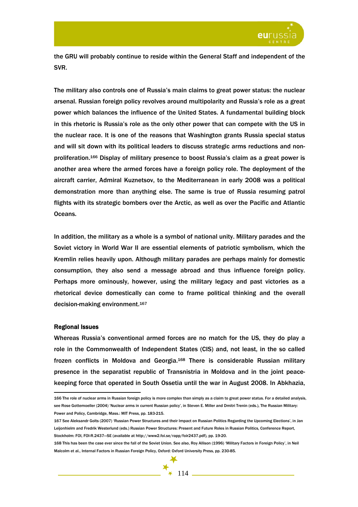

the GRU will probably continue to reside within the General Staff and independent of the SVR.

The military also controls one of Russia's main claims to great power status: the nuclear arsenal. Russian foreign policy revolves around multipolarity and Russia's role as a great power which balances the influence of the United States. A fundamental building block in this rhetoric is Russia's role as the only other power that can compete with the US in the nuclear race. It is one of the reasons that Washington grants Russia special status and will sit down with its political leaders to discuss strategic arms reductions and nonproliferation.166 Display of military presence to boost Russia's claim as a great power is another area where the armed forces have a foreign policy role. The deployment of the aircraft carrier, Admiral Kuznetsov, to the Mediterranean in early 2008 was a political demonstration more than anything else. The same is true of Russia resuming patrol flights with its strategic bombers over the Arctic, as well as over the Pacific and Atlantic Oceans.

In addition, the military as a whole is a symbol of national unity. Military parades and the Soviet victory in World War II are essential elements of patriotic symbolism, which the Kremlin relies heavily upon. Although military parades are perhaps mainly for domestic consumption, they also send a message abroad and thus influence foreign policy. Perhaps more ominously, however, using the military legacy and past victories as a rhetorical device domestically can come to frame political thinking and the overall decision-making environment.167

### Regional Issues

 $\overline{a}$ 

Whereas Russia's conventional armed forces are no match for the US, they do play a role in the Commonwealth of Independent States (CIS) and, not least, in the so called frozen conflicts in Moldova and Georgia.168 There is considerable Russian military presence in the separatist republic of Transnistria in Moldova and in the joint peacekeeping force that operated in South Ossetia until the war in August 2008. In Abkhazia,

<sup>168</sup> This has been the case ever since the fall of the Soviet Union. See also, Roy Allison (1996) 'Military Factors in Foreign Policy', in Neil Malcolm et al., Internal Factors in Russian Foreign Policy, Oxford: Oxford University Press, pp. 230-85.



<sup>166</sup> The role of nuclear arms in Russian foreign policy is more complex than simply as a claim to great power status. For a detailed analysis, see Rose Gottemoeller (2004) 'Nuclear arms in current Russian policy', in Steven E. Miller and Dmitri Trenin (eds.), The Russian Military: Power and Policy, Cambridge, Mass.: MIT Press, pp. 183-215.

<sup>167</sup> See Aleksandr Golts (2007) 'Russian Power Structures and their Impact on Russian Politics Regarding the Upcoming Elections', in Jan Leijonhielm and Fredrik Westerlund (eds.) Russian Power Structures: Present and Future Roles in Russian Politics, Conference Report, Stockholm: FOI, FOI-R.2437—SE (available at http://www2.foi.se/rapp/foir2437.pdf), pp. 19-20.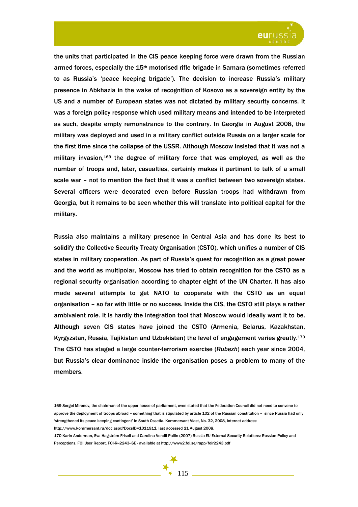

the units that participated in the CIS peace keeping force were drawn from the Russian armed forces, especially the  $15<sup>th</sup>$  motorised rifle brigade in Samara (sometimes referred to as Russia's 'peace keeping brigade'). The decision to increase Russia's military presence in Abkhazia in the wake of recognition of Kosovo as a sovereign entity by the US and a number of European states was not dictated by military security concerns. It was a foreign policy response which used military means and intended to be interpreted as such, despite empty remonstrance to the contrary. In Georgia in August 2008, the military was deployed and used in a military conflict outside Russia on a larger scale for the first time since the collapse of the USSR. Although Moscow insisted that it was not a military invasion,169 the degree of military force that was employed, as well as the number of troops and, later, casualties, certainly makes it pertinent to talk of a small scale war – not to mention the fact that it was a conflict between two sovereign states. Several officers were decorated even before Russian troops had withdrawn from Georgia, but it remains to be seen whether this will translate into political capital for the military.

Russia also maintains a military presence in Central Asia and has done its best to solidify the Collective Security Treaty Organisation (CSTO), which unifies a number of CIS states in military cooperation. As part of Russia's quest for recognition as a great power and the world as multipolar, Moscow has tried to obtain recognition for the CSTO as a regional security organisation according to chapter eight of the UN Charter. It has also made several attempts to get NATO to cooperate with the CSTO as an equal organisation – so far with little or no success. Inside the CIS, the CSTO still plays a rather ambivalent role. It is hardly the integration tool that Moscow would ideally want it to be. Although seven CIS states have joined the CSTO (Armenia, Belarus, Kazakhstan, Kyrgyzstan, Russia, Tajikistan and Uzbekistan) the level of engagement varies greatly.170 The CSTO has staged a large counter-terrorism exercise (*Rubezh*) each year since 2004, but Russia's clear dominance inside the organisation poses a problem to many of the members.

http://www.kommersant.ru/doc.aspx?DocsID=1011911, last accessed 21 August 2008.

<sup>169</sup> Sergei Mironov, the chairman of the upper house of parliament, even stated that the Federation Council did not need to convene to approve the deployment of troops abroad – something that is stipulated by article 102 of the Russian constitution – since Russia had only 'strengthened its peace keeping contingent' in South Ossetia. Kommersant Vlast, No. 32, 2008, Internet address:

<sup>170</sup> Karin Anderman, Eva Hagström-Frisell and Carolina Vendil Pallin (2007) Russia-EU External Security Relations: Russian Policy and Perceptions, FOI User Report, FOI-R-2243-SE - available at http://www2.foi.se/rapp/foir2243.pdf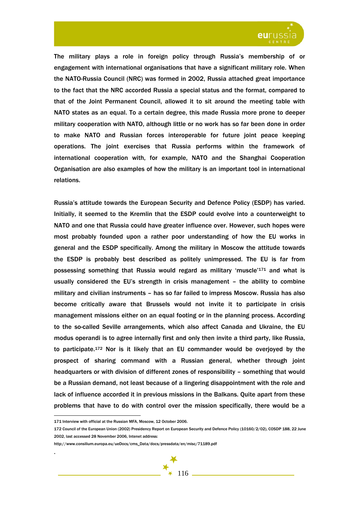

The military plays a role in foreign policy through Russia's membership of or engagement with international organisations that have a significant military role. When the NATO-Russia Council (NRC) was formed in 2002, Russia attached great importance to the fact that the NRC accorded Russia a special status and the format, compared to that of the Joint Permanent Council, allowed it to sit around the meeting table with NATO states as an equal. To a certain degree, this made Russia more prone to deeper military cooperation with NATO, although little or no work has so far been done in order to make NATO and Russian forces interoperable for future joint peace keeping operations. The joint exercises that Russia performs within the framework of international cooperation with, for example, NATO and the Shanghai Cooperation Organisation are also examples of how the military is an important tool in international relations.

Russia's attitude towards the European Security and Defence Policy (ESDP) has varied. Initially, it seemed to the Kremlin that the ESDP could evolve into a counterweight to NATO and one that Russia could have greater influence over. However, such hopes were most probably founded upon a rather poor understanding of how the EU works in general and the ESDP specifically. Among the military in Moscow the attitude towards the ESDP is probably best described as politely unimpressed. The EU is far from possessing something that Russia would regard as military 'muscle'171 and what is usually considered the EU's strength in crisis management – the ability to combine military and civilian instruments – has so far failed to impress Moscow. Russia has also become critically aware that Brussels would not invite it to participate in crisis management missions either on an equal footing or in the planning process. According to the so-called Seville arrangements, which also affect Canada and Ukraine, the EU modus operandi is to agree internally first and only then invite a third party, like Russia, to participate.172 Nor is it likely that an EU commander would be overjoyed by the prospect of sharing command with a Russian general, whether through joint headquarters or with division of different zones of responsibility – something that would be a Russian demand, not least because of a lingering disappointment with the role and lack of influence accorded it in previous missions in the Balkans. Quite apart from these problems that have to do with control over the mission specifically, there would be a

 $\overline{a}$ 

.

<sup>171</sup> Interview with official at the Russian MFA, Moscow, 12 October 2006.

<sup>172</sup> Council of the European Union (2002) Presidency Report on European Security and Defence Policy (10160/2/02), COSDP 188, 22 June 2002, last accessed 28 November 2006, Intenet address:

http://www.consilium.europa.eu/ueDocs/cms\_Data/docs/pressdata/en/misc/71189.pdf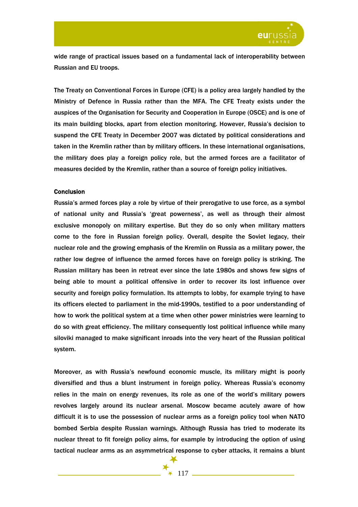

wide range of practical issues based on a fundamental lack of interoperability between Russian and EU troops.

The Treaty on Conventional Forces in Europe (CFE) is a policy area largely handled by the Ministry of Defence in Russia rather than the MFA. The CFE Treaty exists under the auspices of the Organisation for Security and Cooperation in Europe (OSCE) and is one of its main building blocks, apart from election monitoring. However, Russia's decision to suspend the CFE Treaty in December 2007 was dictated by political considerations and taken in the Kremlin rather than by military officers. In these international organisations, the military does play a foreign policy role, but the armed forces are a facilitator of measures decided by the Kremlin, rather than a source of foreign policy initiatives.

## **Conclusion**

Russia's armed forces play a role by virtue of their prerogative to use force, as a symbol of national unity and Russia's 'great powerness', as well as through their almost exclusive monopoly on military expertise. But they do so only when military matters come to the fore in Russian foreign policy. Overall, despite the Soviet legacy, their nuclear role and the growing emphasis of the Kremlin on Russia as a military power, the rather low degree of influence the armed forces have on foreign policy is striking. The Russian military has been in retreat ever since the late 1980s and shows few signs of being able to mount a political offensive in order to recover its lost influence over security and foreign policy formulation. Its attempts to lobby, for example trying to have its officers elected to parliament in the mid-1990s, testified to a poor understanding of how to work the political system at a time when other power ministries were learning to do so with great efficiency. The military consequently lost political influence while many siloviki managed to make significant inroads into the very heart of the Russian political system.

Moreover, as with Russia's newfound economic muscle, its military might is poorly diversified and thus a blunt instrument in foreign policy. Whereas Russia's economy relies in the main on energy revenues, its role as one of the world's military powers revolves largely around its nuclear arsenal. Moscow became acutely aware of how difficult it is to use the possession of nuclear arms as a foreign policy tool when NATO bombed Serbia despite Russian warnings. Although Russia has tried to moderate its nuclear threat to fit foreign policy aims, for example by introducing the option of using tactical nuclear arms as an asymmetrical response to cyber attacks, it remains a blunt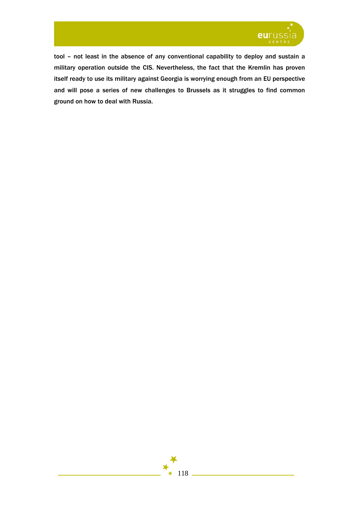

tool – not least in the absence of any conventional capability to deploy and sustain a military operation outside the CIS. Nevertheless, the fact that the Kremlin has proven itself ready to use its military against Georgia is worrying enough from an EU perspective and will pose a series of new challenges to Brussels as it struggles to find common ground on how to deal with Russia.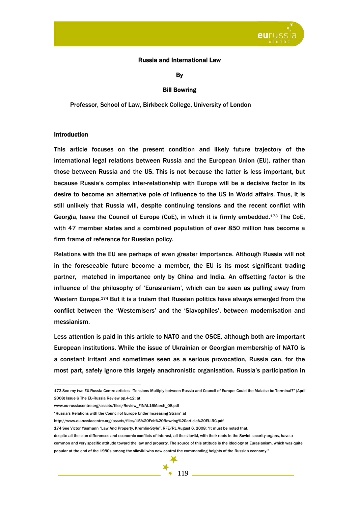

# Russia and International Law

By

## Bill Bowring

Professor, School of Law, Birkbeck College, University of London

## Introduction

This article focuses on the present condition and likely future trajectory of the international legal relations between Russia and the European Union (EU), rather than those between Russia and the US. This is not because the latter is less important, but because Russia's complex inter-relationship with Europe will be a decisive factor in its desire to become an alternative pole of influence to the US in World affairs. Thus, it is still unlikely that Russia will, despite continuing tensions and the recent conflict with Georgia, leave the Council of Europe (CoE), in which it is firmly embedded.173 The CoE, with 47 member states and a combined population of over 850 million has become a firm frame of reference for Russian policy.

Relations with the EU are perhaps of even greater importance. Although Russia will not in the foreseeable future become a member, the EU is its most significant trading partner, matched in importance only by China and India. An offsetting factor is the influence of the philosophy of 'Eurasianism', which can be seen as pulling away from Western Europe.174 But it is a truism that Russian politics have always emerged from the conflict between the 'Westernisers' and the 'Slavophiles', between modernisation and messianism.

Less attention is paid in this article to NATO and the OSCE, although both are important European institutions. While the issue of Ukrainian or Georgian membership of NATO is a constant irritant and sometimes seen as a serious provocation, Russia can, for the most part, safely ignore this largely anachronistic organisation. Russia's participation in

despite all the clan differences and economic conflicts of interest, all the siloviki, with their roots in the Soviet security organs, have a common and very specific attitude toward the law and property. The source of this attitude is the ideology of Eurasianism, which was quite popular at the end of the 1980s among the siloviki who now control the commanding heights of the Russian economy."



 $\overline{a}$ 173 See my two EU-Russia Centre articles: "Tensions Multiply between Russia and Council of Europe: Could the Malaise be Terminal?" (April 2008) Issue 6 The EU-Russia Review pp.4-12; at

www.eu-russiacentre.org/assets/files/Review\_FINAL16March\_08.pdf

<sup>&</sup>quot;Russia's Relations with the Council of Europe Under Increasing Strain" at

http://www.eu-russiacentre.org/assets/files/15%20Feb%20Bowring%20article%20EU-RC.pdf

<sup>174</sup> See Victor Yasmann "Law And Property, Kremlin-Style", RFE/RL August 6, 2008: "It must be noted that,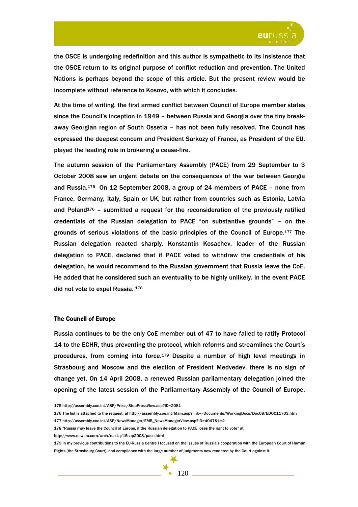

the OSCE is undergoing redefinition and this author is sympathetic to its insistence that the OSCE return to its original purpose of conflict reduction and prevention. The United Nations is perhaps beyond the scope of this article. But the present review would be incomplete without reference to Kosovo, with which it concludes.

At the time of writing, the first armed conflict between Council of Europe member states since the Council's inception in 1949 – between Russia and Georgia over the tiny breakaway Georgian region of South Ossetia – has not been fully resolved. The Council has expressed the deepest concern and President Sarkozy of France, as President of the EU, played the leading role in brokering a cease-fire.

The autumn session of the Parliamentary Assembly (PACE) from 29 September to 3 October 2008 saw an urgent debate on the consequences of the war between Georgia and Russia.175 On 12 September 2008, a group of 24 members of PACE – none from France, Germany, Italy, Spain or UK, but rather from countries such as Estonia, Latvia and Poland<sup>176</sup> – submitted a request for the reconsideration of the previously ratified credentials of the Russian delegation to PACE "on substantive grounds" – on the grounds of serious violations of the basic principles of the Council of Europe.177 The Russian delegation reacted sharply. Konstantin Kosachev, leader of the Russian delegation to PACE, declared that if PACE voted to withdraw the credentials of his delegation, he would recommend to the Russian government that Russia leave the CoE. He added that he considered such an eventuality to be highly unlikely. In the event PACE did not vote to expel Russia. 178

### The Council of Europe

 $\overline{a}$ 

Russia continues to be the only CoE member out of 47 to have failed to ratify Protocol 14 to the ECHR, thus preventing the protocol, which reforms and streamlines the Court's procedures, from coming into force.179 Despite a number of high level meetings in Strasbourg and Moscow and the election of President Medvedev, there is no sign of change yet. On 14 April 2008, a renewed Russian parliamentary delegation joined the opening of the latest session of the Parliamentary Assembly of the Council of Europe.

http://www.newsru.com/arch/russia/15sep2008/pase.html

<sup>175</sup> http://assembly.coe.int/ASP/Press/StopPressView.asp?ID=2081

<sup>176</sup> The list is attached to the request, at http://assembly.coe.int/Main.asp?link=/Documents/WorkingDocs/Doc08/EDOC11703.htm 177 http://assembly.coe.int/ASP/NewsManager/EMB\_NewsManagerView.asp?ID=4047&L=2

<sup>178 &</sup>quot;Russia may leave the Council of Europe, if the Russian delegation to PACE loses the right to vote" at

<sup>179</sup> In my previous contributions to the EU-Russia Centre I focused on the issues of Russia's cooperation with the European Court of Human Rights (the Strasbourg Court), and compliance with the large number of judgments now rendered by the Court against it.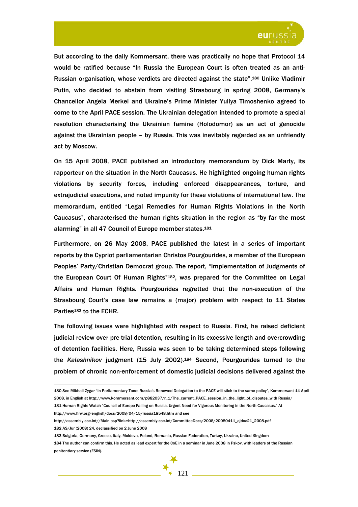

But according to the daily Kommersant, there was practically no hope that Protocol 14 would be ratified because "In Russia the European Court is often treated as an anti-Russian organisation, whose verdicts are directed against the state".180 Unlike Vladimir Putin, who decided to abstain from visiting Strasbourg in spring 2008, Germany's Chancellor Angela Merkel and Ukraine's Prime Minister Yuliya Timoshenko agreed to come to the April PACE session. The Ukrainian delegation intended to promote a special resolution characterising the Ukrainian famine (Holodomor) as an act of genocide against the Ukrainian people – by Russia. This was inevitably regarded as an unfriendly act by Moscow.

On 15 April 2008, PACE published an introductory memorandum by Dick Marty, its rapporteur on the situation in the North Caucasus. He highlighted ongoing human rights violations by security forces, including enforced disappearances, torture, and extrajudicial executions, and noted impunity for these violations of international law. The memorandum, entitled "Legal Remedies for Human Rights Violations in the North Caucasus", characterised the human rights situation in the region as "by far the most alarming" in all 47 Council of Europe member states.<sup>181</sup>

Furthermore, on 26 May 2008, PACE published the latest in a series of important reports by the Cypriot parliamentarian Christos Pourgourides, a member of the European Peoples' Party/Christian Democrat group. The report, "Implementation of Judgments of the European Court Of Human Rights"182, was prepared for the Committee on Legal Affairs and Human Rights. Pourgourides regretted that the non-execution of the Strasbourg Court's case law remains a (major) problem with respect to 11 States Parties<sup>183</sup> to the ECHR.

The following issues were highlighted with respect to Russia. First, he raised deficient judicial review over pre-trial detention, resulting in its excessive length and overcrowding of detention facilities. Here, Russia was seen to be taking determined steps following the *Kalashnikov* judgment (15 July 2002).184 Second, Pourgourides turned to the problem of chronic non-enforcement of domestic judicial decisions delivered against the

http://assembly.coe.int//Main.asp?link=http://assembly.coe.int/CommitteeDocs/2008/20080411\_ajdoc21\_2008.pdf 182 AS/Jur (2008) 24, declassified on 2 June 2008

<sup>183</sup> Bulgaria, Germany, Greece, Italy, Moldova, Poland, Romania, Russian Federation, Turkey, Ukraine, United Kingdom 184 The author can confirm this. He acted as lead expert for the CoE in a seminar in June 2008 in Pskov, with leaders of the Russian penitentiary service (FSIN).



 $\overline{a}$ 180 See Mikhail Zygar "In Parliamentary Tone: Russia's Renewed Delegation to the PACE will stick to the same policy", Kommersant 14 April 2008, in English at http://www.kommersant.com/p882037/r\_1/The\_current\_PACE\_session\_in\_the\_light\_of\_disputes\_with Russia/

<sup>181</sup> Human Rights Watch "Council of Europe Failing on Russia. Urgent Need for Vigorous Monitoring in the North Caucasus." At http://www.hrw.org/english/docs/2008/04/15/russia18548.htm and see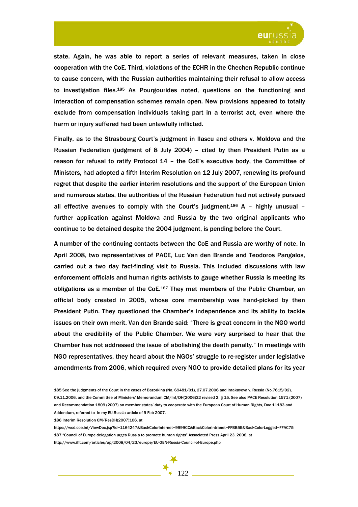

state. Again, he was able to report a series of relevant measures, taken in close cooperation with the CoE. Third, violations of the ECHR in the Chechen Republic continue to cause concern, with the Russian authorities maintaining their refusal to allow access to investigation files.185 As Pourgourides noted, questions on the functioning and interaction of compensation schemes remain open. New provisions appeared to totally exclude from compensation individuals taking part in a terrorist act, even where the harm or injury suffered had been unlawfully inflicted.

Finally, as to the Strasbourg Court's judgment in Ilascu and others v. Moldova and the Russian Federation (judgment of 8 July 2004) – cited by then President Putin as a reason for refusal to ratify Protocol 14 – the CoE's executive body, the Committee of Ministers, had adopted a fifth Interim Resolution on 12 July 2007, renewing its profound regret that despite the earlier interim resolutions and the support of the European Union and numerous states, the authorities of the Russian Federation had not actively pursued all effective avenues to comply with the Court's judgment.<sup>186</sup> A - highly unusual further application against Moldova and Russia by the two original applicants who continue to be detained despite the 2004 judgment, is pending before the Court.

A number of the continuing contacts between the CoE and Russia are worthy of note. In April 2008, two representatives of PACE, Luc Van den Brande and Teodoros Pangalos, carried out a two day fact-finding visit to Russia. This included discussions with law enforcement officials and human rights activists to gauge whether Russia is meeting its obligations as a member of the CoE.187 They met members of the Public Chamber, an official body created in 2005, whose core membership was hand-picked by then President Putin. They questioned the Chamber's independence and its ability to tackle issues on their own merit. Van den Brande said: "There is great concern in the NGO world about the credibility of the Public Chamber. We were very surprised to hear that the Chamber has not addressed the issue of abolishing the death penalty." In meetings with NGO representatives, they heard about the NGOs' struggle to re-register under legislative amendments from 2006, which required every NGO to provide detailed plans for its year

https://wcd.coe.int/ViewDoc.jsp?id=1164247&BackColorInternet=9999CC&BackColorIntranet=FFBB55&BackColorLogged=FFAC75 187 "Council of Europe delegation urges Russia to promote human rights" Associated Press April 23, 2008, at http://www.iht.com/articles/ap/2008/04/23/europe/EU-GEN-Russia-Council-of-Europe.php



 $\overline{a}$ 185 See the judgments of the Court in the cases of Bazorkina (No. 69481/01), 27.07.2006 and Imakayeva v. Russia (No.7615/02), 09.11.2006, and the Committee of Ministers' Memorandum CM/Inf/DH(2006)32 revised 2, § 15. See also PACE Resolution 1571 (2007) and Recommendation 1809 (2007) on member states' duty to cooperate with the European Court of Human Rights, Doc 11183 and Addendum, referred to in my EU-Russia article of 9 Feb 2007.

<sup>186</sup> Interim Resolution CM/ResDH(2007)106, at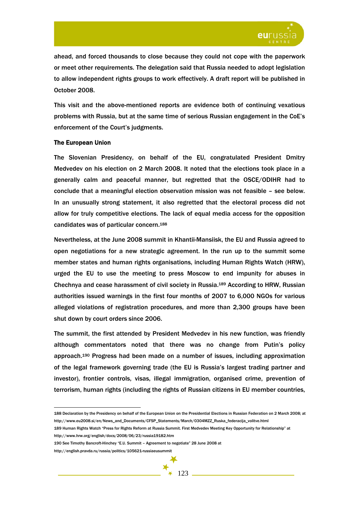

ahead, and forced thousands to close because they could not cope with the paperwork or meet other requirements. The delegation said that Russia needed to adopt legislation to allow independent rights groups to work effectively. A draft report will be published in October 2008.

This visit and the above-mentioned reports are evidence both of continuing vexatious problems with Russia, but at the same time of serious Russian engagement in the CoE's enforcement of the Court's judgments.

### The European Union

The Slovenian Presidency, on behalf of the EU, congratulated President Dmitry Medvedev on his election on 2 March 2008. It noted that the elections took place in a generally calm and peaceful manner, but regretted that the OSCE/ODIHR had to conclude that a meaningful election observation mission was not feasible – see below. In an unusually strong statement, it also regretted that the electoral process did not allow for truly competitive elections. The lack of equal media access for the opposition candidates was of particular concern.188

Nevertheless, at the June 2008 summit in Khantii-Mansiisk, the EU and Russia agreed to open negotiations for a new strategic agreement. In the run up to the summit some member states and human rights organisations, including Human Rights Watch (HRW), urged the EU to use the meeting to press Moscow to end impunity for abuses in Chechnya and cease harassment of civil society in Russia.189 According to HRW, Russian authorities issued warnings in the first four months of 2007 to 6,000 NGOs for various alleged violations of registration procedures, and more than 2,300 groups have been shut down by court orders since 2006.

The summit, the first attended by President Medvedev in his new function, was friendly although commentators noted that there was no change from Putin's policy approach.190 Progress had been made on a number of issues, including approximation of the legal framework governing trade (the EU is Russia's largest trading partner and investor), frontier controls, visas, illegal immigration, organised crime, prevention of terrorism, human rights (including the rights of Russian citizens in EU member countries,

http://english.pravda.ru/russia/politics/105621-russiaeusummit

<sup>188</sup> Declaration by the Presidency on behalf of the European Union on the Presidential Elections in Russian Federation on 2 March 2008; at http://www.eu2008.si/en/News\_and\_Documents/CFSP\_Statements/March/0304MZZ\_Ruska\_federacija\_volitve.html

<sup>189</sup> Human Rights Watch "Press for Rights Reform at Russia Summit. First Medvedev Meeting Key Opportunity for Relationship" at http://www.hrw.org/english/docs/2008/06/23/russia19182.htm

<sup>190</sup> See Timothy Bancroft-Hinchey "E.U. Summit – Agreement to negotiate" 28 June 2008 at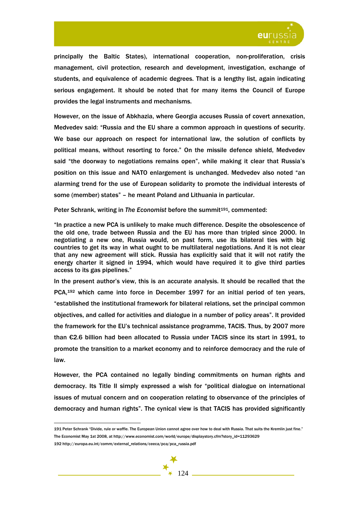

principally the Baltic States), international cooperation, non-proliferation, crisis management, civil protection, research and development, investigation, exchange of students, and equivalence of academic degrees. That is a lengthy list, again indicating serious engagement. It should be noted that for many items the Council of Europe provides the legal instruments and mechanisms.

However, on the issue of Abkhazia, where Georgia accuses Russia of covert annexation, Medvedev said: "Russia and the EU share a common approach in questions of security. We base our approach on respect for international law, the solution of conflicts by political means, without resorting to force." On the missile defence shield, Medvedev said "the doorway to negotiations remains open", while making it clear that Russia's position on this issue and NATO enlargement is unchanged. Medvedev also noted "an alarming trend for the use of European solidarity to promote the individual interests of some (member) states" – he meant Poland and Lithuania in particular.

Peter Schrank, writing in *The Economist* before the summit<sup>191</sup>, commented:

"In practice a new PCA is unlikely to make much difference. Despite the obsolescence of the old one, trade between Russia and the EU has more than tripled since 2000. In negotiating a new one, Russia would, on past form, use its bilateral ties with big countries to get its way in what ought to be multilateral negotiations. And it is not clear that any new agreement will stick. Russia has explicitly said that it will not ratify the energy charter it signed in 1994, which would have required it to give third parties access to its gas pipelines."

In the present author's view, this is an accurate analysis. It should be recalled that the PCA,192 which came into force in December 1997 for an initial period of ten years, "established the institutional framework for bilateral relations, set the principal common objectives, and called for activities and dialogue in a number of policy areas". It provided the framework for the EU's technical assistance programme, TACIS. Thus, by 2007 more than €2.6 billion had been allocated to Russia under TACIS since its start in 1991, to promote the transition to a market economy and to reinforce democracy and the rule of law.

However, the PCA contained no legally binding commitments on human rights and democracy. Its Title II simply expressed a wish for "political dialogue on international issues of mutual concern and on cooperation relating to observance of the principles of democracy and human rights". The cynical view is that TACIS has provided significantly



<sup>191</sup> Peter Schrank "Divide, rule or waffle. The European Union cannot agree over how to deal with Russia. That suits the Kremlin just fine." The Economist May 1st 2008, at http://www.economist.com/world/europe/displaystory.cfm?story\_id=11293629

<sup>192</sup> http://europa.eu.int/comm/external\_relations/ceeca/pca/pca\_russia.pdf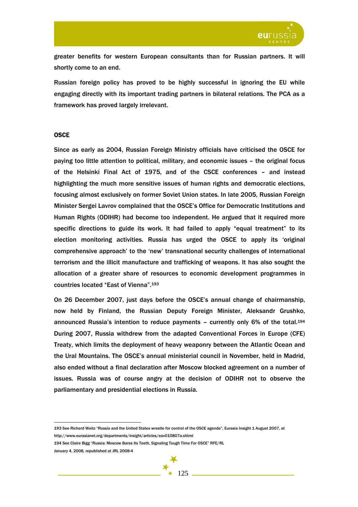

greater benefits for western European consultants than for Russian partners. It will shortly come to an end.

Russian foreign policy has proved to be highly successful in ignoring the EU while engaging directly with its important trading partners in bilateral relations. The PCA as a framework has proved largely irrelevant.

### **OSCE**

Since as early as 2004, Russian Foreign Ministry officials have criticised the OSCE for paying too little attention to political, military, and economic issues – the original focus of the Helsinki Final Act of 1975, and of the CSCE conferences – and instead highlighting the much more sensitive issues of human rights and democratic elections, focusing almost exclusively on former Soviet Union states. In late 2005, Russian Foreign Minister Sergei Lavrov complained that the OSCE's Office for Democratic Institutions and Human Rights (ODIHR) had become too independent. He argued that it required more specific directions to guide its work. It had failed to apply "equal treatment" to its election monitoring activities. Russia has urged the OSCE to apply its 'original comprehensive approach' to the 'new' transnational security challenges of international terrorism and the illicit manufacture and trafficking of weapons. It has also sought the allocation of a greater share of resources to economic development programmes in countries located "East of Vienna".193

On 26 December 2007, just days before the OSCE's annual change of chairmanship, now held by Finland, the Russian Deputy Foreign Minister, Aleksandr Grushko, announced Russia's intention to reduce payments – currently only 6% of the total.194 During 2007, Russia withdrew from the adapted Conventional Forces in Europe (CFE) Treaty, which limits the deployment of heavy weaponry between the Atlantic Ocean and the Ural Mountains. The OSCE's annual ministerial council in November, held in Madrid, also ended without a final declaration after Moscow blocked agreement on a number of issues. Russia was of course angry at the decision of ODIHR not to observe the parliamentary and presidential elections in Russia.

193 See Richard Weitz "Russia and the United States wrestle for control of the OSCE agenda", Eurasia Insight 1 August 2007, at http://www.eurasianet.org/departments/insight/articles/eav010807a.shtml

194 See Claire Bigg "Russia: Moscow Bares Its Teeth, Signaling Tough Time For OSCE" RFE/RL

January 4, 2008, republished at JRL 2008-4

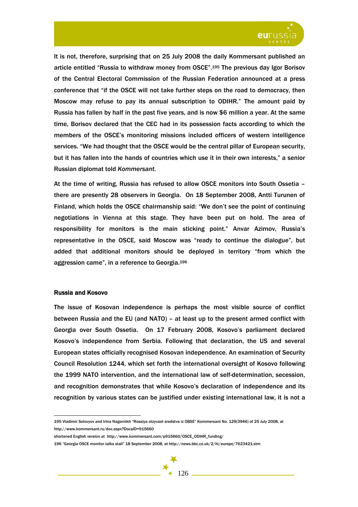

It is not, therefore, surprising that on 25 July 2008 the daily Kommersant published an article entitled "Russia to withdraw money from OSCE".195 The previous day Igor Borisov of the Central Electoral Commission of the Russian Federation announced at a press conference that "if the OSCE will not take further steps on the road to democracy, then Moscow may refuse to pay its annual subscription to ODIHR." The amount paid by Russia has fallen by half in the past five years, and is now \$6 million a year. At the same time, Borisov declared that the CEC had in its possession facts according to which the members of the OSCE's monitoring missions included officers of western intelligence services. "We had thought that the OSCE would be the central pillar of European security, but it has fallen into the hands of countries which use it in their own interests," a senior Russian diplomat told *Kommersant*.

At the time of writing, Russia has refused to allow OSCE monitors into South Ossetia – there are presently 28 observers in Georgia. On 18 September 2008, Antti Turunen of Finland, which holds the OSCE chairmanship said: "We don't see the point of continuing negotiations in Vienna at this stage. They have been put on hold. The area of responsibility for monitors is the main sticking point." Anvar Azimov, Russia's representative in the OSCE, said Moscow was "ready to continue the dialogue", but added that additional monitors should be deployed in territory "from which the aggression came", in a reference to Georgia.196

## Russia and Kosovo

The issue of Kosovan independence is perhaps the most visible source of conflict between Russia and the EU (and NATO) – at least up to the present armed conflict with Georgia over South Ossetia. On 17 February 2008, Kosovo's parliament declared Kosovo's independence from Serbia. Following that declaration, the US and several European states officially recognised Kosovan independence. An examination of Security Council Resolution 1244, which set forth the international oversight of Kosovo following the 1999 NATO intervention, and the international law of self-determination, secession, and recognition demonstrates that while Kosovo's declaration of independence and its recognition by various states can be justified under existing international law, it is not a

 $\overline{a}$ 195 Vladimir Solovyov and Irina Nagornikh "Rossiya otzyvaet sredstva iz OBSE" Kommersant No. 129(3946) of 25 July 2008, at http://www.kommersant.ru/doc.aspx?DocsID=915660

shortened English version at http://www.kommersant.com/p915660/OSCE\_ODIHR\_funding/

196 "Georgia OSCE monitor talks stall" 18 September 2008, at http://news.bbc.co.uk/2/hi/europe/7623421.stm

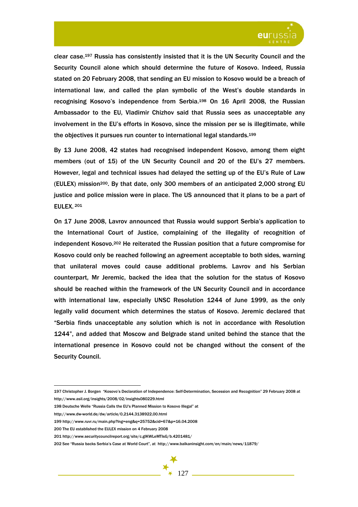

clear case.197 Russia has consistently insisted that it is the UN Security Council and the Security Council alone which should determine the future of Kosovo. Indeed, Russia stated on 20 February 2008, that sending an EU mission to Kosovo would be a breach of international law, and called the plan symbolic of the West's double standards in recognising Kosovo's independence from Serbia.198 On 16 April 2008, the Russian Ambassador to the EU, Vladimir Chizhov said that Russia sees as unacceptable any involvement in the EU's efforts in Kosovo, since the mission per se is illegitimate, while the objectives it pursues run counter to international legal standards.199

By 13 June 2008, 42 states had recognised independent Kosovo, among them eight members (out of 15) of the UN Security Council and 20 of the EU's 27 members. However, legal and technical issues had delayed the setting up of the EU's Rule of Law (EULEX) mission200. By that date, only 300 members of an anticipated 2,000 strong EU justice and police mission were in place. The US announced that it plans to be a part of EULEX. 201

On 17 June 2008, Lavrov announced that Russia would support Serbia's application to the International Court of Justice, complaining of the illegality of recognition of independent Kosovo.202 He reiterated the Russian position that a future compromise for Kosovo could only be reached following an agreement acceptable to both sides, warning that unilateral moves could cause additional problems. Lavrov and his Serbian counterpart, Mr Jeremic, backed the idea that the solution for the status of Kosovo should be reached within the framework of the UN Security Council and in accordance with international law, especially UNSC Resolution 1244 of June 1999, as the only legally valid document which determines the status of Kosovo. Jeremic declared that "Serbia finds unacceptable any solution which is not in accordance with Resolution 1244", and added that Moscow and Belgrade stand united behind the stance that the international presence in Kosovo could not be changed without the consent of the Security Council.

200 The EU established the EULEX mission on 4 February 2008

202 See "Russia backs Serbia's Case at World Court", at http://www.balkaninsight.com/en/main/news/11879/

 $\overline{a}$ 197 Christopher J. Borgen "Kosovo's Declaration of Independence: Self-Determination, Secession and Recognition" 29 February 2008 at http://www.asil.org/insights/2008/02/insights080229.html

<sup>198</sup> Deutsche Welle "Russia Calls the EU's Planned Mission to Kosovo Illegal" at

http://www.dw-world.de/dw/article/0,2144,3138922,00.html

<sup>199</sup> http://www.ruvr.ru/main.php?lng=eng&q=25752&cid=67&p=16.04.2008

<sup>201</sup> http://www.securitycouncilreport.org/site/c.glKWLeMTIsG/b.4201481/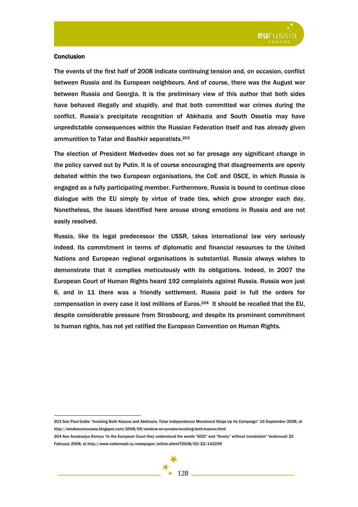

## **Conclusion**

 $\overline{a}$ 

The events of the first half of 2008 indicate continuing tension and, on occasion, conflict between Russia and its European neighbours. And of course, there was the August war between Russia and Georgia. It is the preliminary view of this author that both sides have behaved illegally and stupidly, and that both committed war crimes during the conflict. Russia's precipitate recognition of Abkhazia and South Ossetia may have unpredictable consequences within the Russian Federation itself and has already given ammunition to Tatar and Bashkir separatists.203

The election of President Medvedev does not so far presage any significant change in the policy carved out by Putin. It is of course encouraging that disagreements are openly debated within the two European organisations, the CoE and OSCE, in which Russia is engaged as a fully participating member. Furthermore, Russia is bound to continue close dialogue with the EU simply by virtue of trade ties, which grow stronger each day. Nonetheless, the issues identified here arouse strong emotions in Russia and are not easily resolved.

Russia, like its legal predecessor the USSR, takes international law very seriously indeed. Its commitment in terms of diplomatic and financial resources to the United Nations and European regional organisations is substantial. Russia always wishes to demonstrate that it complies meticulously with its obligations. Indeed, in 2007 the European Court of Human Rights heard 192 complaints against Russia. Russia won just 6, and in 11 there was a friendly settlement. Russia paid in full the orders for compensation in every case it lost millions of Euros.204 It should be recalled that the EU, despite considerable pressure from Strasbourg, and despite its prominent commitment to human rights, has not yet ratified the European Convention on Human Rights.

203 See Paul Goble "Invoking Both Kosovo and Abkhazia, Tatar Independence Movement Steps Up Its Campaign" 16 September 2008, at http://windowoneurasia.blogspot.com/2008/09/window-on-eurasia-invoking-both-kosovo.html

204 See Anastasiya Kornya "In the European Court they understand the words "SIZO" and "Kresty" without translation" Vedomosti 22 February 2008, at http://www.vedomosti.ru/newspaper/article.shtml?2008/02/22/142259

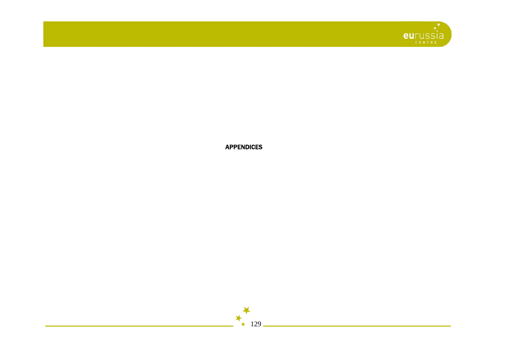

APPENDICES



129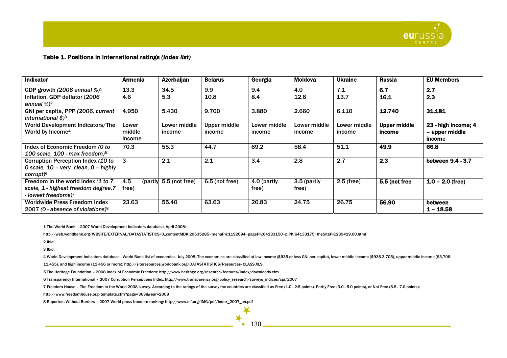

# Table 1. Positions in international ratings *(Index list)*

| <b>Indicator</b>                                                     | Armenia          | Azerbaijan             | <b>Belarus</b>      | Georgia      | Moldova      | <b>Ukraine</b>      | <b>Russia</b>       | <b>EU Members</b>        |
|----------------------------------------------------------------------|------------------|------------------------|---------------------|--------------|--------------|---------------------|---------------------|--------------------------|
| GDP growth (2006 annual $\%/1$                                       | 13.3             | 34.5                   | 9.9                 | 9.4          | 4.0          | 7.1                 | 6.7                 | 2.7                      |
| Inflation, GDP deflator (2006                                        | 4.6              | 5.3                    | 10.8                | 8.4          | 12.6         | 13.7                | 16.1                | 2.3                      |
| annual %) <sup>2</sup>                                               |                  |                        |                     |              |              |                     |                     |                          |
| GNI per capita, PPP (2006, current<br>international \$) <sup>3</sup> | 4.950            | 5.430                  | 9.700               | 3.880        | 2.660        | 6.110               | 12.740              | 31.181                   |
| World Development Indicators/The                                     | Lower            | Lower middle           | <b>Upper middle</b> | Lower middle | Lower middle | <b>Lower middle</b> | <b>Upper middle</b> | 23 - high income; 4      |
| World by Income <sup>4</sup>                                         | middle<br>income | income                 | income              | income       | income       | income              | income              | - upper middle<br>income |
| Index of Economic Freedom (O to                                      | 70.3             | 55.3                   | 44.7                | 69.2         | 58.4         | 51.1                | 49.9                | 66.8                     |
| 100 scale, 100 - max freedom) $5$                                    |                  |                        |                     |              |              |                     |                     |                          |
| Corruption Perception Index (10 to                                   | 3                | 2.1                    | 2.1                 | 3.4          | 2.8          | 2.7                 | 2.3                 | between 9.4 - 3.7        |
| 0 scale, 10 - very clean, 0 - highly                                 |                  |                        |                     |              |              |                     |                     |                          |
| corrupt) <sup>6</sup>                                                |                  |                        |                     |              |              |                     |                     |                          |
| Freedom in the world index (1 to 7                                   | 4.5              | (partly 5.5 (not free) | $6.5$ (not free)    | 4.0 (partly  | 3.5 (partly  | $2.5$ (free)        | 5.5 (not free       | $1.0 - 2.0$ (free)       |
| scale, 1 - highest freedom degree, 7                                 | free)            |                        |                     | free)        | free)        |                     |                     |                          |
| - lowest freedoms) <sup>7</sup>                                      |                  |                        |                     |              |              |                     |                     |                          |
| Worldwide Press Freedom Index                                        | 23.63            | 55.40                  | 63.63               | 20.83        | 24.75        | 26.75               | 56.90               | between                  |
| 2007 (0 - absence of violations) $8$                                 |                  |                        |                     |              |              |                     |                     | $1 - 18.58$              |

1 The World Bank – 2007 World Development Indicators database, April 2008:

http://web.worldbank.org/WBSITE/EXTERNAL/DATASTATISTICS/0,,contentMDK:20535285~menuPK:1192694~pagePK:64133150~piPK:64133175~theSitePK:239419,00.html

2 Ibid.

3 Ibid.

4 World Development Indicators database - World Bank list of economies, July 2008. The economies are classified at low income (\$935 or less GNI per capita), lower middle income (\$936-3,705), upper middle income (\$3,706-

130

 $\overline{\mathbf{X}}$ 

11,455), and high income (11,456 or more): http://siteresources.worldbank.org/DATASTATISTICS/Resources/CLASS.XLS

5 The Heritage Foundation – 2008 Index of Economic Freedom: http://www.heritage.org/research/features/index/downloads.cfm

6 Transparency International – 2007 Corruption Perceptions Index: http://www.transparency.org/policy\_research/surveys\_indices/cpi/2007

7 Freedom House – The Freedom in the World 2008 survey. According to the ratings of the survey the countries are classified as Free (1.0 - 2.5 points), Partly Free (3.0 - 5.0 points), or Not Free (5.5 - 7.0 points):

http://www.freedomhouse.org/template.cfm?page=363&year=2008

8 Reporters Without Borders – 2007 World press freedom ranking: http://www.rsf.org/IMG/pdf/index\_2007\_en.pdf